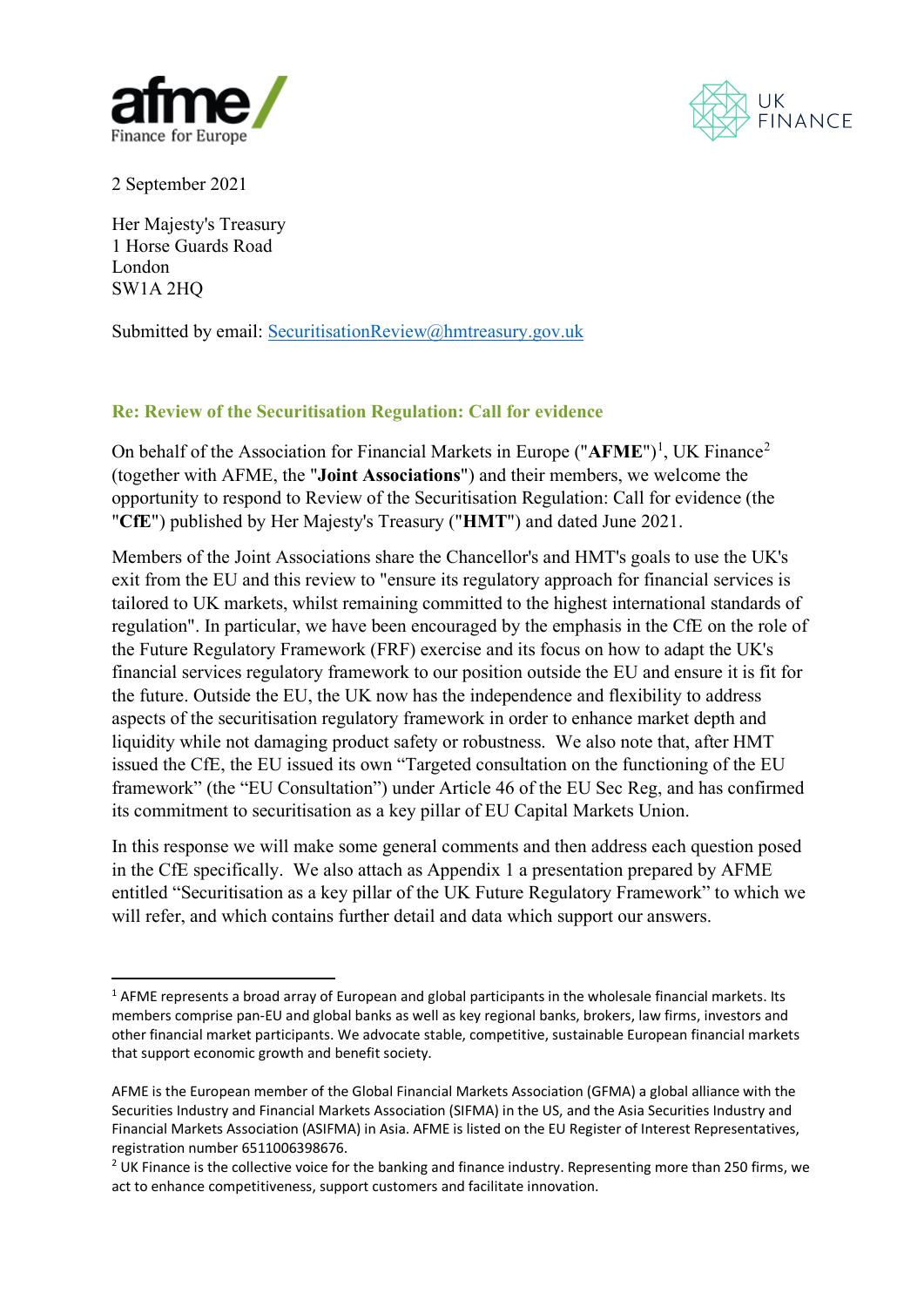



2 September 2021

Her Majesty's Treasury 1 Horse Guards Road London SW1A 2HQ

Submitted by email: [SecuritisationReview@hmtreasury.gov.uk](mailto:SecuritisationReview@hmtreasury.gov.uk)

# **Re: Review of the Securitisation Regulation: Call for evidence**

On behalf of the Association for Financial Markets in Europe ("AFME")<sup>[1](#page-0-0)</sup>, UK Finance<sup>[2](#page-0-1)</sup> (together with AFME, the "**Joint Associations**") and their members, we welcome the opportunity to respond to Review of the Securitisation Regulation: Call for evidence (the "**CfE**") published by Her Majesty's Treasury ("**HMT**") and dated June 2021.

Members of the Joint Associations share the Chancellor's and HMT's goals to use the UK's exit from the EU and this review to "ensure its regulatory approach for financial services is tailored to UK markets, whilst remaining committed to the highest international standards of regulation". In particular, we have been encouraged by the emphasis in the CfE on the role of the Future Regulatory Framework (FRF) exercise and its focus on how to adapt the UK's financial services regulatory framework to our position outside the EU and ensure it is fit for the future. Outside the EU, the UK now has the independence and flexibility to address aspects of the securitisation regulatory framework in order to enhance market depth and liquidity while not damaging product safety or robustness. We also note that, after HMT issued the CfE, the EU issued its own "Targeted consultation on the functioning of the EU framework" (the "EU Consultation") under Article 46 of the EU Sec Reg, and has confirmed its commitment to securitisation as a key pillar of EU Capital Markets Union.

In this response we will make some general comments and then address each question posed in the CfE specifically. We also attach as Appendix 1 a presentation prepared by AFME entitled "Securitisation as a key pillar of the UK Future Regulatory Framework" to which we will refer, and which contains further detail and data which support our answers.

<span id="page-0-0"></span> $1$  AFME represents a broad array of European and global participants in the wholesale financial markets. Its members comprise pan-EU and global banks as well as key regional banks, brokers, law firms, investors and other financial market participants. We advocate stable, competitive, sustainable European financial markets that support economic growth and benefit society.

AFME is the European member of the Global Financial Markets Association (GFMA) a global alliance with the Securities Industry and Financial Markets Association (SIFMA) in the US, and the Asia Securities Industry and Financial Markets Association (ASIFMA) in Asia. AFME is listed on the EU Register of Interest Representatives, registration number 6511006398676.

<span id="page-0-1"></span><sup>&</sup>lt;sup>2</sup> UK Finance is the collective voice for the banking and finance industry. Representing more than 250 firms, we act to enhance competitiveness, support customers and facilitate innovation.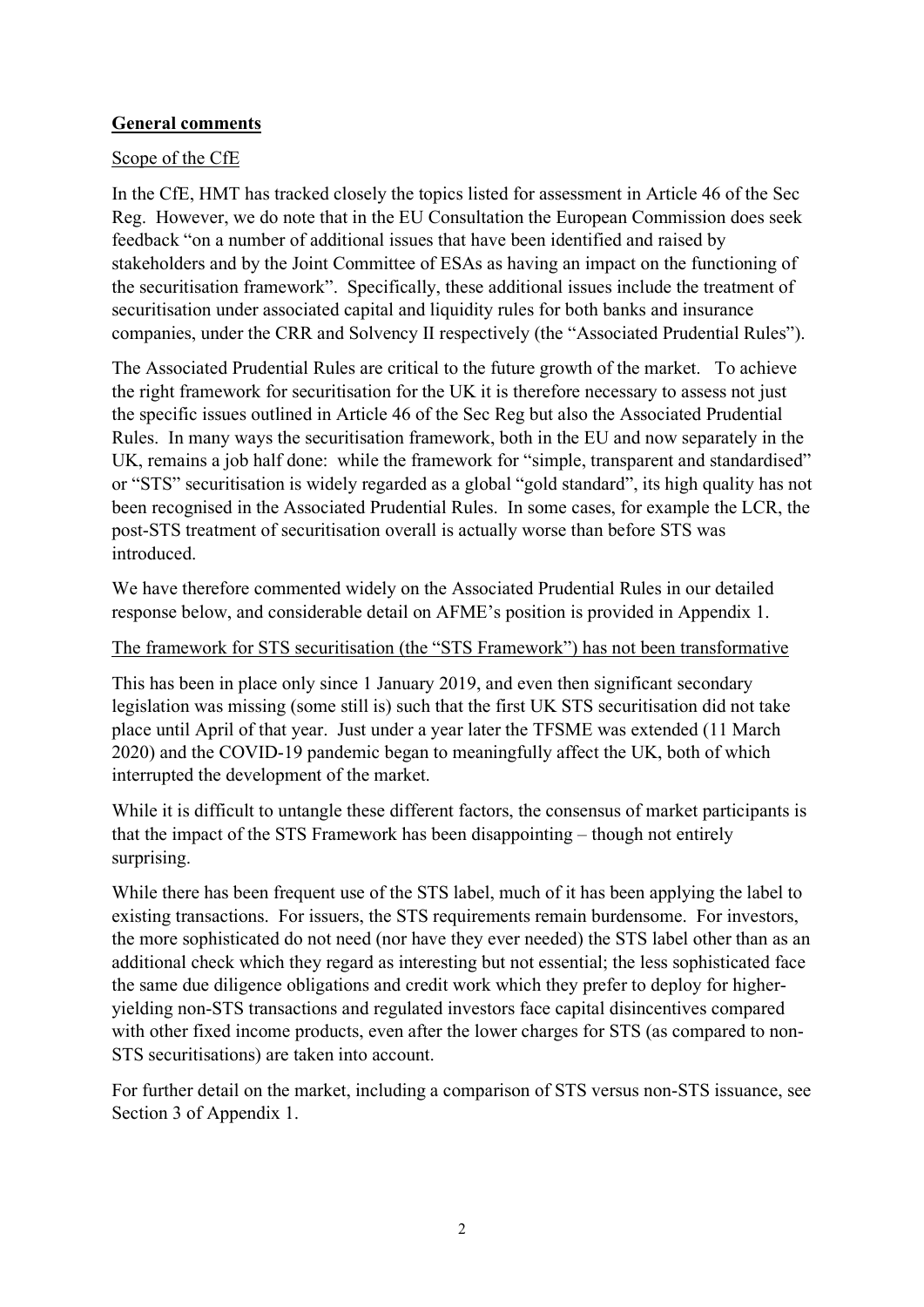### **General comments**

#### Scope of the CfE

In the CfE, HMT has tracked closely the topics listed for assessment in Article 46 of the Sec Reg. However, we do note that in the EU Consultation the European Commission does seek feedback "on a number of additional issues that have been identified and raised by stakeholders and by the Joint Committee of ESAs as having an impact on the functioning of the securitisation framework". Specifically, these additional issues include the treatment of securitisation under associated capital and liquidity rules for both banks and insurance companies, under the CRR and Solvency II respectively (the "Associated Prudential Rules").

The Associated Prudential Rules are critical to the future growth of the market. To achieve the right framework for securitisation for the UK it is therefore necessary to assess not just the specific issues outlined in Article 46 of the Sec Reg but also the Associated Prudential Rules. In many ways the securitisation framework, both in the EU and now separately in the UK, remains a job half done: while the framework for "simple, transparent and standardised" or "STS" securitisation is widely regarded as a global "gold standard", its high quality has not been recognised in the Associated Prudential Rules. In some cases, for example the LCR, the post-STS treatment of securitisation overall is actually worse than before STS was introduced.

We have therefore commented widely on the Associated Prudential Rules in our detailed response below, and considerable detail on AFME's position is provided in Appendix 1.

#### The framework for STS securitisation (the "STS Framework") has not been transformative

This has been in place only since 1 January 2019, and even then significant secondary legislation was missing (some still is) such that the first UK STS securitisation did not take place until April of that year. Just under a year later the TFSME was extended (11 March 2020) and the COVID-19 pandemic began to meaningfully affect the UK, both of which interrupted the development of the market.

While it is difficult to untangle these different factors, the consensus of market participants is that the impact of the STS Framework has been disappointing – though not entirely surprising.

While there has been frequent use of the STS label, much of it has been applying the label to existing transactions. For issuers, the STS requirements remain burdensome. For investors, the more sophisticated do not need (nor have they ever needed) the STS label other than as an additional check which they regard as interesting but not essential; the less sophisticated face the same due diligence obligations and credit work which they prefer to deploy for higheryielding non-STS transactions and regulated investors face capital disincentives compared with other fixed income products, even after the lower charges for STS (as compared to non-STS securitisations) are taken into account.

For further detail on the market, including a comparison of STS versus non-STS issuance, see Section 3 of Appendix 1.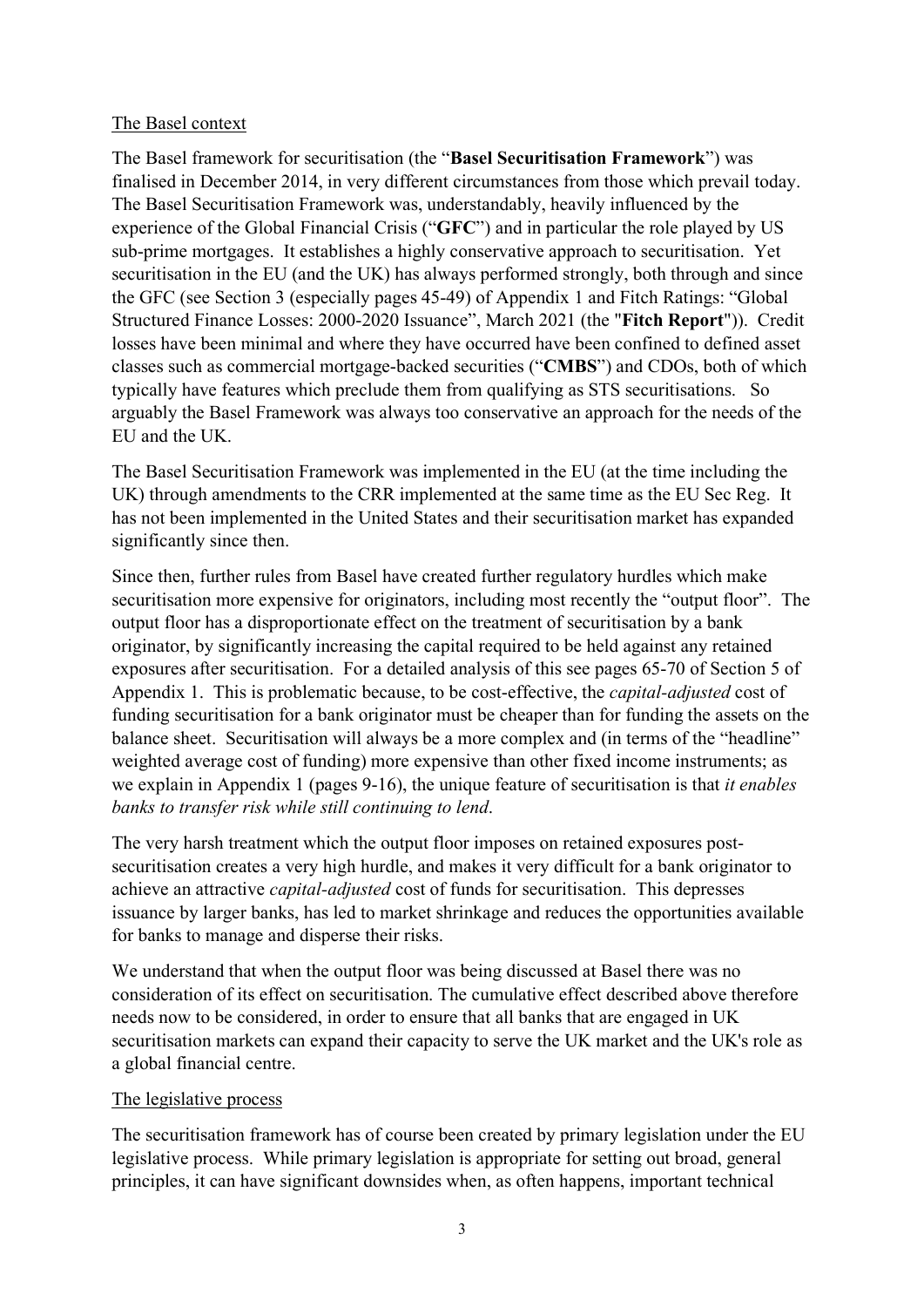#### The Basel context

The Basel framework for securitisation (the "**Basel Securitisation Framework**") was finalised in December 2014, in very different circumstances from those which prevail today. The Basel Securitisation Framework was, understandably, heavily influenced by the experience of the Global Financial Crisis ("**GFC**") and in particular the role played by US sub-prime mortgages. It establishes a highly conservative approach to securitisation. Yet securitisation in the EU (and the UK) has always performed strongly, both through and since the GFC (see Section 3 (especially pages 45-49) of Appendix 1 and Fitch Ratings: "Global Structured Finance Losses: 2000-2020 Issuance", March 2021 (the "**Fitch Report**")). Credit losses have been minimal and where they have occurred have been confined to defined asset classes such as commercial mortgage-backed securities ("**CMBS**") and CDOs, both of which typically have features which preclude them from qualifying as STS securitisations. So arguably the Basel Framework was always too conservative an approach for the needs of the EU and the UK.

The Basel Securitisation Framework was implemented in the EU (at the time including the UK) through amendments to the CRR implemented at the same time as the EU Sec Reg. It has not been implemented in the United States and their securitisation market has expanded significantly since then.

Since then, further rules from Basel have created further regulatory hurdles which make securitisation more expensive for originators, including most recently the "output floor". The output floor has a disproportionate effect on the treatment of securitisation by a bank originator, by significantly increasing the capital required to be held against any retained exposures after securitisation. For a detailed analysis of this see pages 65-70 of Section 5 of Appendix 1. This is problematic because, to be cost-effective, the *capital-adjusted* cost of funding securitisation for a bank originator must be cheaper than for funding the assets on the balance sheet. Securitisation will always be a more complex and (in terms of the "headline" weighted average cost of funding) more expensive than other fixed income instruments; as we explain in Appendix 1 (pages 9-16), the unique feature of securitisation is that *it enables banks to transfer risk while still continuing to lend*.

The very harsh treatment which the output floor imposes on retained exposures postsecuritisation creates a very high hurdle, and makes it very difficult for a bank originator to achieve an attractive *capital-adjusted* cost of funds for securitisation. This depresses issuance by larger banks, has led to market shrinkage and reduces the opportunities available for banks to manage and disperse their risks.

We understand that when the output floor was being discussed at Basel there was no consideration of its effect on securitisation. The cumulative effect described above therefore needs now to be considered, in order to ensure that all banks that are engaged in UK securitisation markets can expand their capacity to serve the UK market and the UK's role as a global financial centre.

#### The legislative process

The securitisation framework has of course been created by primary legislation under the EU legislative process. While primary legislation is appropriate for setting out broad, general principles, it can have significant downsides when, as often happens, important technical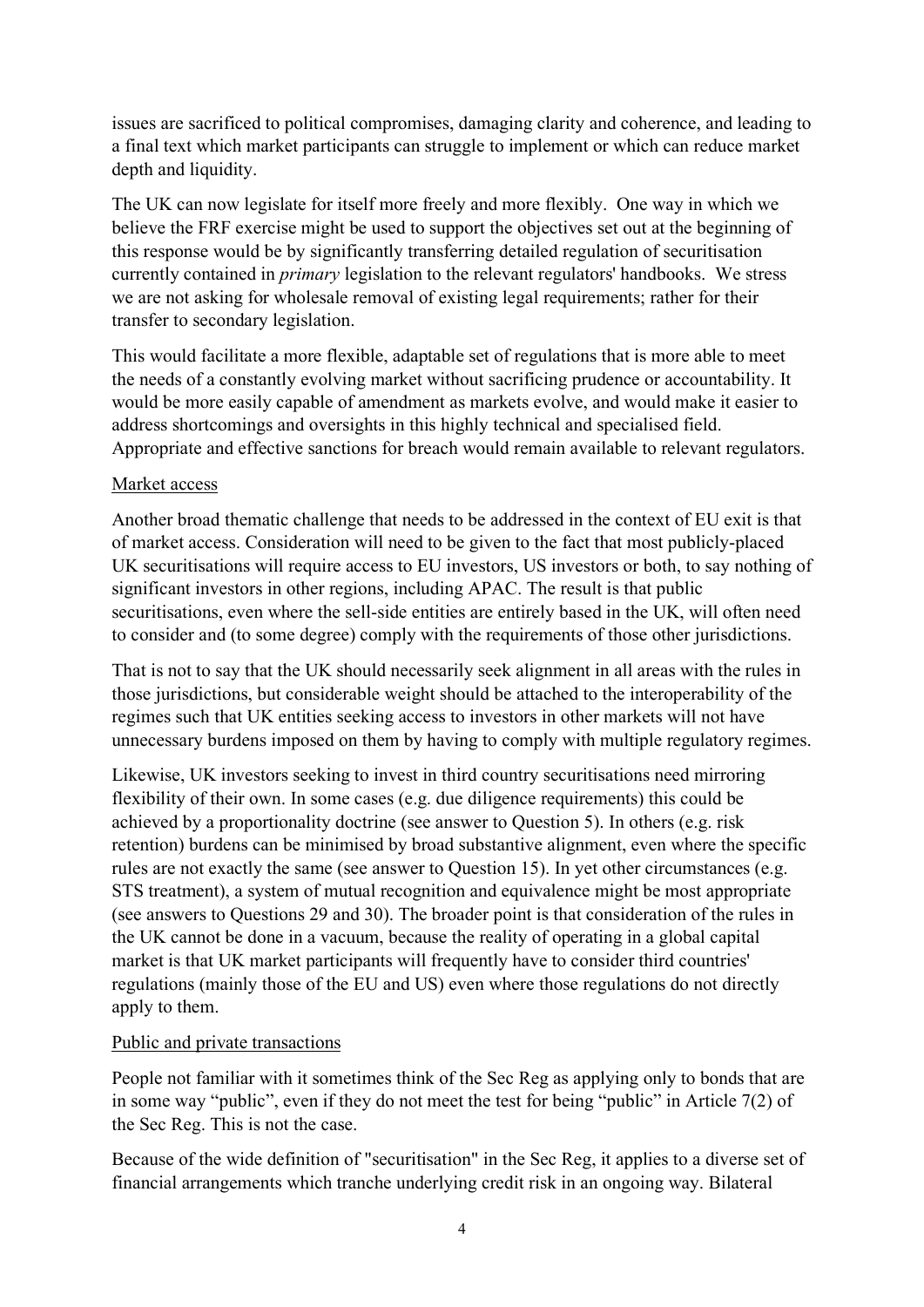issues are sacrificed to political compromises, damaging clarity and coherence, and leading to a final text which market participants can struggle to implement or which can reduce market depth and liquidity.

The UK can now legislate for itself more freely and more flexibly. One way in which we believe the FRF exercise might be used to support the objectives set out at the beginning of this response would be by significantly transferring detailed regulation of securitisation currently contained in *primary* legislation to the relevant regulators' handbooks. We stress we are not asking for wholesale removal of existing legal requirements; rather for their transfer to secondary legislation.

This would facilitate a more flexible, adaptable set of regulations that is more able to meet the needs of a constantly evolving market without sacrificing prudence or accountability. It would be more easily capable of amendment as markets evolve, and would make it easier to address shortcomings and oversights in this highly technical and specialised field. Appropriate and effective sanctions for breach would remain available to relevant regulators.

### Market access

Another broad thematic challenge that needs to be addressed in the context of EU exit is that of market access. Consideration will need to be given to the fact that most publicly-placed UK securitisations will require access to EU investors, US investors or both, to say nothing of significant investors in other regions, including APAC. The result is that public securitisations, even where the sell-side entities are entirely based in the UK, will often need to consider and (to some degree) comply with the requirements of those other jurisdictions.

That is not to say that the UK should necessarily seek alignment in all areas with the rules in those jurisdictions, but considerable weight should be attached to the interoperability of the regimes such that UK entities seeking access to investors in other markets will not have unnecessary burdens imposed on them by having to comply with multiple regulatory regimes.

Likewise, UK investors seeking to invest in third country securitisations need mirroring flexibility of their own. In some cases (e.g. due diligence requirements) this could be achieved by a proportionality doctrine (see answer to Question 5). In others (e.g. risk retention) burdens can be minimised by broad substantive alignment, even where the specific rules are not exactly the same (see answer to Question 15). In yet other circumstances (e.g. STS treatment), a system of mutual recognition and equivalence might be most appropriate (see answers to Questions 29 and 30). The broader point is that consideration of the rules in the UK cannot be done in a vacuum, because the reality of operating in a global capital market is that UK market participants will frequently have to consider third countries' regulations (mainly those of the EU and US) even where those regulations do not directly apply to them.

#### Public and private transactions

People not familiar with it sometimes think of the Sec Reg as applying only to bonds that are in some way "public", even if they do not meet the test for being "public" in Article 7(2) of the Sec Reg. This is not the case.

Because of the wide definition of "securitisation" in the Sec Reg, it applies to a diverse set of financial arrangements which tranche underlying credit risk in an ongoing way. Bilateral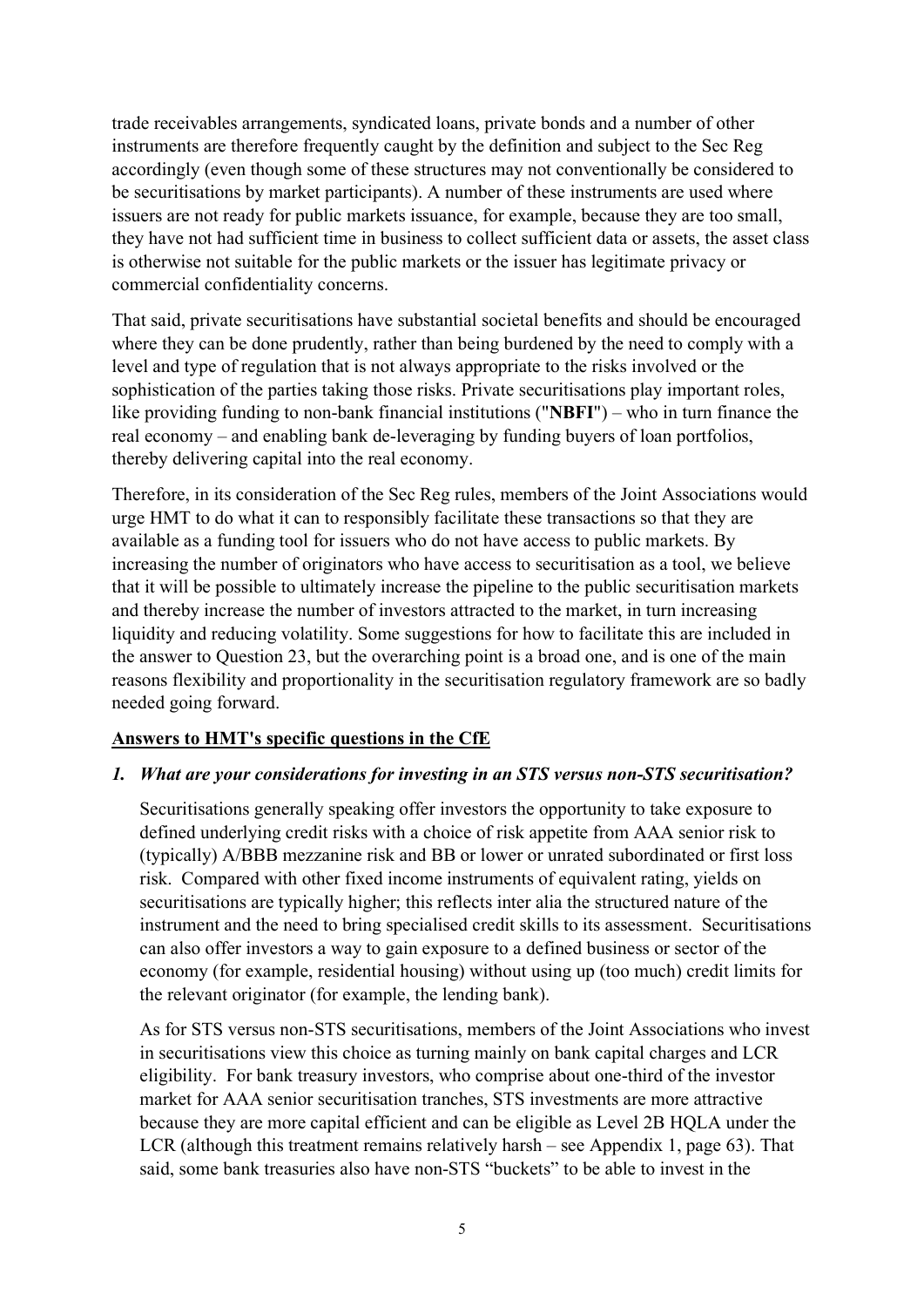trade receivables arrangements, syndicated loans, private bonds and a number of other instruments are therefore frequently caught by the definition and subject to the Sec Reg accordingly (even though some of these structures may not conventionally be considered to be securitisations by market participants). A number of these instruments are used where issuers are not ready for public markets issuance, for example, because they are too small, they have not had sufficient time in business to collect sufficient data or assets, the asset class is otherwise not suitable for the public markets or the issuer has legitimate privacy or commercial confidentiality concerns.

That said, private securitisations have substantial societal benefits and should be encouraged where they can be done prudently, rather than being burdened by the need to comply with a level and type of regulation that is not always appropriate to the risks involved or the sophistication of the parties taking those risks. Private securitisations play important roles, like providing funding to non-bank financial institutions ("**NBFI**") – who in turn finance the real economy – and enabling bank de-leveraging by funding buyers of loan portfolios, thereby delivering capital into the real economy.

Therefore, in its consideration of the Sec Reg rules, members of the Joint Associations would urge HMT to do what it can to responsibly facilitate these transactions so that they are available as a funding tool for issuers who do not have access to public markets. By increasing the number of originators who have access to securitisation as a tool, we believe that it will be possible to ultimately increase the pipeline to the public securitisation markets and thereby increase the number of investors attracted to the market, in turn increasing liquidity and reducing volatility. Some suggestions for how to facilitate this are included in the answer to Question 23, but the overarching point is a broad one, and is one of the main reasons flexibility and proportionality in the securitisation regulatory framework are so badly needed going forward.

#### **Answers to HMT's specific questions in the CfE**

#### *1. What are your considerations for investing in an STS versus non-STS securitisation?*

Securitisations generally speaking offer investors the opportunity to take exposure to defined underlying credit risks with a choice of risk appetite from AAA senior risk to (typically) A/BBB mezzanine risk and BB or lower or unrated subordinated or first loss risk. Compared with other fixed income instruments of equivalent rating, yields on securitisations are typically higher; this reflects inter alia the structured nature of the instrument and the need to bring specialised credit skills to its assessment. Securitisations can also offer investors a way to gain exposure to a defined business or sector of the economy (for example, residential housing) without using up (too much) credit limits for the relevant originator (for example, the lending bank).

As for STS versus non-STS securitisations, members of the Joint Associations who invest in securitisations view this choice as turning mainly on bank capital charges and LCR eligibility. For bank treasury investors, who comprise about one-third of the investor market for AAA senior securitisation tranches, STS investments are more attractive because they are more capital efficient and can be eligible as Level 2B HQLA under the LCR (although this treatment remains relatively harsh – see Appendix 1, page 63). That said, some bank treasuries also have non-STS "buckets" to be able to invest in the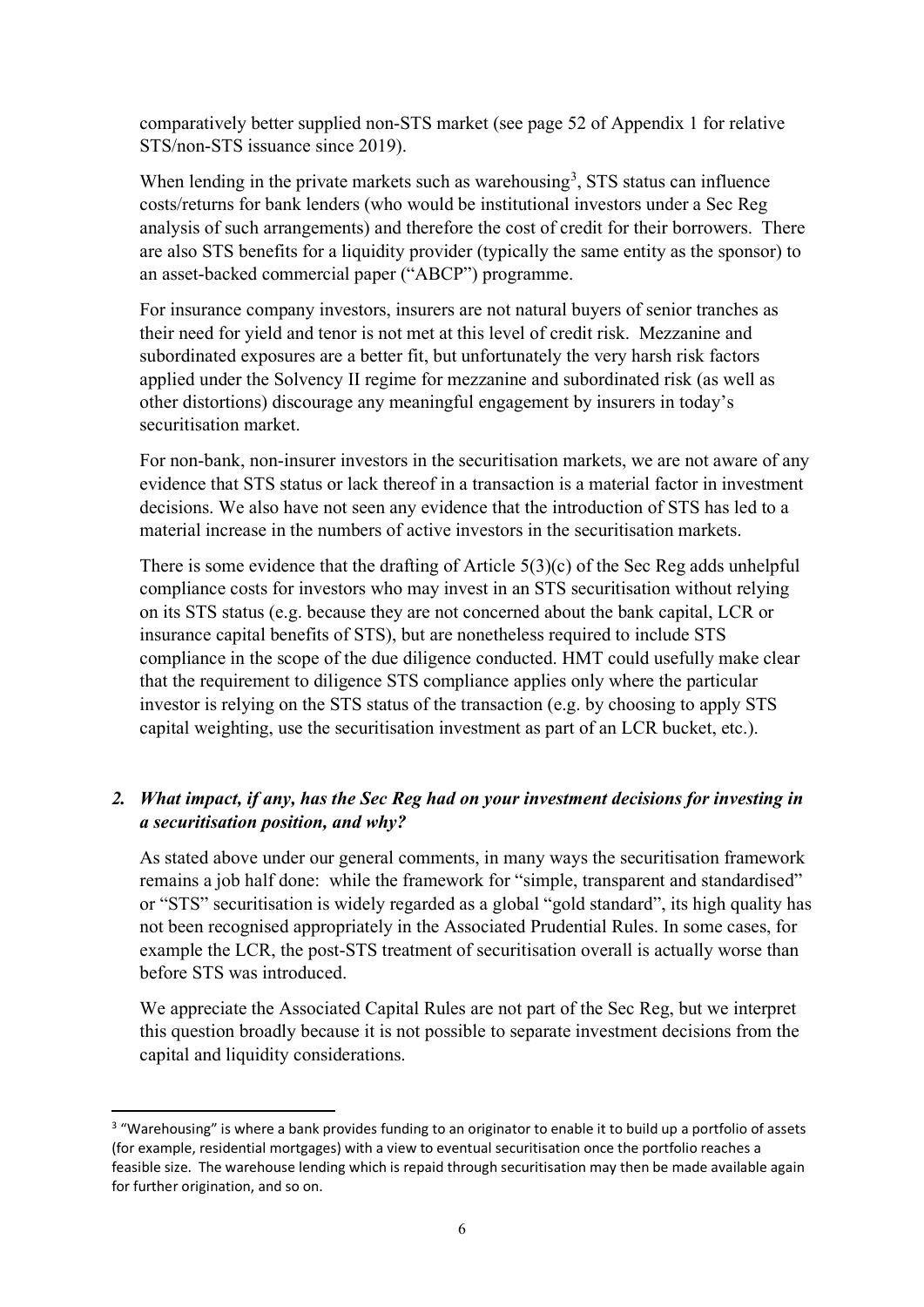comparatively better supplied non-STS market (see page 52 of Appendix 1 for relative STS/non-STS issuance since 2019).

When lending in the private markets such as warehousing<sup>[3](#page-5-0)</sup>, STS status can influence costs/returns for bank lenders (who would be institutional investors under a Sec Reg analysis of such arrangements) and therefore the cost of credit for their borrowers. There are also STS benefits for a liquidity provider (typically the same entity as the sponsor) to an asset-backed commercial paper ("ABCP") programme.

For insurance company investors, insurers are not natural buyers of senior tranches as their need for yield and tenor is not met at this level of credit risk. Mezzanine and subordinated exposures are a better fit, but unfortunately the very harsh risk factors applied under the Solvency II regime for mezzanine and subordinated risk (as well as other distortions) discourage any meaningful engagement by insurers in today's securitisation market.

For non-bank, non-insurer investors in the securitisation markets, we are not aware of any evidence that STS status or lack thereof in a transaction is a material factor in investment decisions. We also have not seen any evidence that the introduction of STS has led to a material increase in the numbers of active investors in the securitisation markets.

There is some evidence that the drafting of Article 5(3)(c) of the Sec Reg adds unhelpful compliance costs for investors who may invest in an STS securitisation without relying on its STS status (e.g. because they are not concerned about the bank capital, LCR or insurance capital benefits of STS), but are nonetheless required to include STS compliance in the scope of the due diligence conducted. HMT could usefully make clear that the requirement to diligence STS compliance applies only where the particular investor is relying on the STS status of the transaction (e.g. by choosing to apply STS capital weighting, use the securitisation investment as part of an LCR bucket, etc.).

### *2. What impact, if any, has the Sec Reg had on your investment decisions for investing in a securitisation position, and why?*

As stated above under our general comments, in many ways the securitisation framework remains a job half done: while the framework for "simple, transparent and standardised" or "STS" securitisation is widely regarded as a global "gold standard", its high quality has not been recognised appropriately in the Associated Prudential Rules. In some cases, for example the LCR, the post-STS treatment of securitisation overall is actually worse than before STS was introduced.

We appreciate the Associated Capital Rules are not part of the Sec Reg, but we interpret this question broadly because it is not possible to separate investment decisions from the capital and liquidity considerations.

<span id="page-5-0"></span><sup>&</sup>lt;sup>3</sup> "Warehousing" is where a bank provides funding to an originator to enable it to build up a portfolio of assets (for example, residential mortgages) with a view to eventual securitisation once the portfolio reaches a feasible size. The warehouse lending which is repaid through securitisation may then be made available again for further origination, and so on.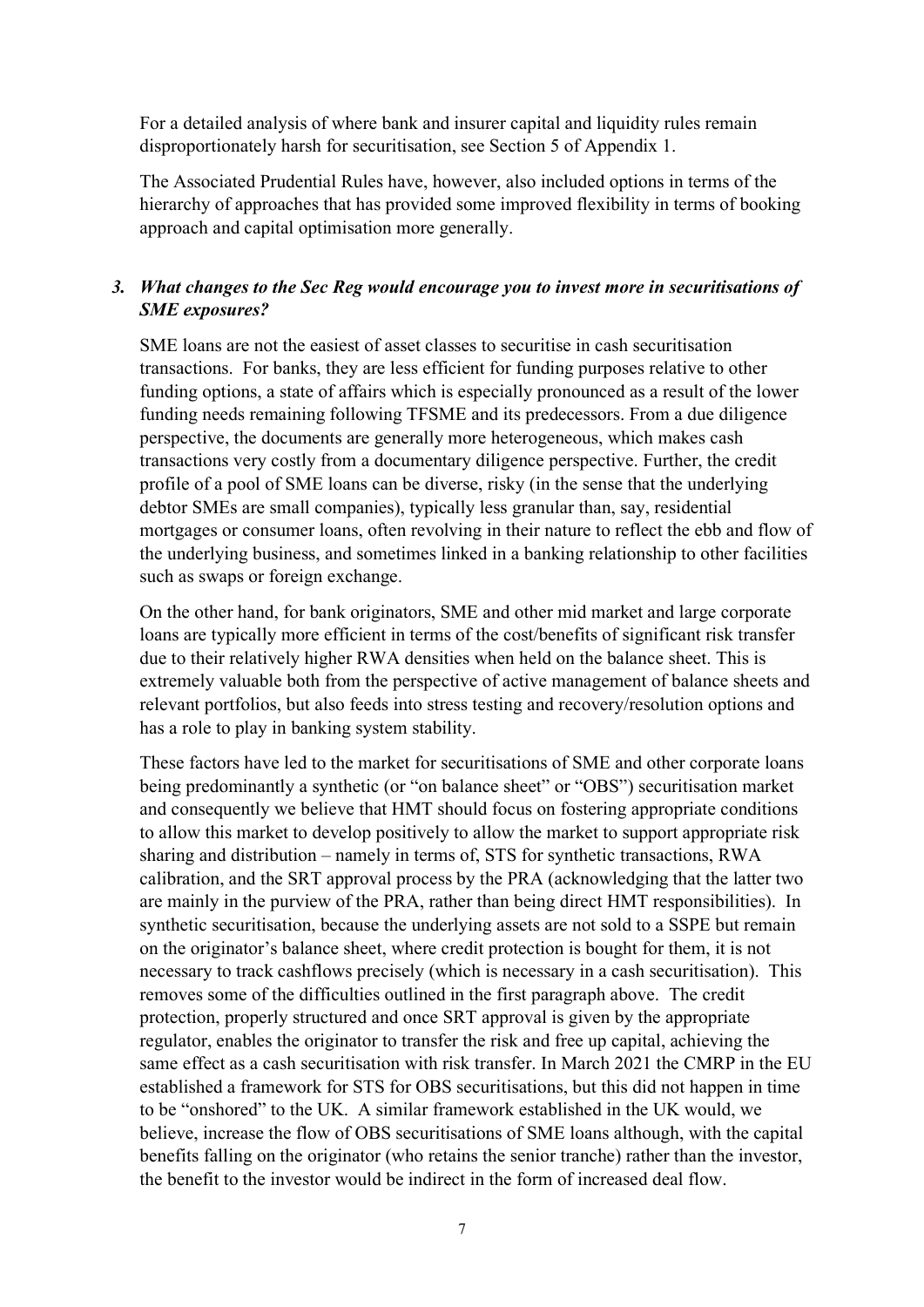For a detailed analysis of where bank and insurer capital and liquidity rules remain disproportionately harsh for securitisation, see Section 5 of Appendix 1.

The Associated Prudential Rules have, however, also included options in terms of the hierarchy of approaches that has provided some improved flexibility in terms of booking approach and capital optimisation more generally.

#### *3. What changes to the Sec Reg would encourage you to invest more in securitisations of SME exposures?*

SME loans are not the easiest of asset classes to securitise in cash securitisation transactions. For banks, they are less efficient for funding purposes relative to other funding options, a state of affairs which is especially pronounced as a result of the lower funding needs remaining following TFSME and its predecessors. From a due diligence perspective, the documents are generally more heterogeneous, which makes cash transactions very costly from a documentary diligence perspective. Further, the credit profile of a pool of SME loans can be diverse, risky (in the sense that the underlying debtor SMEs are small companies), typically less granular than, say, residential mortgages or consumer loans, often revolving in their nature to reflect the ebb and flow of the underlying business, and sometimes linked in a banking relationship to other facilities such as swaps or foreign exchange.

On the other hand, for bank originators, SME and other mid market and large corporate loans are typically more efficient in terms of the cost/benefits of significant risk transfer due to their relatively higher RWA densities when held on the balance sheet. This is extremely valuable both from the perspective of active management of balance sheets and relevant portfolios, but also feeds into stress testing and recovery/resolution options and has a role to play in banking system stability.

These factors have led to the market for securitisations of SME and other corporate loans being predominantly a synthetic (or "on balance sheet" or "OBS") securitisation market and consequently we believe that HMT should focus on fostering appropriate conditions to allow this market to develop positively to allow the market to support appropriate risk sharing and distribution – namely in terms of, STS for synthetic transactions, RWA calibration, and the SRT approval process by the PRA (acknowledging that the latter two are mainly in the purview of the PRA, rather than being direct HMT responsibilities). In synthetic securitisation, because the underlying assets are not sold to a SSPE but remain on the originator's balance sheet, where credit protection is bought for them, it is not necessary to track cashflows precisely (which is necessary in a cash securitisation). This removes some of the difficulties outlined in the first paragraph above. The credit protection, properly structured and once SRT approval is given by the appropriate regulator, enables the originator to transfer the risk and free up capital, achieving the same effect as a cash securitisation with risk transfer. In March 2021 the CMRP in the EU established a framework for STS for OBS securitisations, but this did not happen in time to be "onshored" to the UK. A similar framework established in the UK would, we believe, increase the flow of OBS securitisations of SME loans although, with the capital benefits falling on the originator (who retains the senior tranche) rather than the investor, the benefit to the investor would be indirect in the form of increased deal flow.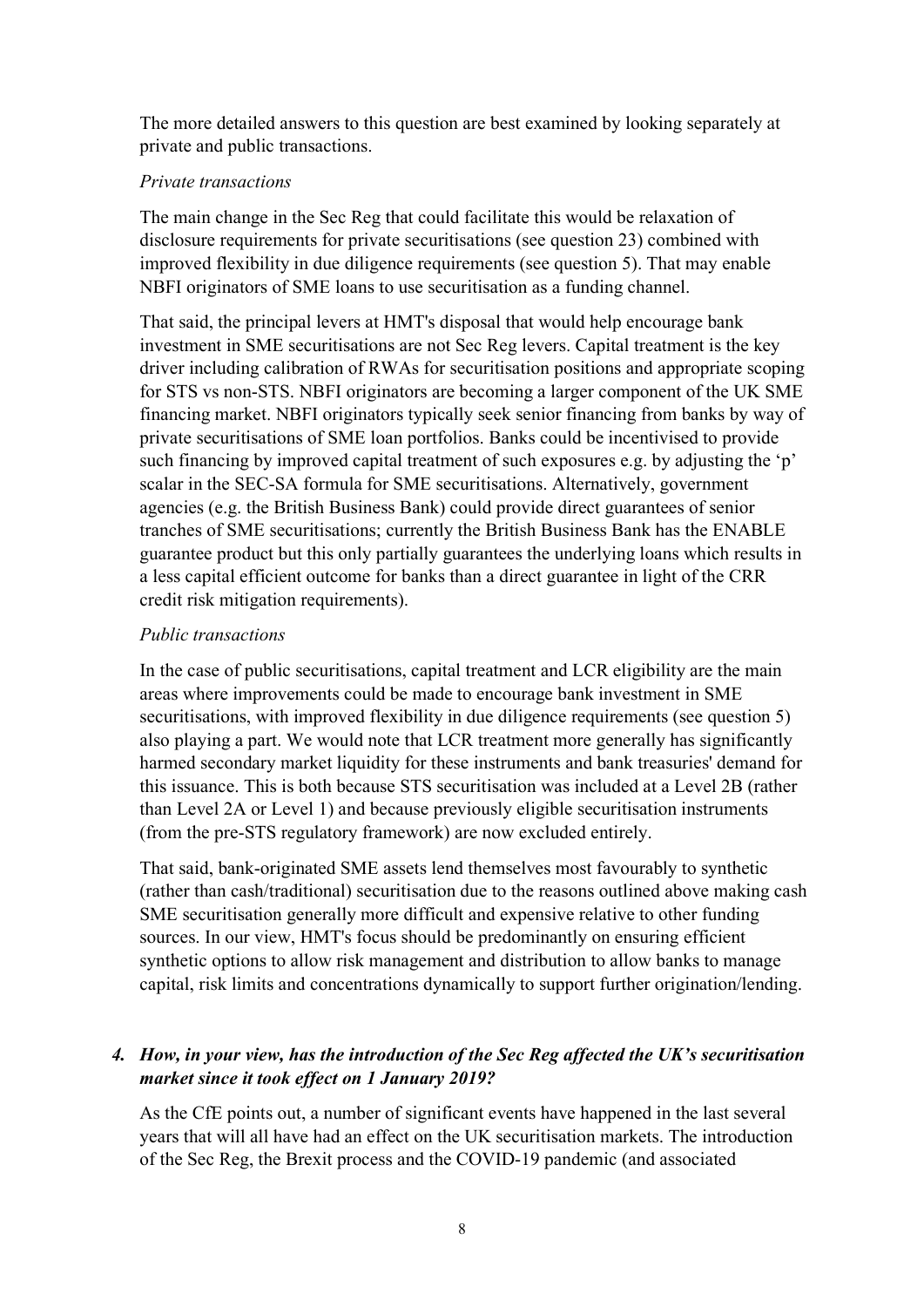The more detailed answers to this question are best examined by looking separately at private and public transactions.

#### *Private transactions*

The main change in the Sec Reg that could facilitate this would be relaxation of disclosure requirements for private securitisations (see question 23) combined with improved flexibility in due diligence requirements (see question 5). That may enable NBFI originators of SME loans to use securitisation as a funding channel.

That said, the principal levers at HMT's disposal that would help encourage bank investment in SME securitisations are not Sec Reg levers. Capital treatment is the key driver including calibration of RWAs for securitisation positions and appropriate scoping for STS vs non-STS. NBFI originators are becoming a larger component of the UK SME financing market. NBFI originators typically seek senior financing from banks by way of private securitisations of SME loan portfolios. Banks could be incentivised to provide such financing by improved capital treatment of such exposures e.g. by adjusting the 'p' scalar in the SEC-SA formula for SME securitisations. Alternatively, government agencies (e.g. the British Business Bank) could provide direct guarantees of senior tranches of SME securitisations; currently the British Business Bank has the ENABLE guarantee product but this only partially guarantees the underlying loans which results in a less capital efficient outcome for banks than a direct guarantee in light of the CRR credit risk mitigation requirements).

#### *Public transactions*

In the case of public securitisations, capital treatment and LCR eligibility are the main areas where improvements could be made to encourage bank investment in SME securitisations, with improved flexibility in due diligence requirements (see question 5) also playing a part. We would note that LCR treatment more generally has significantly harmed secondary market liquidity for these instruments and bank treasuries' demand for this issuance. This is both because STS securitisation was included at a Level 2B (rather than Level 2A or Level 1) and because previously eligible securitisation instruments (from the pre-STS regulatory framework) are now excluded entirely.

That said, bank-originated SME assets lend themselves most favourably to synthetic (rather than cash/traditional) securitisation due to the reasons outlined above making cash SME securitisation generally more difficult and expensive relative to other funding sources. In our view, HMT's focus should be predominantly on ensuring efficient synthetic options to allow risk management and distribution to allow banks to manage capital, risk limits and concentrations dynamically to support further origination/lending.

# *4. How, in your view, has the introduction of the Sec Reg affected the UK's securitisation market since it took effect on 1 January 2019?*

As the CfE points out, a number of significant events have happened in the last several years that will all have had an effect on the UK securitisation markets. The introduction of the Sec Reg, the Brexit process and the COVID-19 pandemic (and associated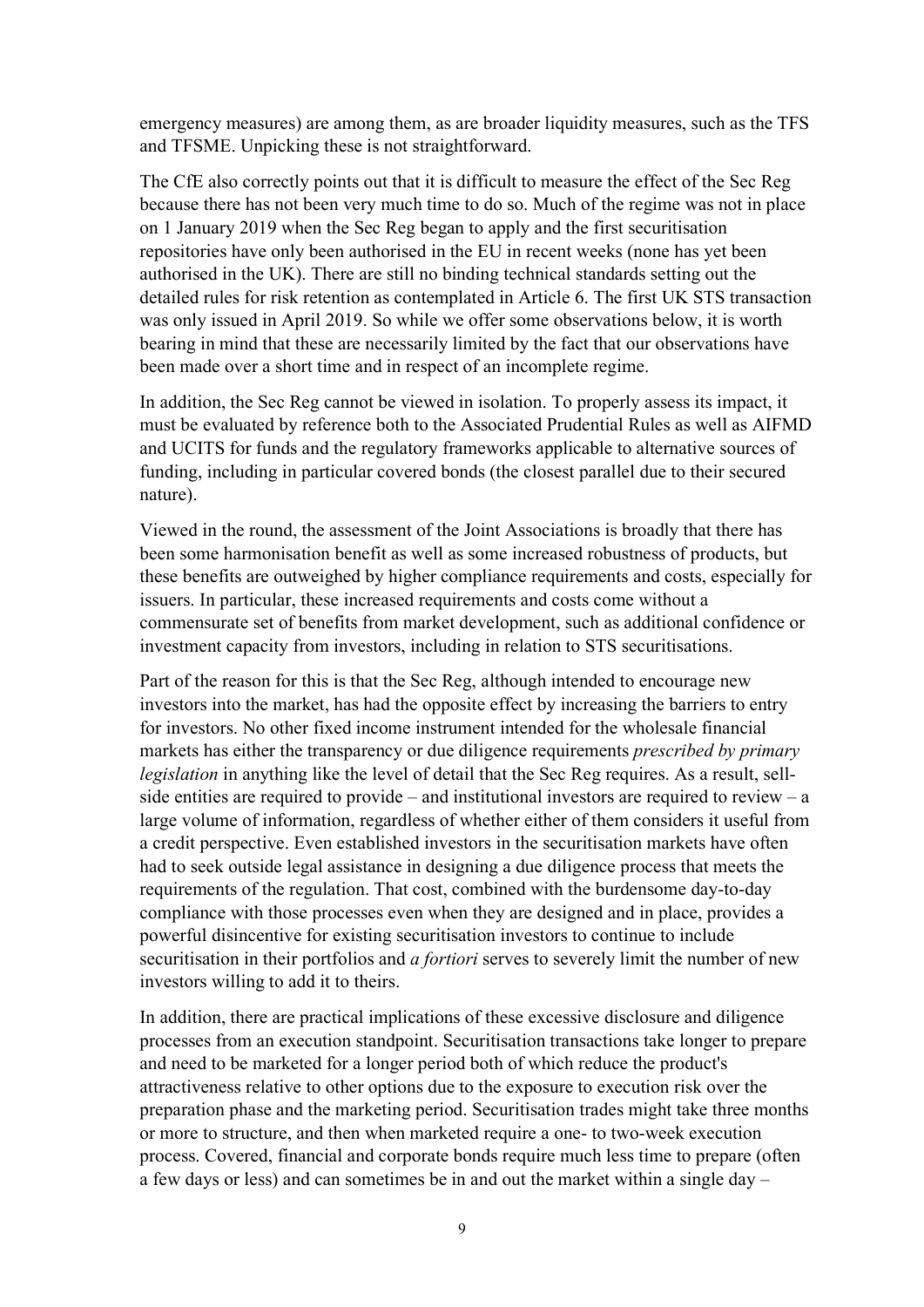emergency measures) are among them, as are broader liquidity measures, such as the TFS and TFSME. Unpicking these is not straightforward.

The CfE also correctly points out that it is difficult to measure the effect of the Sec Reg because there has not been very much time to do so. Much of the regime was not in place on 1 January 2019 when the Sec Reg began to apply and the first securitisation repositories have only been authorised in the EU in recent weeks (none has yet been authorised in the UK). There are still no binding technical standards setting out the detailed rules for risk retention as contemplated in Article 6. The first UK STS transaction was only issued in April 2019. So while we offer some observations below, it is worth bearing in mind that these are necessarily limited by the fact that our observations have been made over a short time and in respect of an incomplete regime.

In addition, the Sec Reg cannot be viewed in isolation. To properly assess its impact, it must be evaluated by reference both to the Associated Prudential Rules as well as AIFMD and UCITS for funds and the regulatory frameworks applicable to alternative sources of funding, including in particular covered bonds (the closest parallel due to their secured nature).

Viewed in the round, the assessment of the Joint Associations is broadly that there has been some harmonisation benefit as well as some increased robustness of products, but these benefits are outweighed by higher compliance requirements and costs, especially for issuers. In particular, these increased requirements and costs come without a commensurate set of benefits from market development, such as additional confidence or investment capacity from investors, including in relation to STS securitisations.

Part of the reason for this is that the Sec Reg, although intended to encourage new investors into the market, has had the opposite effect by increasing the barriers to entry for investors. No other fixed income instrument intended for the wholesale financial markets has either the transparency or due diligence requirements *prescribed by primary legislation* in anything like the level of detail that the Sec Reg requires. As a result, sellside entities are required to provide – and institutional investors are required to review – a large volume of information, regardless of whether either of them considers it useful from a credit perspective. Even established investors in the securitisation markets have often had to seek outside legal assistance in designing a due diligence process that meets the requirements of the regulation. That cost, combined with the burdensome day-to-day compliance with those processes even when they are designed and in place, provides a powerful disincentive for existing securitisation investors to continue to include securitisation in their portfolios and *a fortiori* serves to severely limit the number of new investors willing to add it to theirs.

In addition, there are practical implications of these excessive disclosure and diligence processes from an execution standpoint. Securitisation transactions take longer to prepare and need to be marketed for a longer period both of which reduce the product's attractiveness relative to other options due to the exposure to execution risk over the preparation phase and the marketing period. Securitisation trades might take three months or more to structure, and then when marketed require a one- to two-week execution process. Covered, financial and corporate bonds require much less time to prepare (often a few days or less) and can sometimes be in and out the market within a single day –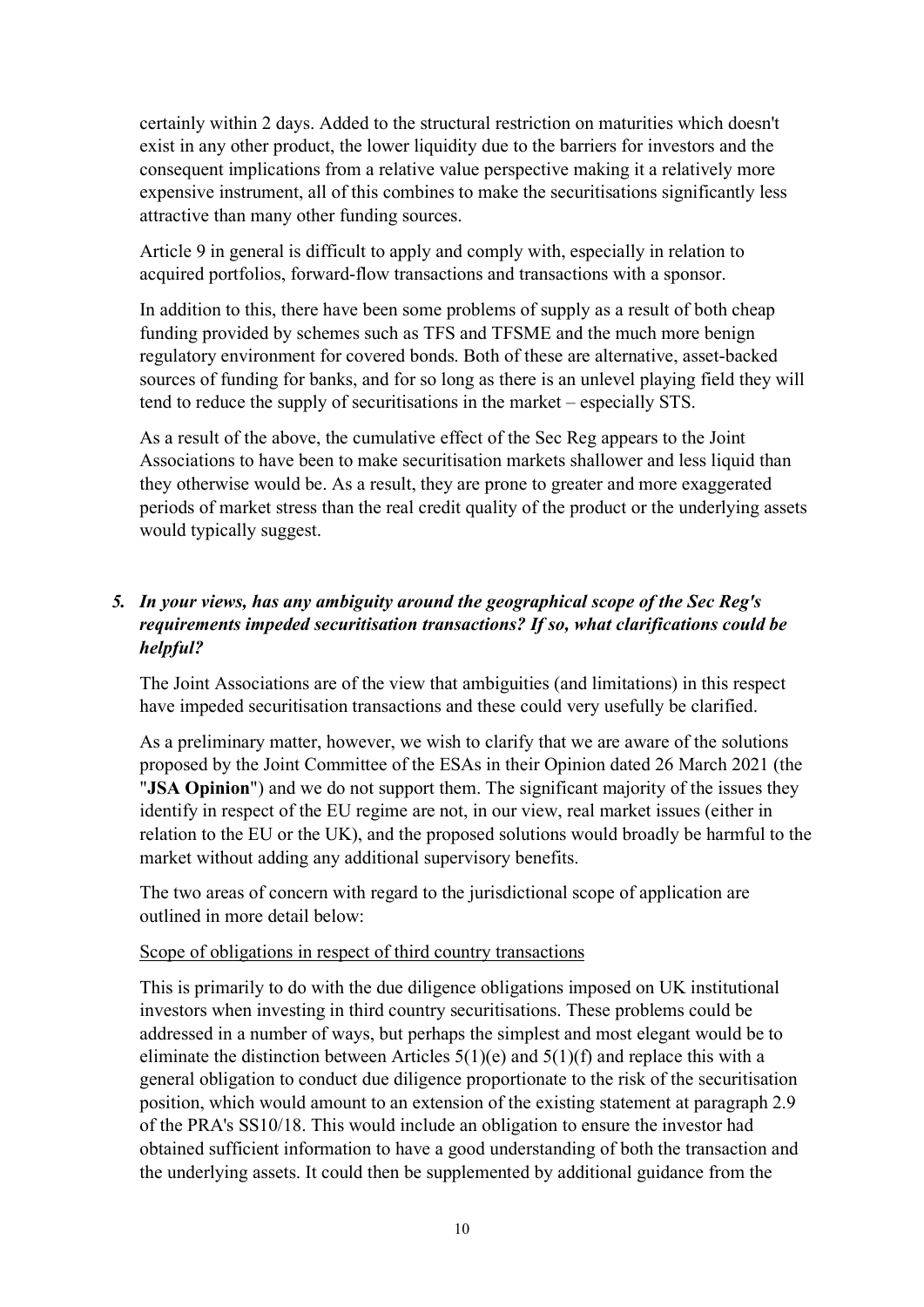certainly within 2 days. Added to the structural restriction on maturities which doesn't exist in any other product, the lower liquidity due to the barriers for investors and the consequent implications from a relative value perspective making it a relatively more expensive instrument, all of this combines to make the securitisations significantly less attractive than many other funding sources.

Article 9 in general is difficult to apply and comply with, especially in relation to acquired portfolios, forward-flow transactions and transactions with a sponsor.

In addition to this, there have been some problems of supply as a result of both cheap funding provided by schemes such as TFS and TFSME and the much more benign regulatory environment for covered bonds. Both of these are alternative, asset-backed sources of funding for banks, and for so long as there is an unlevel playing field they will tend to reduce the supply of securitisations in the market – especially STS.

As a result of the above, the cumulative effect of the Sec Reg appears to the Joint Associations to have been to make securitisation markets shallower and less liquid than they otherwise would be. As a result, they are prone to greater and more exaggerated periods of market stress than the real credit quality of the product or the underlying assets would typically suggest.

# *5. In your views, has any ambiguity around the geographical scope of the Sec Reg's requirements impeded securitisation transactions? If so, what clarifications could be helpful?*

The Joint Associations are of the view that ambiguities (and limitations) in this respect have impeded securitisation transactions and these could very usefully be clarified.

As a preliminary matter, however, we wish to clarify that we are aware of the solutions proposed by the Joint Committee of the ESAs in their Opinion dated 26 March 2021 (the "**JSA Opinion**") and we do not support them. The significant majority of the issues they identify in respect of the EU regime are not, in our view, real market issues (either in relation to the EU or the UK), and the proposed solutions would broadly be harmful to the market without adding any additional supervisory benefits.

The two areas of concern with regard to the jurisdictional scope of application are outlined in more detail below:

#### Scope of obligations in respect of third country transactions

This is primarily to do with the due diligence obligations imposed on UK institutional investors when investing in third country securitisations. These problems could be addressed in a number of ways, but perhaps the simplest and most elegant would be to eliminate the distinction between Articles  $5(1)(e)$  and  $5(1)(f)$  and replace this with a general obligation to conduct due diligence proportionate to the risk of the securitisation position, which would amount to an extension of the existing statement at paragraph 2.9 of the PRA's SS10/18. This would include an obligation to ensure the investor had obtained sufficient information to have a good understanding of both the transaction and the underlying assets. It could then be supplemented by additional guidance from the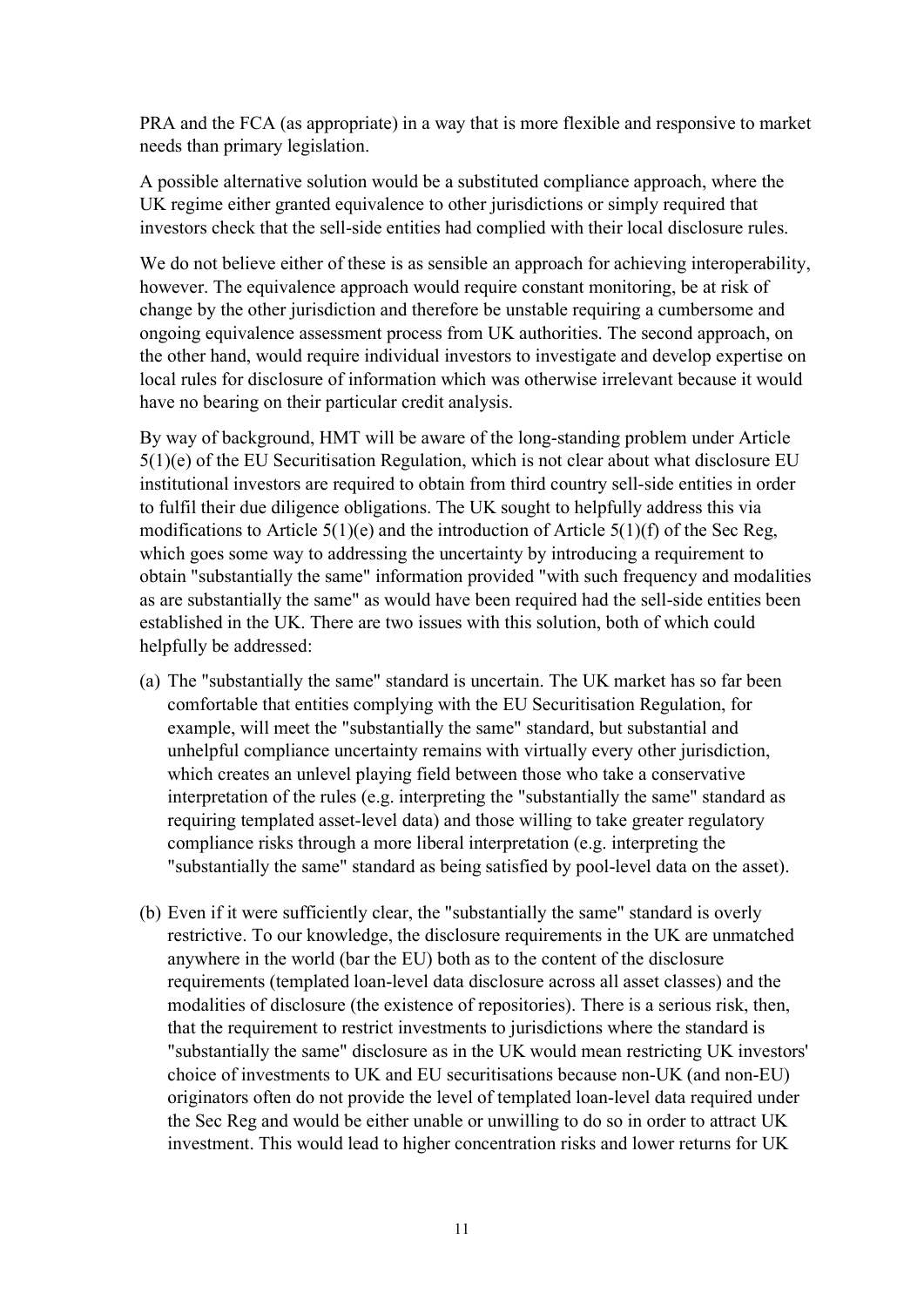PRA and the FCA (as appropriate) in a way that is more flexible and responsive to market needs than primary legislation.

A possible alternative solution would be a substituted compliance approach, where the UK regime either granted equivalence to other jurisdictions or simply required that investors check that the sell-side entities had complied with their local disclosure rules.

We do not believe either of these is as sensible an approach for achieving interoperability, however. The equivalence approach would require constant monitoring, be at risk of change by the other jurisdiction and therefore be unstable requiring a cumbersome and ongoing equivalence assessment process from UK authorities. The second approach, on the other hand, would require individual investors to investigate and develop expertise on local rules for disclosure of information which was otherwise irrelevant because it would have no bearing on their particular credit analysis.

By way of background, HMT will be aware of the long-standing problem under Article 5(1)(e) of the EU Securitisation Regulation, which is not clear about what disclosure EU institutional investors are required to obtain from third country sell-side entities in order to fulfil their due diligence obligations. The UK sought to helpfully address this via modifications to Article  $5(1)(e)$  and the introduction of Article  $5(1)(f)$  of the Sec Reg, which goes some way to addressing the uncertainty by introducing a requirement to obtain "substantially the same" information provided "with such frequency and modalities as are substantially the same" as would have been required had the sell-side entities been established in the UK. There are two issues with this solution, both of which could helpfully be addressed:

- (a) The "substantially the same" standard is uncertain. The UK market has so far been comfortable that entities complying with the EU Securitisation Regulation, for example, will meet the "substantially the same" standard, but substantial and unhelpful compliance uncertainty remains with virtually every other jurisdiction, which creates an unlevel playing field between those who take a conservative interpretation of the rules (e.g. interpreting the "substantially the same" standard as requiring templated asset-level data) and those willing to take greater regulatory compliance risks through a more liberal interpretation (e.g. interpreting the "substantially the same" standard as being satisfied by pool-level data on the asset).
- (b) Even if it were sufficiently clear, the "substantially the same" standard is overly restrictive. To our knowledge, the disclosure requirements in the UK are unmatched anywhere in the world (bar the EU) both as to the content of the disclosure requirements (templated loan-level data disclosure across all asset classes) and the modalities of disclosure (the existence of repositories). There is a serious risk, then, that the requirement to restrict investments to jurisdictions where the standard is "substantially the same" disclosure as in the UK would mean restricting UK investors' choice of investments to UK and EU securitisations because non-UK (and non-EU) originators often do not provide the level of templated loan-level data required under the Sec Reg and would be either unable or unwilling to do so in order to attract UK investment. This would lead to higher concentration risks and lower returns for UK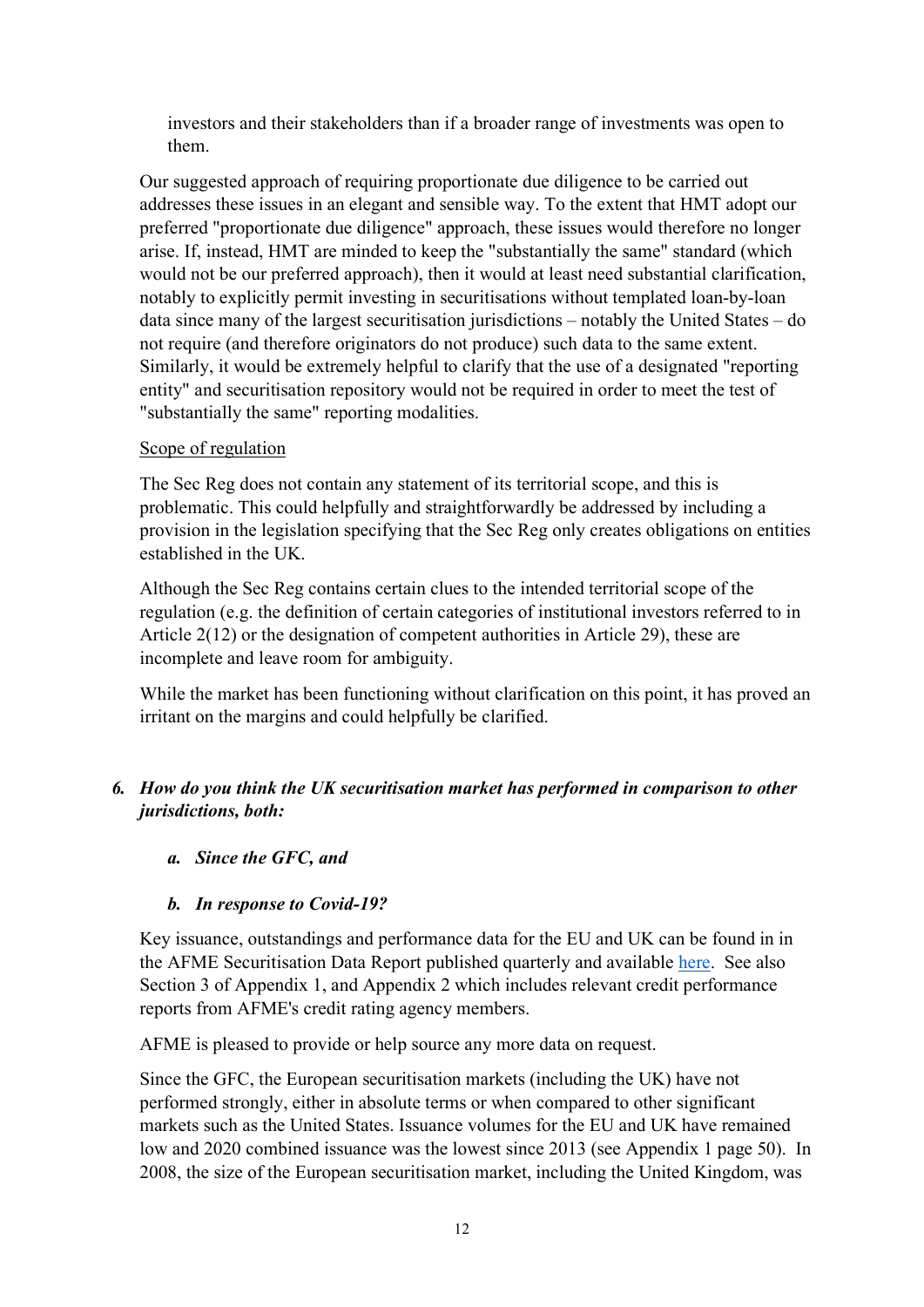investors and their stakeholders than if a broader range of investments was open to them.

Our suggested approach of requiring proportionate due diligence to be carried out addresses these issues in an elegant and sensible way. To the extent that HMT adopt our preferred "proportionate due diligence" approach, these issues would therefore no longer arise. If, instead, HMT are minded to keep the "substantially the same" standard (which would not be our preferred approach), then it would at least need substantial clarification, notably to explicitly permit investing in securitisations without templated loan-by-loan data since many of the largest securitisation jurisdictions – notably the United States – do not require (and therefore originators do not produce) such data to the same extent. Similarly, it would be extremely helpful to clarify that the use of a designated "reporting entity" and securitisation repository would not be required in order to meet the test of "substantially the same" reporting modalities.

#### Scope of regulation

The Sec Reg does not contain any statement of its territorial scope, and this is problematic. This could helpfully and straightforwardly be addressed by including a provision in the legislation specifying that the Sec Reg only creates obligations on entities established in the UK.

Although the Sec Reg contains certain clues to the intended territorial scope of the regulation (e.g. the definition of certain categories of institutional investors referred to in Article 2(12) or the designation of competent authorities in Article 29), these are incomplete and leave room for ambiguity.

While the market has been functioning without clarification on this point, it has proved an irritant on the margins and could helpfully be clarified.

# *6. How do you think the UK securitisation market has performed in comparison to other jurisdictions, both:*

# *a. Since the GFC, and*

# *b. In response to Covid-19?*

Key issuance, outstandings and performance data for the EU and UK can be found in in the AFME Securitisation Data Report published quarterly and available [here.](https://www.afme.eu/Publications/Data-Research) See also Section 3 of Appendix 1, and Appendix 2 which includes relevant credit performance reports from AFME's credit rating agency members.

AFME is pleased to provide or help source any more data on request.

Since the GFC, the European securitisation markets (including the UK) have not performed strongly, either in absolute terms or when compared to other significant markets such as the United States. Issuance volumes for the EU and UK have remained low and 2020 combined issuance was the lowest since 2013 (see Appendix 1 page 50). In 2008, the size of the European securitisation market, including the United Kingdom, was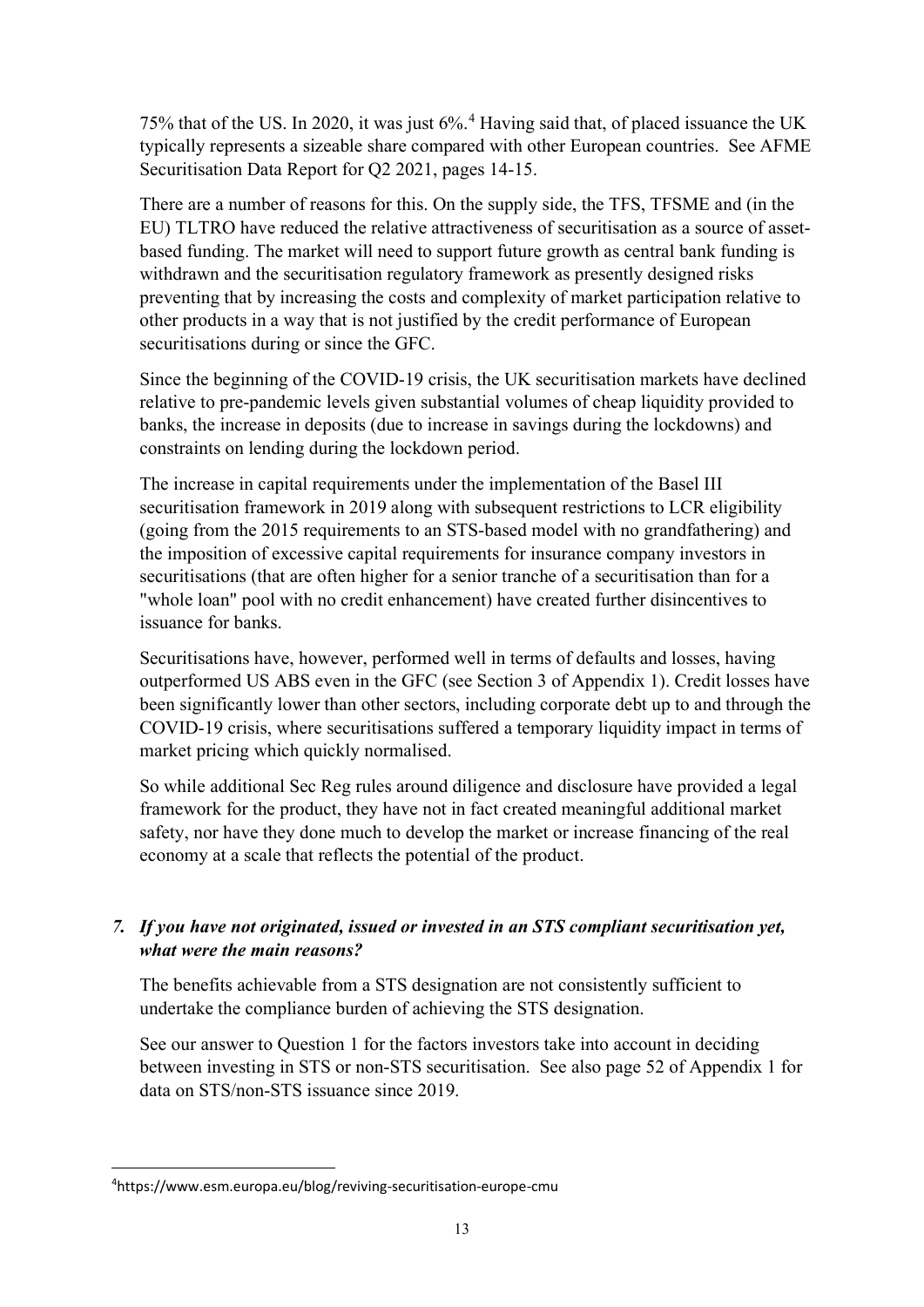75% that of the US. In 2020, it was just 6%.[4](#page-12-0) Having said that, of placed issuance the UK typically represents a sizeable share compared with other European countries. See AFME Securitisation Data Report for Q2 2021, pages 14-15.

There are a number of reasons for this. On the supply side, the TFS, TFSME and (in the EU) TLTRO have reduced the relative attractiveness of securitisation as a source of assetbased funding. The market will need to support future growth as central bank funding is withdrawn and the securitisation regulatory framework as presently designed risks preventing that by increasing the costs and complexity of market participation relative to other products in a way that is not justified by the credit performance of European securitisations during or since the GFC.

Since the beginning of the COVID-19 crisis, the UK securitisation markets have declined relative to pre-pandemic levels given substantial volumes of cheap liquidity provided to banks, the increase in deposits (due to increase in savings during the lockdowns) and constraints on lending during the lockdown period.

The increase in capital requirements under the implementation of the Basel III securitisation framework in 2019 along with subsequent restrictions to LCR eligibility (going from the 2015 requirements to an STS-based model with no grandfathering) and the imposition of excessive capital requirements for insurance company investors in securitisations (that are often higher for a senior tranche of a securitisation than for a "whole loan" pool with no credit enhancement) have created further disincentives to issuance for banks.

Securitisations have, however, performed well in terms of defaults and losses, having outperformed US ABS even in the GFC (see Section 3 of Appendix 1). Credit losses have been significantly lower than other sectors, including corporate debt up to and through the COVID-19 crisis, where securitisations suffered a temporary liquidity impact in terms of market pricing which quickly normalised.

So while additional Sec Reg rules around diligence and disclosure have provided a legal framework for the product, they have not in fact created meaningful additional market safety, nor have they done much to develop the market or increase financing of the real economy at a scale that reflects the potential of the product.

# *7. If you have not originated, issued or invested in an STS compliant securitisation yet, what were the main reasons?*

The benefits achievable from a STS designation are not consistently sufficient to undertake the compliance burden of achieving the STS designation.

See our answer to Question 1 for the factors investors take into account in deciding between investing in STS or non-STS securitisation. See also page 52 of Appendix 1 for data on STS/non-STS issuance since 2019.

<span id="page-12-0"></span><sup>4</sup> https://www.esm.europa.eu/blog/reviving-securitisation-europe-cmu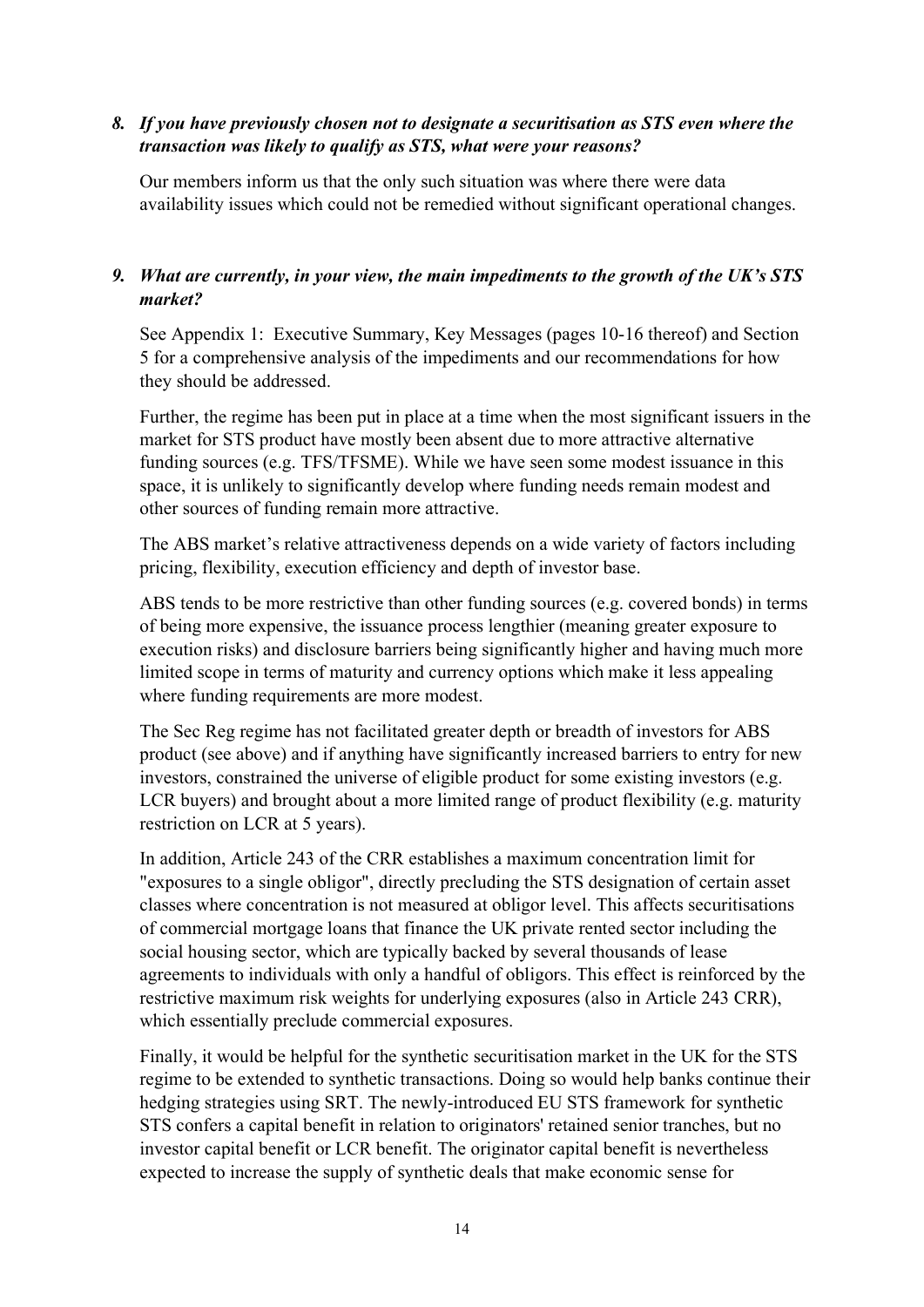### *8. If you have previously chosen not to designate a securitisation as STS even where the transaction was likely to qualify as STS, what were your reasons?*

Our members inform us that the only such situation was where there were data availability issues which could not be remedied without significant operational changes.

### *9. What are currently, in your view, the main impediments to the growth of the UK's STS market?*

See Appendix 1: Executive Summary, Key Messages (pages 10-16 thereof) and Section 5 for a comprehensive analysis of the impediments and our recommendations for how they should be addressed.

Further, the regime has been put in place at a time when the most significant issuers in the market for STS product have mostly been absent due to more attractive alternative funding sources (e.g. TFS/TFSME). While we have seen some modest issuance in this space, it is unlikely to significantly develop where funding needs remain modest and other sources of funding remain more attractive.

The ABS market's relative attractiveness depends on a wide variety of factors including pricing, flexibility, execution efficiency and depth of investor base.

ABS tends to be more restrictive than other funding sources (e.g. covered bonds) in terms of being more expensive, the issuance process lengthier (meaning greater exposure to execution risks) and disclosure barriers being significantly higher and having much more limited scope in terms of maturity and currency options which make it less appealing where funding requirements are more modest.

The Sec Reg regime has not facilitated greater depth or breadth of investors for ABS product (see above) and if anything have significantly increased barriers to entry for new investors, constrained the universe of eligible product for some existing investors (e.g. LCR buyers) and brought about a more limited range of product flexibility (e.g. maturity restriction on LCR at 5 years).

In addition, Article 243 of the CRR establishes a maximum concentration limit for "exposures to a single obligor", directly precluding the STS designation of certain asset classes where concentration is not measured at obligor level. This affects securitisations of commercial mortgage loans that finance the UK private rented sector including the social housing sector, which are typically backed by several thousands of lease agreements to individuals with only a handful of obligors. This effect is reinforced by the restrictive maximum risk weights for underlying exposures (also in Article 243 CRR), which essentially preclude commercial exposures.

Finally, it would be helpful for the synthetic securitisation market in the UK for the STS regime to be extended to synthetic transactions. Doing so would help banks continue their hedging strategies using SRT. The newly-introduced EU STS framework for synthetic STS confers a capital benefit in relation to originators' retained senior tranches, but no investor capital benefit or LCR benefit. The originator capital benefit is nevertheless expected to increase the supply of synthetic deals that make economic sense for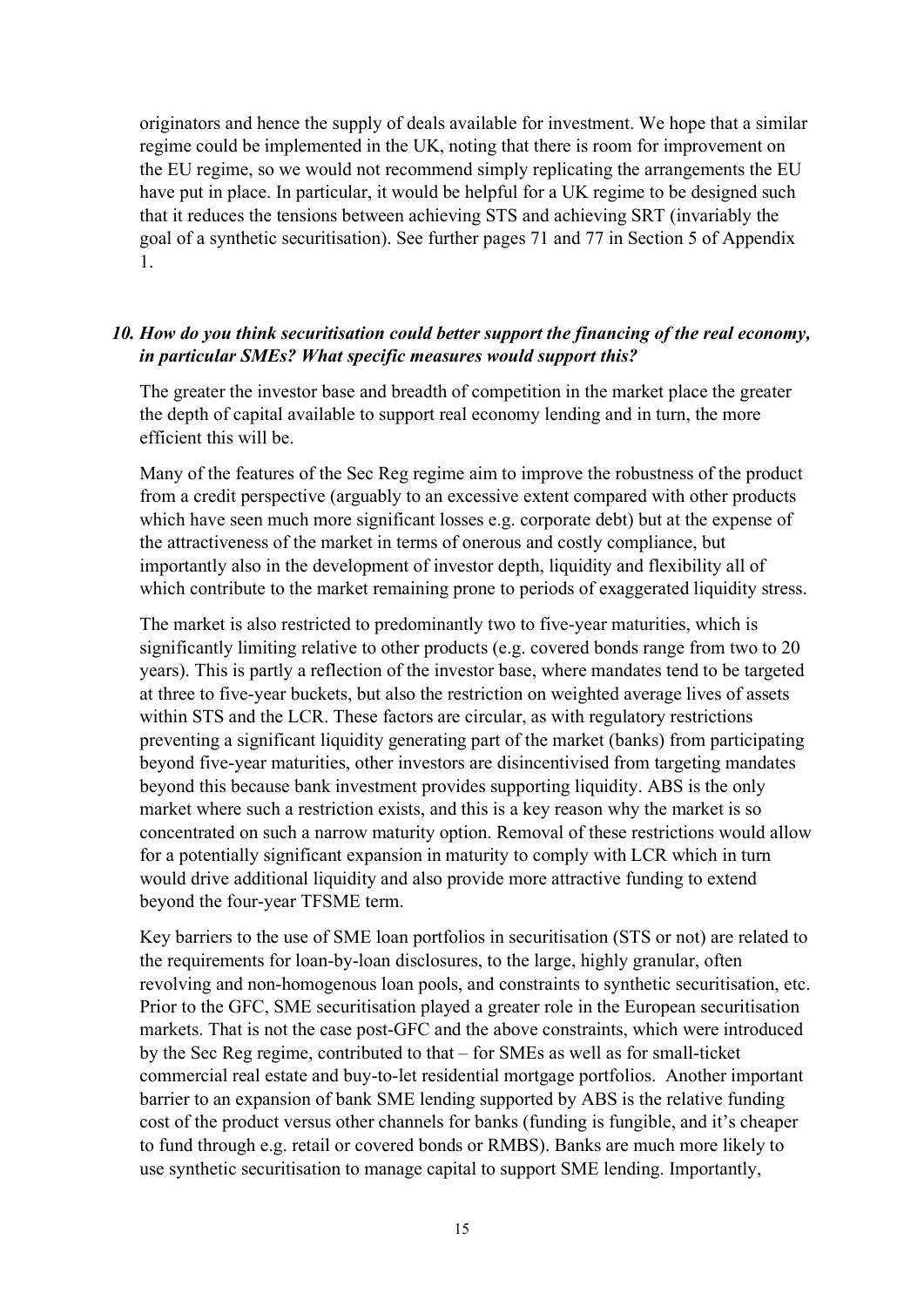originators and hence the supply of deals available for investment. We hope that a similar regime could be implemented in the UK, noting that there is room for improvement on the EU regime, so we would not recommend simply replicating the arrangements the EU have put in place. In particular, it would be helpful for a UK regime to be designed such that it reduces the tensions between achieving STS and achieving SRT (invariably the goal of a synthetic securitisation). See further pages 71 and 77 in Section 5 of Appendix 1.

#### *10. How do you think securitisation could better support the financing of the real economy, in particular SMEs? What specific measures would support this?*

The greater the investor base and breadth of competition in the market place the greater the depth of capital available to support real economy lending and in turn, the more efficient this will be.

Many of the features of the Sec Reg regime aim to improve the robustness of the product from a credit perspective (arguably to an excessive extent compared with other products which have seen much more significant losses e.g. corporate debt) but at the expense of the attractiveness of the market in terms of onerous and costly compliance, but importantly also in the development of investor depth, liquidity and flexibility all of which contribute to the market remaining prone to periods of exaggerated liquidity stress.

The market is also restricted to predominantly two to five-year maturities, which is significantly limiting relative to other products (e.g. covered bonds range from two to 20 years). This is partly a reflection of the investor base, where mandates tend to be targeted at three to five-year buckets, but also the restriction on weighted average lives of assets within STS and the LCR. These factors are circular, as with regulatory restrictions preventing a significant liquidity generating part of the market (banks) from participating beyond five-year maturities, other investors are disincentivised from targeting mandates beyond this because bank investment provides supporting liquidity. ABS is the only market where such a restriction exists, and this is a key reason why the market is so concentrated on such a narrow maturity option. Removal of these restrictions would allow for a potentially significant expansion in maturity to comply with LCR which in turn would drive additional liquidity and also provide more attractive funding to extend beyond the four-year TFSME term.

Key barriers to the use of SME loan portfolios in securitisation (STS or not) are related to the requirements for loan-by-loan disclosures, to the large, highly granular, often revolving and non-homogenous loan pools, and constraints to synthetic securitisation, etc. Prior to the GFC, SME securitisation played a greater role in the European securitisation markets. That is not the case post-GFC and the above constraints, which were introduced by the Sec Reg regime, contributed to that – for SMEs as well as for small-ticket commercial real estate and buy-to-let residential mortgage portfolios. Another important barrier to an expansion of bank SME lending supported by ABS is the relative funding cost of the product versus other channels for banks (funding is fungible, and it's cheaper to fund through e.g. retail or covered bonds or RMBS). Banks are much more likely to use synthetic securitisation to manage capital to support SME lending. Importantly,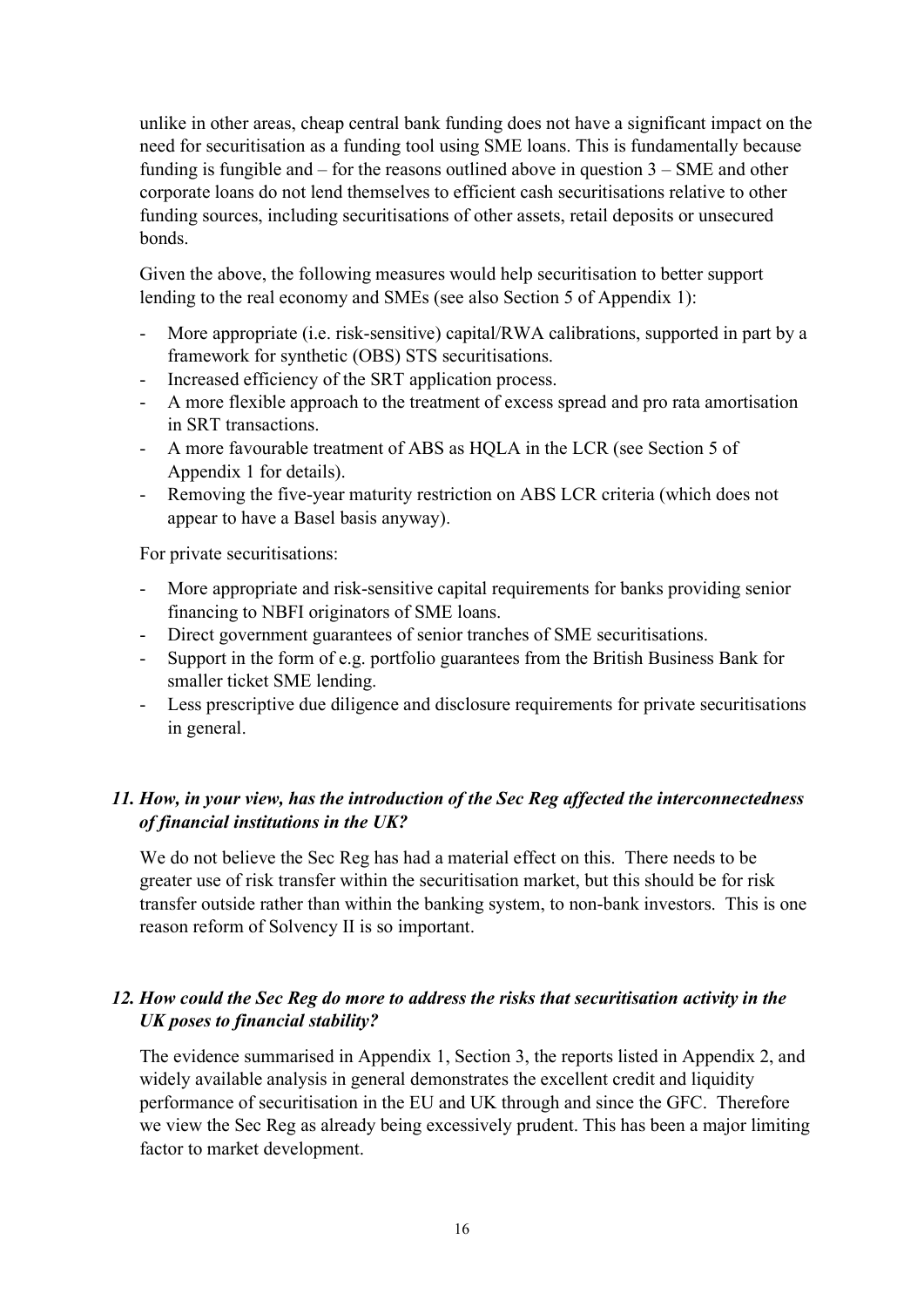unlike in other areas, cheap central bank funding does not have a significant impact on the need for securitisation as a funding tool using SME loans. This is fundamentally because funding is fungible and – for the reasons outlined above in question 3 – SME and other corporate loans do not lend themselves to efficient cash securitisations relative to other funding sources, including securitisations of other assets, retail deposits or unsecured bonds.

Given the above, the following measures would help securitisation to better support lending to the real economy and SMEs (see also Section 5 of Appendix 1):

- More appropriate (i.e. risk-sensitive) capital/RWA calibrations, supported in part by a framework for synthetic (OBS) STS securitisations.
- Increased efficiency of the SRT application process.
- A more flexible approach to the treatment of excess spread and pro rata amortisation in SRT transactions.
- A more favourable treatment of ABS as HQLA in the LCR (see Section 5 of Appendix 1 for details).
- Removing the five-year maturity restriction on ABS LCR criteria (which does not appear to have a Basel basis anyway).

For private securitisations:

- More appropriate and risk-sensitive capital requirements for banks providing senior financing to NBFI originators of SME loans.
- Direct government guarantees of senior tranches of SME securitisations.
- Support in the form of e.g. portfolio guarantees from the British Business Bank for smaller ticket SME lending.
- Less prescriptive due diligence and disclosure requirements for private securitisations in general.

### *11. How, in your view, has the introduction of the Sec Reg affected the interconnectedness of financial institutions in the UK?*

We do not believe the Sec Reg has had a material effect on this. There needs to be greater use of risk transfer within the securitisation market, but this should be for risk transfer outside rather than within the banking system, to non-bank investors. This is one reason reform of Solvency II is so important.

# *12. How could the Sec Reg do more to address the risks that securitisation activity in the UK poses to financial stability?*

The evidence summarised in Appendix 1, Section 3, the reports listed in Appendix 2, and widely available analysis in general demonstrates the excellent credit and liquidity performance of securitisation in the EU and UK through and since the GFC. Therefore we view the Sec Reg as already being excessively prudent. This has been a major limiting factor to market development.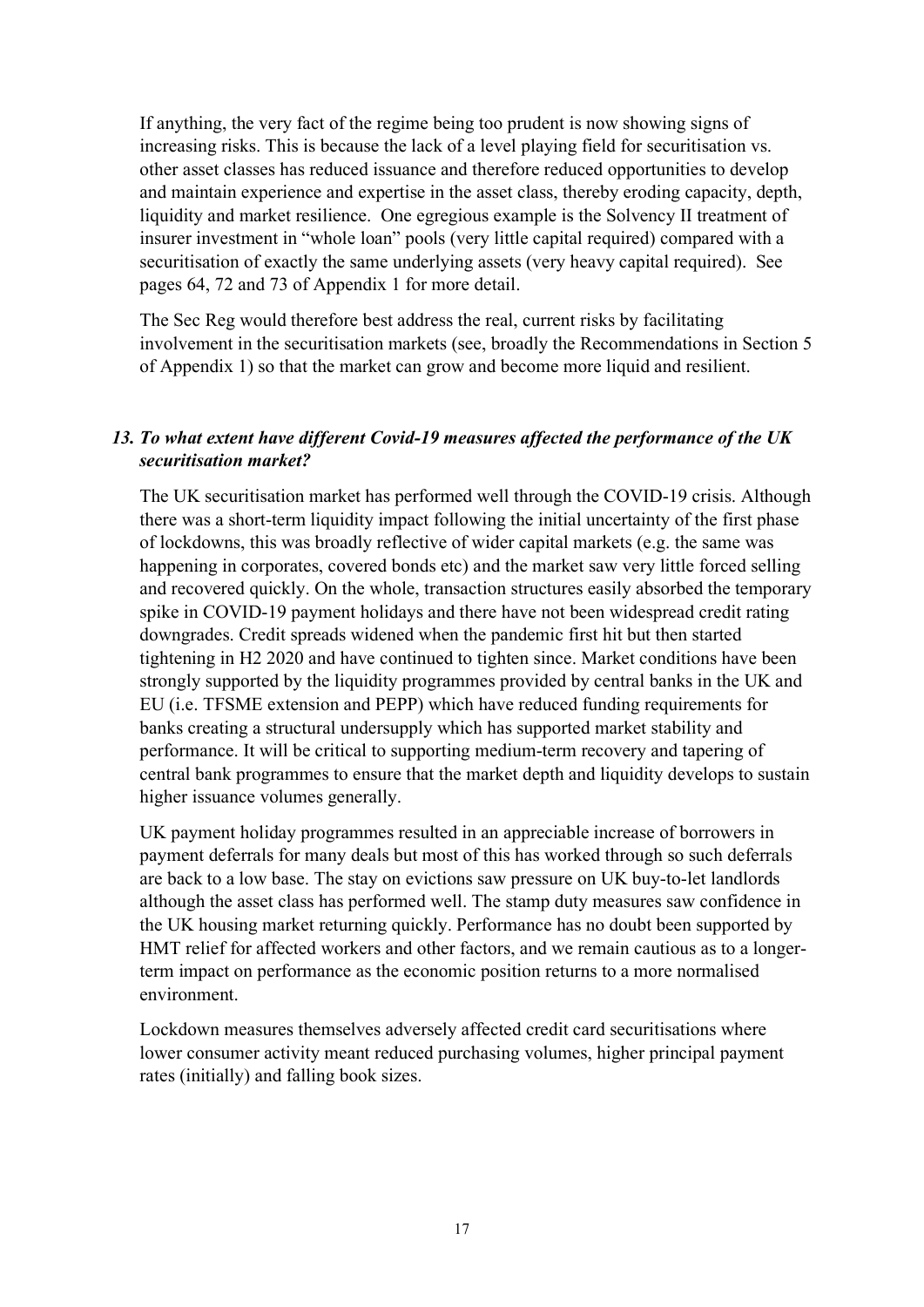If anything, the very fact of the regime being too prudent is now showing signs of increasing risks. This is because the lack of a level playing field for securitisation vs. other asset classes has reduced issuance and therefore reduced opportunities to develop and maintain experience and expertise in the asset class, thereby eroding capacity, depth, liquidity and market resilience. One egregious example is the Solvency II treatment of insurer investment in "whole loan" pools (very little capital required) compared with a securitisation of exactly the same underlying assets (very heavy capital required). See pages 64, 72 and 73 of Appendix 1 for more detail.

The Sec Reg would therefore best address the real, current risks by facilitating involvement in the securitisation markets (see, broadly the Recommendations in Section 5 of Appendix 1) so that the market can grow and become more liquid and resilient.

# *13. To what extent have different Covid-19 measures affected the performance of the UK securitisation market?*

The UK securitisation market has performed well through the COVID-19 crisis. Although there was a short-term liquidity impact following the initial uncertainty of the first phase of lockdowns, this was broadly reflective of wider capital markets (e.g. the same was happening in corporates, covered bonds etc) and the market saw very little forced selling and recovered quickly. On the whole, transaction structures easily absorbed the temporary spike in COVID-19 payment holidays and there have not been widespread credit rating downgrades. Credit spreads widened when the pandemic first hit but then started tightening in H2 2020 and have continued to tighten since. Market conditions have been strongly supported by the liquidity programmes provided by central banks in the UK and EU (i.e. TFSME extension and PEPP) which have reduced funding requirements for banks creating a structural undersupply which has supported market stability and performance. It will be critical to supporting medium-term recovery and tapering of central bank programmes to ensure that the market depth and liquidity develops to sustain higher issuance volumes generally.

UK payment holiday programmes resulted in an appreciable increase of borrowers in payment deferrals for many deals but most of this has worked through so such deferrals are back to a low base. The stay on evictions saw pressure on UK buy-to-let landlords although the asset class has performed well. The stamp duty measures saw confidence in the UK housing market returning quickly. Performance has no doubt been supported by HMT relief for affected workers and other factors, and we remain cautious as to a longerterm impact on performance as the economic position returns to a more normalised environment.

Lockdown measures themselves adversely affected credit card securitisations where lower consumer activity meant reduced purchasing volumes, higher principal payment rates (initially) and falling book sizes.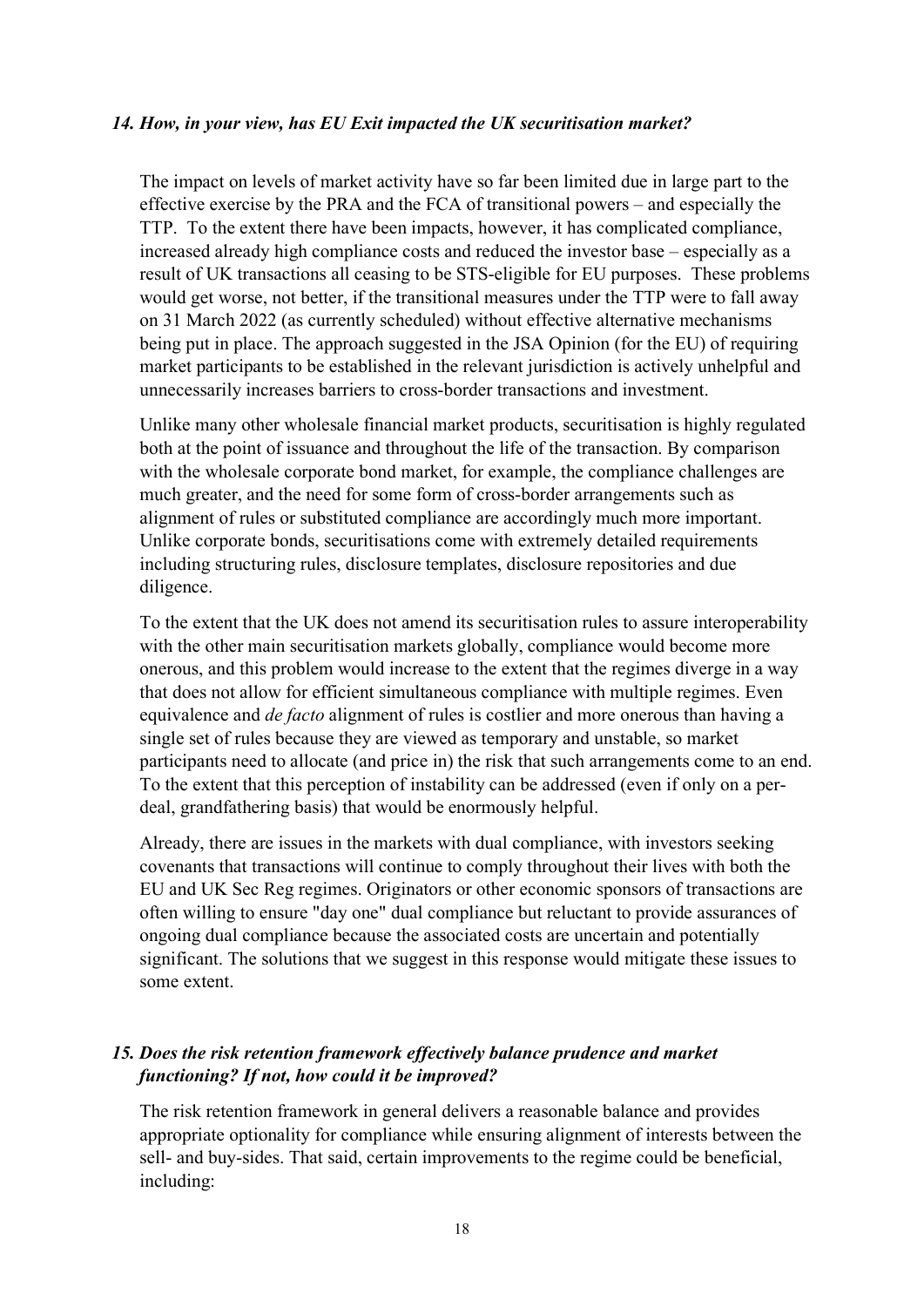#### *14. How, in your view, has EU Exit impacted the UK securitisation market?*

The impact on levels of market activity have so far been limited due in large part to the effective exercise by the PRA and the FCA of transitional powers – and especially the TTP. To the extent there have been impacts, however, it has complicated compliance, increased already high compliance costs and reduced the investor base – especially as a result of UK transactions all ceasing to be STS-eligible for EU purposes. These problems would get worse, not better, if the transitional measures under the TTP were to fall away on 31 March 2022 (as currently scheduled) without effective alternative mechanisms being put in place. The approach suggested in the JSA Opinion (for the EU) of requiring market participants to be established in the relevant jurisdiction is actively unhelpful and unnecessarily increases barriers to cross-border transactions and investment.

Unlike many other wholesale financial market products, securitisation is highly regulated both at the point of issuance and throughout the life of the transaction. By comparison with the wholesale corporate bond market, for example, the compliance challenges are much greater, and the need for some form of cross-border arrangements such as alignment of rules or substituted compliance are accordingly much more important. Unlike corporate bonds, securitisations come with extremely detailed requirements including structuring rules, disclosure templates, disclosure repositories and due diligence.

To the extent that the UK does not amend its securitisation rules to assure interoperability with the other main securitisation markets globally, compliance would become more onerous, and this problem would increase to the extent that the regimes diverge in a way that does not allow for efficient simultaneous compliance with multiple regimes. Even equivalence and *de facto* alignment of rules is costlier and more onerous than having a single set of rules because they are viewed as temporary and unstable, so market participants need to allocate (and price in) the risk that such arrangements come to an end. To the extent that this perception of instability can be addressed (even if only on a perdeal, grandfathering basis) that would be enormously helpful.

Already, there are issues in the markets with dual compliance, with investors seeking covenants that transactions will continue to comply throughout their lives with both the EU and UK Sec Reg regimes. Originators or other economic sponsors of transactions are often willing to ensure "day one" dual compliance but reluctant to provide assurances of ongoing dual compliance because the associated costs are uncertain and potentially significant. The solutions that we suggest in this response would mitigate these issues to some extent.

### *15. Does the risk retention framework effectively balance prudence and market functioning? If not, how could it be improved?*

The risk retention framework in general delivers a reasonable balance and provides appropriate optionality for compliance while ensuring alignment of interests between the sell- and buy-sides. That said, certain improvements to the regime could be beneficial, including: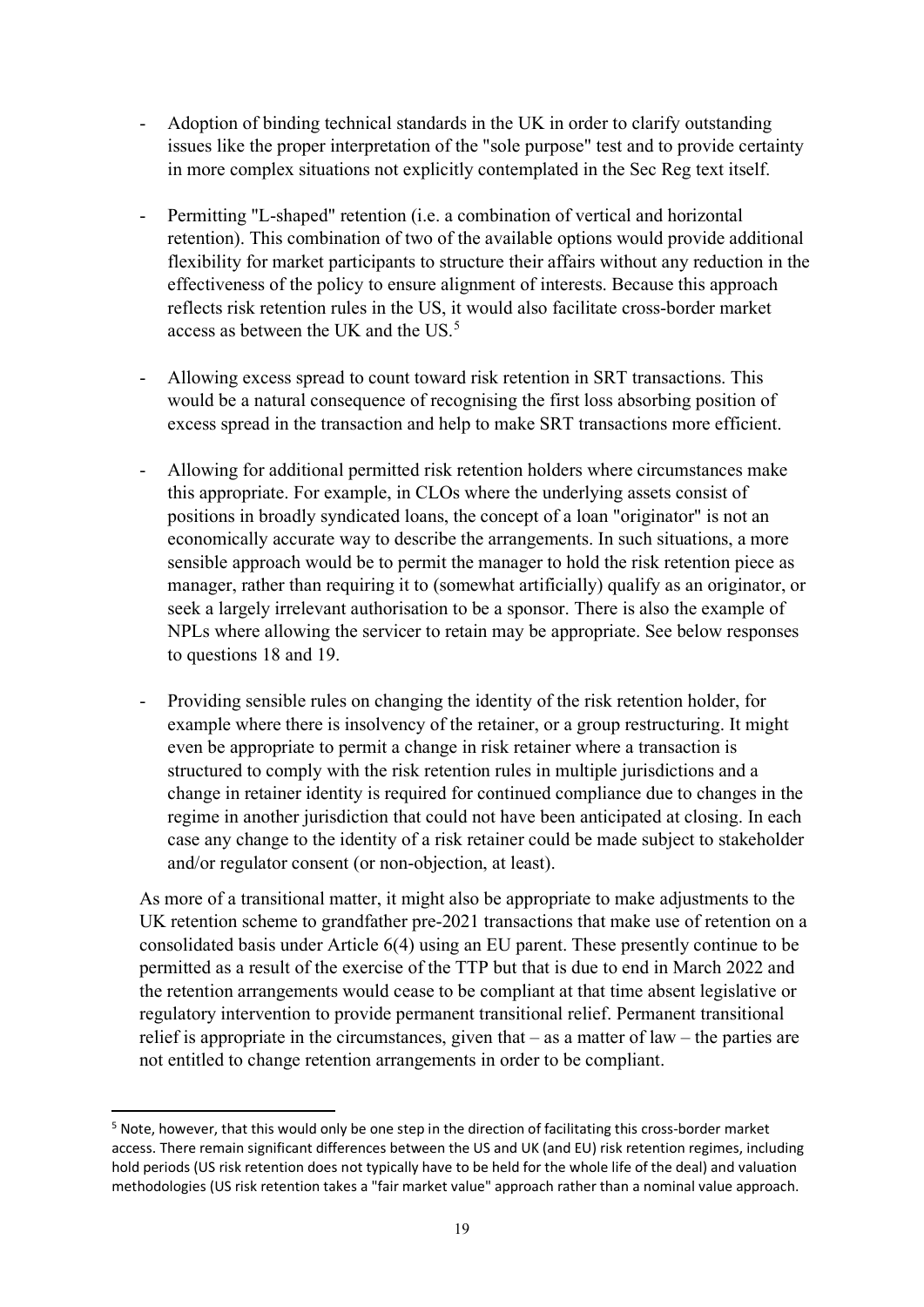- Adoption of binding technical standards in the UK in order to clarify outstanding issues like the proper interpretation of the "sole purpose" test and to provide certainty in more complex situations not explicitly contemplated in the Sec Reg text itself.
- Permitting "L-shaped" retention (i.e. a combination of vertical and horizontal retention). This combination of two of the available options would provide additional flexibility for market participants to structure their affairs without any reduction in the effectiveness of the policy to ensure alignment of interests. Because this approach reflects risk retention rules in the US, it would also facilitate cross-border market access as between the UK and the US.[5](#page-18-0)
- Allowing excess spread to count toward risk retention in SRT transactions. This would be a natural consequence of recognising the first loss absorbing position of excess spread in the transaction and help to make SRT transactions more efficient.
- Allowing for additional permitted risk retention holders where circumstances make this appropriate. For example, in CLOs where the underlying assets consist of positions in broadly syndicated loans, the concept of a loan "originator" is not an economically accurate way to describe the arrangements. In such situations, a more sensible approach would be to permit the manager to hold the risk retention piece as manager, rather than requiring it to (somewhat artificially) qualify as an originator, or seek a largely irrelevant authorisation to be a sponsor. There is also the example of NPLs where allowing the servicer to retain may be appropriate. See below responses to questions 18 and 19.
- Providing sensible rules on changing the identity of the risk retention holder, for example where there is insolvency of the retainer, or a group restructuring. It might even be appropriate to permit a change in risk retainer where a transaction is structured to comply with the risk retention rules in multiple jurisdictions and a change in retainer identity is required for continued compliance due to changes in the regime in another jurisdiction that could not have been anticipated at closing. In each case any change to the identity of a risk retainer could be made subject to stakeholder and/or regulator consent (or non-objection, at least).

As more of a transitional matter, it might also be appropriate to make adjustments to the UK retention scheme to grandfather pre-2021 transactions that make use of retention on a consolidated basis under Article 6(4) using an EU parent. These presently continue to be permitted as a result of the exercise of the TTP but that is due to end in March 2022 and the retention arrangements would cease to be compliant at that time absent legislative or regulatory intervention to provide permanent transitional relief. Permanent transitional relief is appropriate in the circumstances, given that  $-$  as a matter of law  $-$  the parties are not entitled to change retention arrangements in order to be compliant.

<span id="page-18-0"></span><sup>5</sup> Note, however, that this would only be one step in the direction of facilitating this cross-border market access. There remain significant differences between the US and UK (and EU) risk retention regimes, including hold periods (US risk retention does not typically have to be held for the whole life of the deal) and valuation methodologies (US risk retention takes a "fair market value" approach rather than a nominal value approach.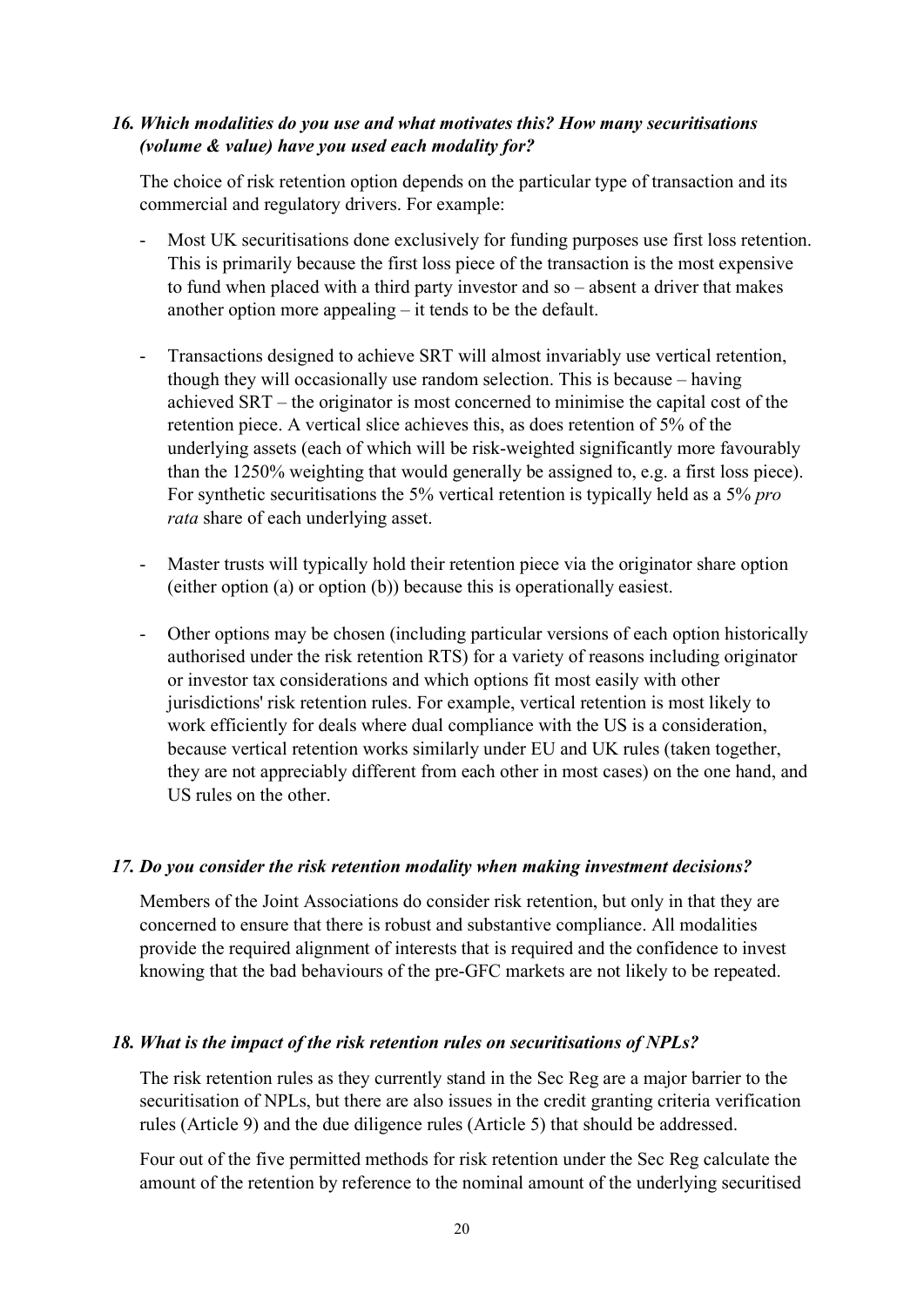#### *16. Which modalities do you use and what motivates this? How many securitisations (volume & value) have you used each modality for?*

The choice of risk retention option depends on the particular type of transaction and its commercial and regulatory drivers. For example:

- Most UK securitisations done exclusively for funding purposes use first loss retention. This is primarily because the first loss piece of the transaction is the most expensive to fund when placed with a third party investor and so – absent a driver that makes another option more appealing – it tends to be the default.
- Transactions designed to achieve SRT will almost invariably use vertical retention, though they will occasionally use random selection. This is because – having achieved SRT – the originator is most concerned to minimise the capital cost of the retention piece. A vertical slice achieves this, as does retention of 5% of the underlying assets (each of which will be risk-weighted significantly more favourably than the 1250% weighting that would generally be assigned to, e.g. a first loss piece). For synthetic securitisations the 5% vertical retention is typically held as a 5% *pro rata* share of each underlying asset.
- Master trusts will typically hold their retention piece via the originator share option (either option (a) or option (b)) because this is operationally easiest.
- Other options may be chosen (including particular versions of each option historically authorised under the risk retention RTS) for a variety of reasons including originator or investor tax considerations and which options fit most easily with other jurisdictions' risk retention rules. For example, vertical retention is most likely to work efficiently for deals where dual compliance with the US is a consideration, because vertical retention works similarly under EU and UK rules (taken together, they are not appreciably different from each other in most cases) on the one hand, and US rules on the other.

#### *17. Do you consider the risk retention modality when making investment decisions?*

Members of the Joint Associations do consider risk retention, but only in that they are concerned to ensure that there is robust and substantive compliance. All modalities provide the required alignment of interests that is required and the confidence to invest knowing that the bad behaviours of the pre-GFC markets are not likely to be repeated.

#### *18. What is the impact of the risk retention rules on securitisations of NPLs?*

The risk retention rules as they currently stand in the Sec Reg are a major barrier to the securitisation of NPLs, but there are also issues in the credit granting criteria verification rules (Article 9) and the due diligence rules (Article 5) that should be addressed.

Four out of the five permitted methods for risk retention under the Sec Reg calculate the amount of the retention by reference to the nominal amount of the underlying securitised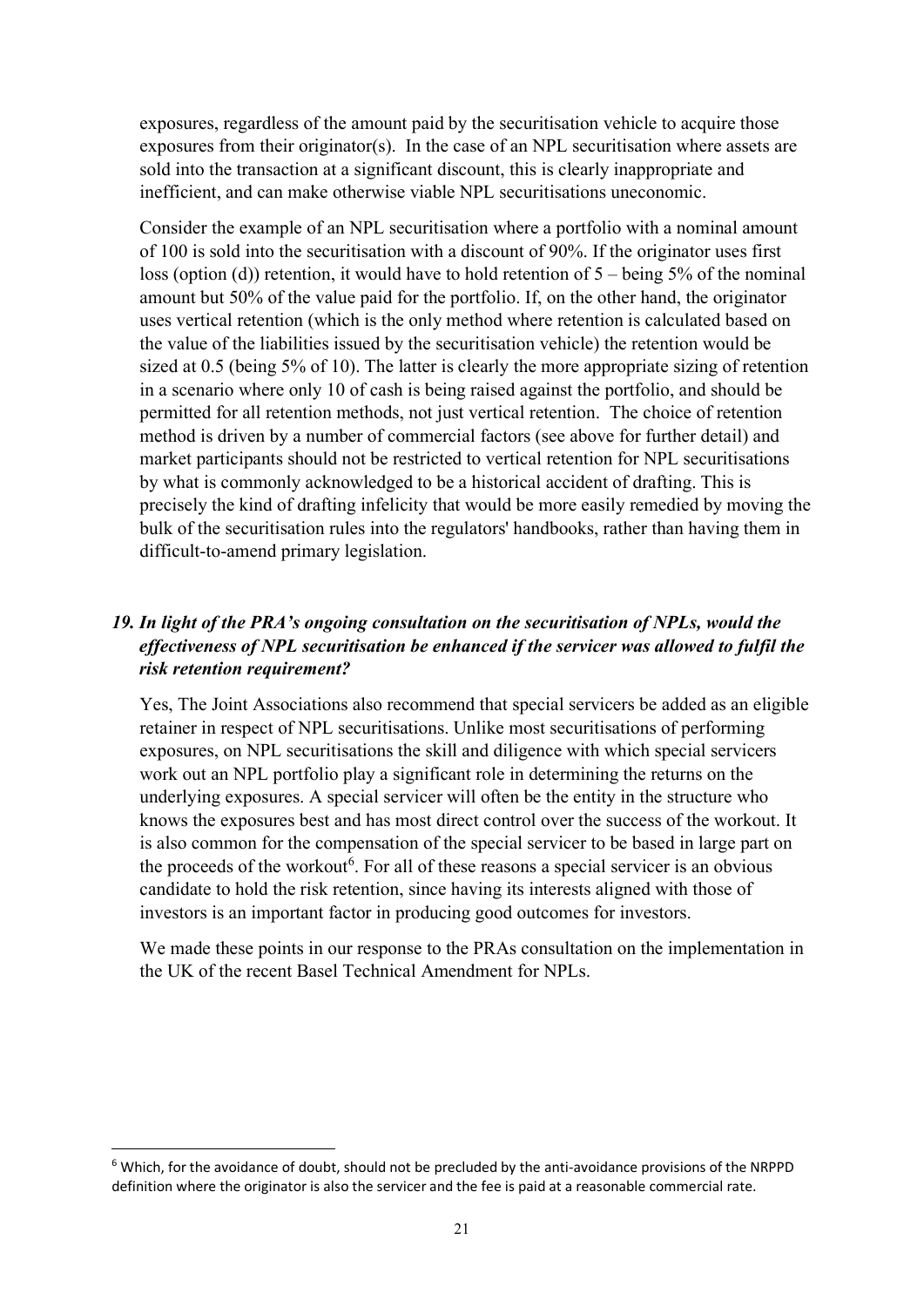exposures, regardless of the amount paid by the securitisation vehicle to acquire those exposures from their originator(s). In the case of an NPL securitisation where assets are sold into the transaction at a significant discount, this is clearly inappropriate and inefficient, and can make otherwise viable NPL securitisations uneconomic.

Consider the example of an NPL securitisation where a portfolio with a nominal amount of 100 is sold into the securitisation with a discount of 90%. If the originator uses first loss (option (d)) retention, it would have to hold retention of  $5$  – being 5% of the nominal amount but 50% of the value paid for the portfolio. If, on the other hand, the originator uses vertical retention (which is the only method where retention is calculated based on the value of the liabilities issued by the securitisation vehicle) the retention would be sized at 0.5 (being 5% of 10). The latter is clearly the more appropriate sizing of retention in a scenario where only 10 of cash is being raised against the portfolio, and should be permitted for all retention methods, not just vertical retention. The choice of retention method is driven by a number of commercial factors (see above for further detail) and market participants should not be restricted to vertical retention for NPL securitisations by what is commonly acknowledged to be a historical accident of drafting. This is precisely the kind of drafting infelicity that would be more easily remedied by moving the bulk of the securitisation rules into the regulators' handbooks, rather than having them in difficult-to-amend primary legislation.

### *19. In light of the PRA's ongoing consultation on the securitisation of NPLs, would the effectiveness of NPL securitisation be enhanced if the servicer was allowed to fulfil the risk retention requirement?*

Yes, The Joint Associations also recommend that special servicers be added as an eligible retainer in respect of NPL securitisations. Unlike most securitisations of performing exposures, on NPL securitisations the skill and diligence with which special servicers work out an NPL portfolio play a significant role in determining the returns on the underlying exposures. A special servicer will often be the entity in the structure who knows the exposures best and has most direct control over the success of the workout. It is also common for the compensation of the special servicer to be based in large part on the proceeds of the workout<sup>[6](#page-20-0)</sup>. For all of these reasons a special servicer is an obvious candidate to hold the risk retention, since having its interests aligned with those of investors is an important factor in producing good outcomes for investors.

We made these points in our response to the PRAs consultation on the implementation in the UK of the recent Basel Technical Amendment for NPLs.

<span id="page-20-0"></span><sup>&</sup>lt;sup>6</sup> Which, for the avoidance of doubt, should not be precluded by the anti-avoidance provisions of the NRPPD definition where the originator is also the servicer and the fee is paid at a reasonable commercial rate.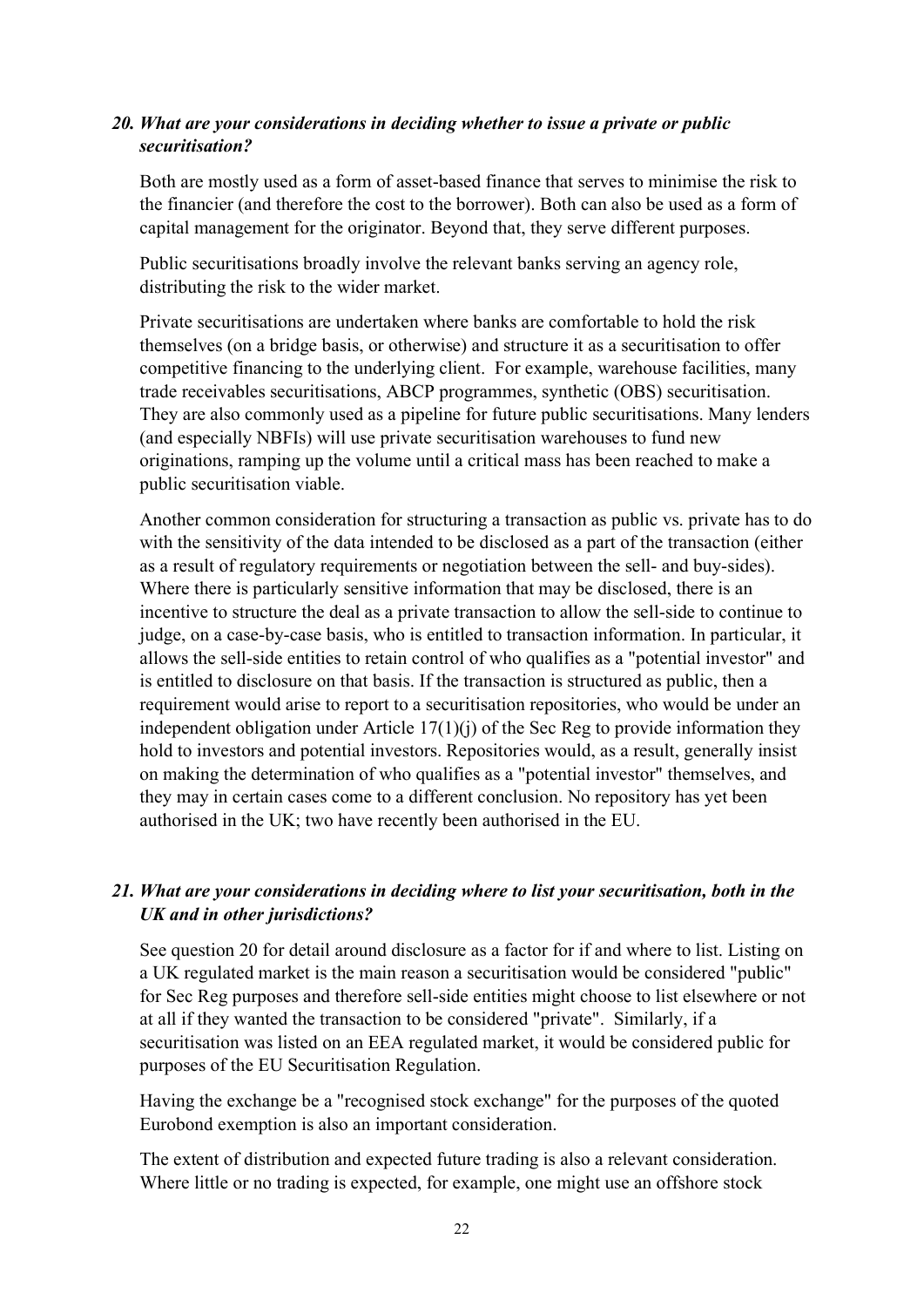### *20. What are your considerations in deciding whether to issue a private or public securitisation?*

Both are mostly used as a form of asset-based finance that serves to minimise the risk to the financier (and therefore the cost to the borrower). Both can also be used as a form of capital management for the originator. Beyond that, they serve different purposes.

Public securitisations broadly involve the relevant banks serving an agency role, distributing the risk to the wider market.

Private securitisations are undertaken where banks are comfortable to hold the risk themselves (on a bridge basis, or otherwise) and structure it as a securitisation to offer competitive financing to the underlying client. For example, warehouse facilities, many trade receivables securitisations, ABCP programmes, synthetic (OBS) securitisation. They are also commonly used as a pipeline for future public securitisations. Many lenders (and especially NBFIs) will use private securitisation warehouses to fund new originations, ramping up the volume until a critical mass has been reached to make a public securitisation viable.

Another common consideration for structuring a transaction as public vs. private has to do with the sensitivity of the data intended to be disclosed as a part of the transaction (either as a result of regulatory requirements or negotiation between the sell- and buy-sides). Where there is particularly sensitive information that may be disclosed, there is an incentive to structure the deal as a private transaction to allow the sell-side to continue to judge, on a case-by-case basis, who is entitled to transaction information. In particular, it allows the sell-side entities to retain control of who qualifies as a "potential investor" and is entitled to disclosure on that basis. If the transaction is structured as public, then a requirement would arise to report to a securitisation repositories, who would be under an independent obligation under Article  $17(1)(i)$  of the Sec Reg to provide information they hold to investors and potential investors. Repositories would, as a result, generally insist on making the determination of who qualifies as a "potential investor" themselves, and they may in certain cases come to a different conclusion. No repository has yet been authorised in the UK; two have recently been authorised in the EU.

# *21. What are your considerations in deciding where to list your securitisation, both in the UK and in other jurisdictions?*

See question 20 for detail around disclosure as a factor for if and where to list. Listing on a UK regulated market is the main reason a securitisation would be considered "public" for Sec Reg purposes and therefore sell-side entities might choose to list elsewhere or not at all if they wanted the transaction to be considered "private". Similarly, if a securitisation was listed on an EEA regulated market, it would be considered public for purposes of the EU Securitisation Regulation.

Having the exchange be a "recognised stock exchange" for the purposes of the quoted Eurobond exemption is also an important consideration.

The extent of distribution and expected future trading is also a relevant consideration. Where little or no trading is expected, for example, one might use an offshore stock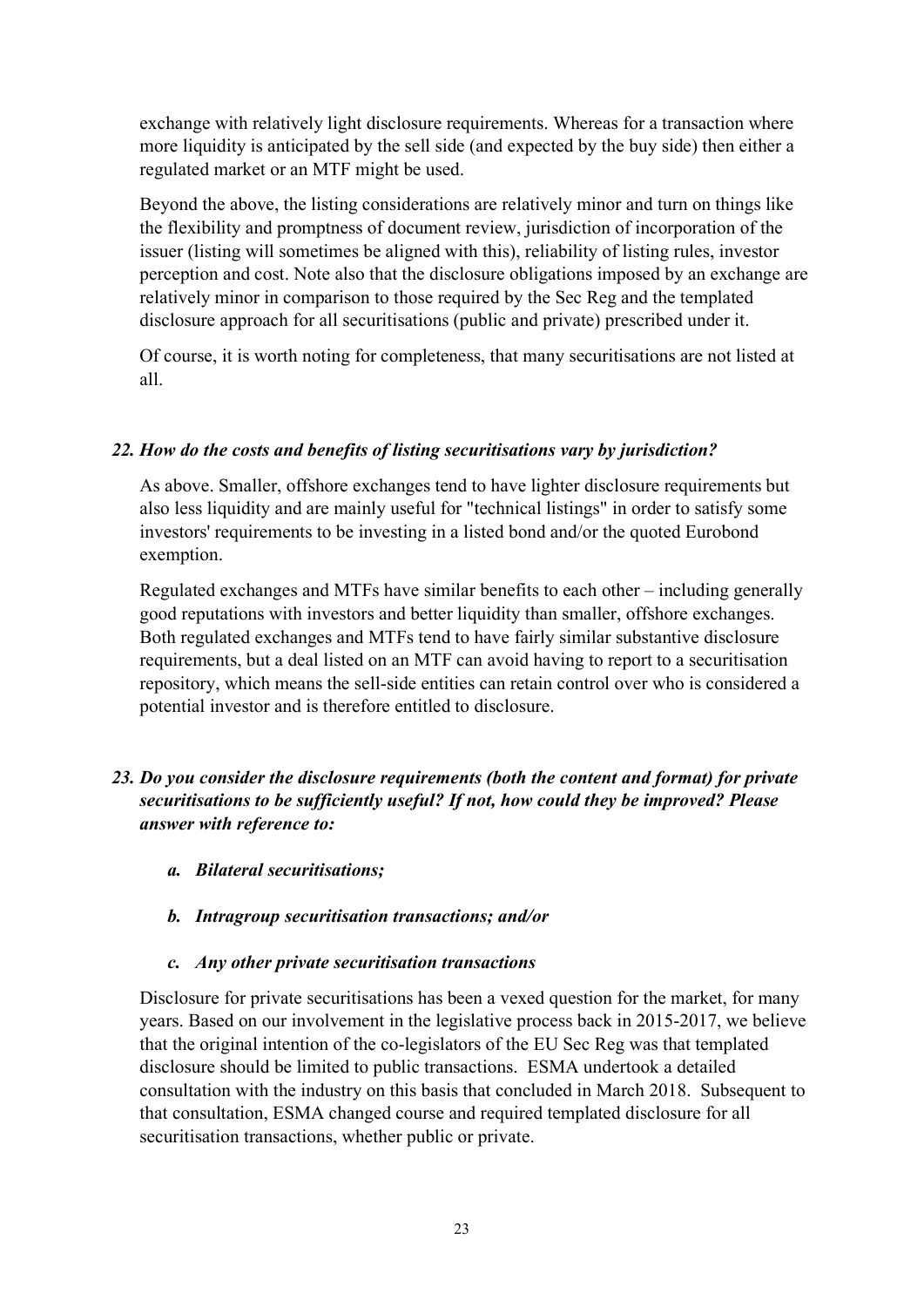exchange with relatively light disclosure requirements. Whereas for a transaction where more liquidity is anticipated by the sell side (and expected by the buy side) then either a regulated market or an MTF might be used.

Beyond the above, the listing considerations are relatively minor and turn on things like the flexibility and promptness of document review, jurisdiction of incorporation of the issuer (listing will sometimes be aligned with this), reliability of listing rules, investor perception and cost. Note also that the disclosure obligations imposed by an exchange are relatively minor in comparison to those required by the Sec Reg and the templated disclosure approach for all securitisations (public and private) prescribed under it.

Of course, it is worth noting for completeness, that many securitisations are not listed at all.

### *22. How do the costs and benefits of listing securitisations vary by jurisdiction?*

As above. Smaller, offshore exchanges tend to have lighter disclosure requirements but also less liquidity and are mainly useful for "technical listings" in order to satisfy some investors' requirements to be investing in a listed bond and/or the quoted Eurobond exemption.

Regulated exchanges and MTFs have similar benefits to each other – including generally good reputations with investors and better liquidity than smaller, offshore exchanges. Both regulated exchanges and MTFs tend to have fairly similar substantive disclosure requirements, but a deal listed on an MTF can avoid having to report to a securitisation repository, which means the sell-side entities can retain control over who is considered a potential investor and is therefore entitled to disclosure.

# *23. Do you consider the disclosure requirements (both the content and format) for private securitisations to be sufficiently useful? If not, how could they be improved? Please answer with reference to:*

- *a. Bilateral securitisations;*
- *b. Intragroup securitisation transactions; and/or*
- *c. Any other private securitisation transactions*

Disclosure for private securitisations has been a vexed question for the market, for many years. Based on our involvement in the legislative process back in 2015-2017, we believe that the original intention of the co-legislators of the EU Sec Reg was that templated disclosure should be limited to public transactions. ESMA undertook a detailed consultation with the industry on this basis that concluded in March 2018. Subsequent to that consultation, ESMA changed course and required templated disclosure for all securitisation transactions, whether public or private.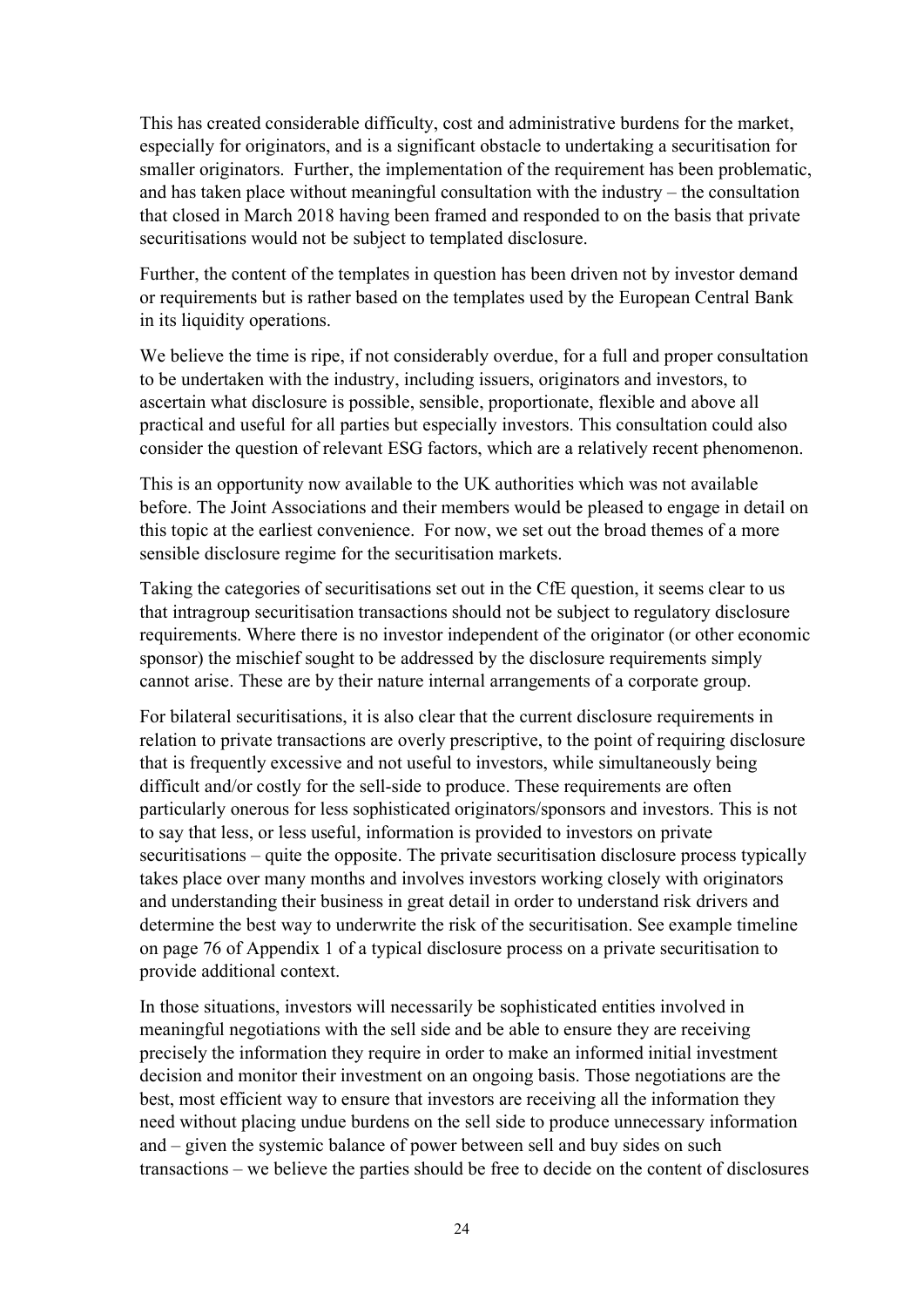This has created considerable difficulty, cost and administrative burdens for the market, especially for originators, and is a significant obstacle to undertaking a securitisation for smaller originators. Further, the implementation of the requirement has been problematic, and has taken place without meaningful consultation with the industry – the consultation that closed in March 2018 having been framed and responded to on the basis that private securitisations would not be subject to templated disclosure.

Further, the content of the templates in question has been driven not by investor demand or requirements but is rather based on the templates used by the European Central Bank in its liquidity operations.

We believe the time is ripe, if not considerably overdue, for a full and proper consultation to be undertaken with the industry, including issuers, originators and investors, to ascertain what disclosure is possible, sensible, proportionate, flexible and above all practical and useful for all parties but especially investors. This consultation could also consider the question of relevant ESG factors, which are a relatively recent phenomenon.

This is an opportunity now available to the UK authorities which was not available before. The Joint Associations and their members would be pleased to engage in detail on this topic at the earliest convenience. For now, we set out the broad themes of a more sensible disclosure regime for the securitisation markets.

Taking the categories of securitisations set out in the CfE question, it seems clear to us that intragroup securitisation transactions should not be subject to regulatory disclosure requirements. Where there is no investor independent of the originator (or other economic sponsor) the mischief sought to be addressed by the disclosure requirements simply cannot arise. These are by their nature internal arrangements of a corporate group.

For bilateral securitisations, it is also clear that the current disclosure requirements in relation to private transactions are overly prescriptive, to the point of requiring disclosure that is frequently excessive and not useful to investors, while simultaneously being difficult and/or costly for the sell-side to produce. These requirements are often particularly onerous for less sophisticated originators/sponsors and investors. This is not to say that less, or less useful, information is provided to investors on private securitisations – quite the opposite. The private securitisation disclosure process typically takes place over many months and involves investors working closely with originators and understanding their business in great detail in order to understand risk drivers and determine the best way to underwrite the risk of the securitisation. See example timeline on page 76 of Appendix 1 of a typical disclosure process on a private securitisation to provide additional context.

In those situations, investors will necessarily be sophisticated entities involved in meaningful negotiations with the sell side and be able to ensure they are receiving precisely the information they require in order to make an informed initial investment decision and monitor their investment on an ongoing basis. Those negotiations are the best, most efficient way to ensure that investors are receiving all the information they need without placing undue burdens on the sell side to produce unnecessary information and – given the systemic balance of power between sell and buy sides on such transactions – we believe the parties should be free to decide on the content of disclosures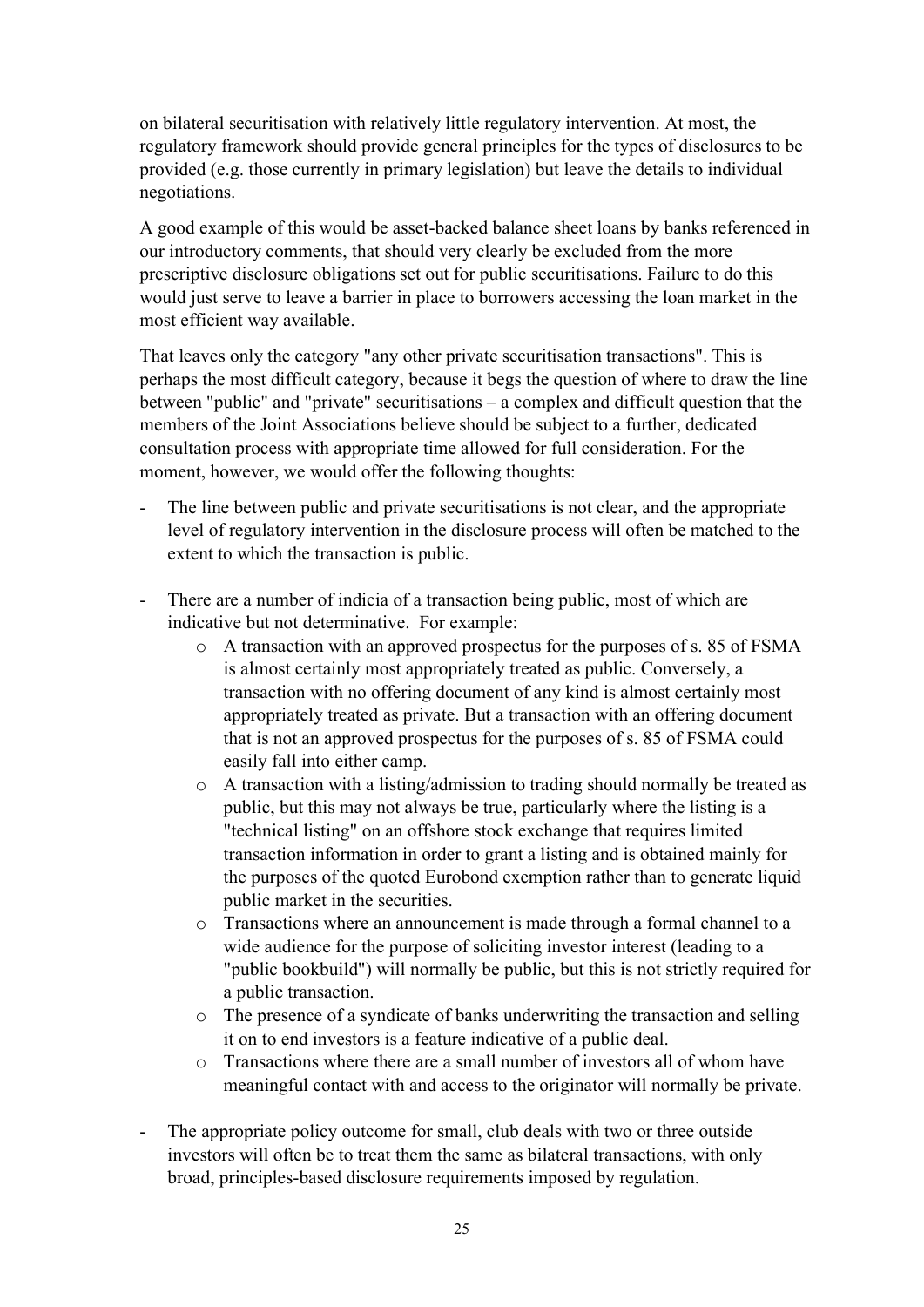on bilateral securitisation with relatively little regulatory intervention. At most, the regulatory framework should provide general principles for the types of disclosures to be provided (e.g. those currently in primary legislation) but leave the details to individual negotiations.

A good example of this would be asset-backed balance sheet loans by banks referenced in our introductory comments, that should very clearly be excluded from the more prescriptive disclosure obligations set out for public securitisations. Failure to do this would just serve to leave a barrier in place to borrowers accessing the loan market in the most efficient way available.

That leaves only the category "any other private securitisation transactions". This is perhaps the most difficult category, because it begs the question of where to draw the line between "public" and "private" securitisations – a complex and difficult question that the members of the Joint Associations believe should be subject to a further, dedicated consultation process with appropriate time allowed for full consideration. For the moment, however, we would offer the following thoughts:

- The line between public and private securitisations is not clear, and the appropriate level of regulatory intervention in the disclosure process will often be matched to the extent to which the transaction is public.
- There are a number of indicia of a transaction being public, most of which are indicative but not determinative. For example:
	- o A transaction with an approved prospectus for the purposes of s. 85 of FSMA is almost certainly most appropriately treated as public. Conversely, a transaction with no offering document of any kind is almost certainly most appropriately treated as private. But a transaction with an offering document that is not an approved prospectus for the purposes of s. 85 of FSMA could easily fall into either camp.
	- o A transaction with a listing/admission to trading should normally be treated as public, but this may not always be true, particularly where the listing is a "technical listing" on an offshore stock exchange that requires limited transaction information in order to grant a listing and is obtained mainly for the purposes of the quoted Eurobond exemption rather than to generate liquid public market in the securities.
	- o Transactions where an announcement is made through a formal channel to a wide audience for the purpose of soliciting investor interest (leading to a "public bookbuild") will normally be public, but this is not strictly required for a public transaction.
	- o The presence of a syndicate of banks underwriting the transaction and selling it on to end investors is a feature indicative of a public deal.
	- o Transactions where there are a small number of investors all of whom have meaningful contact with and access to the originator will normally be private.
- The appropriate policy outcome for small, club deals with two or three outside investors will often be to treat them the same as bilateral transactions, with only broad, principles-based disclosure requirements imposed by regulation.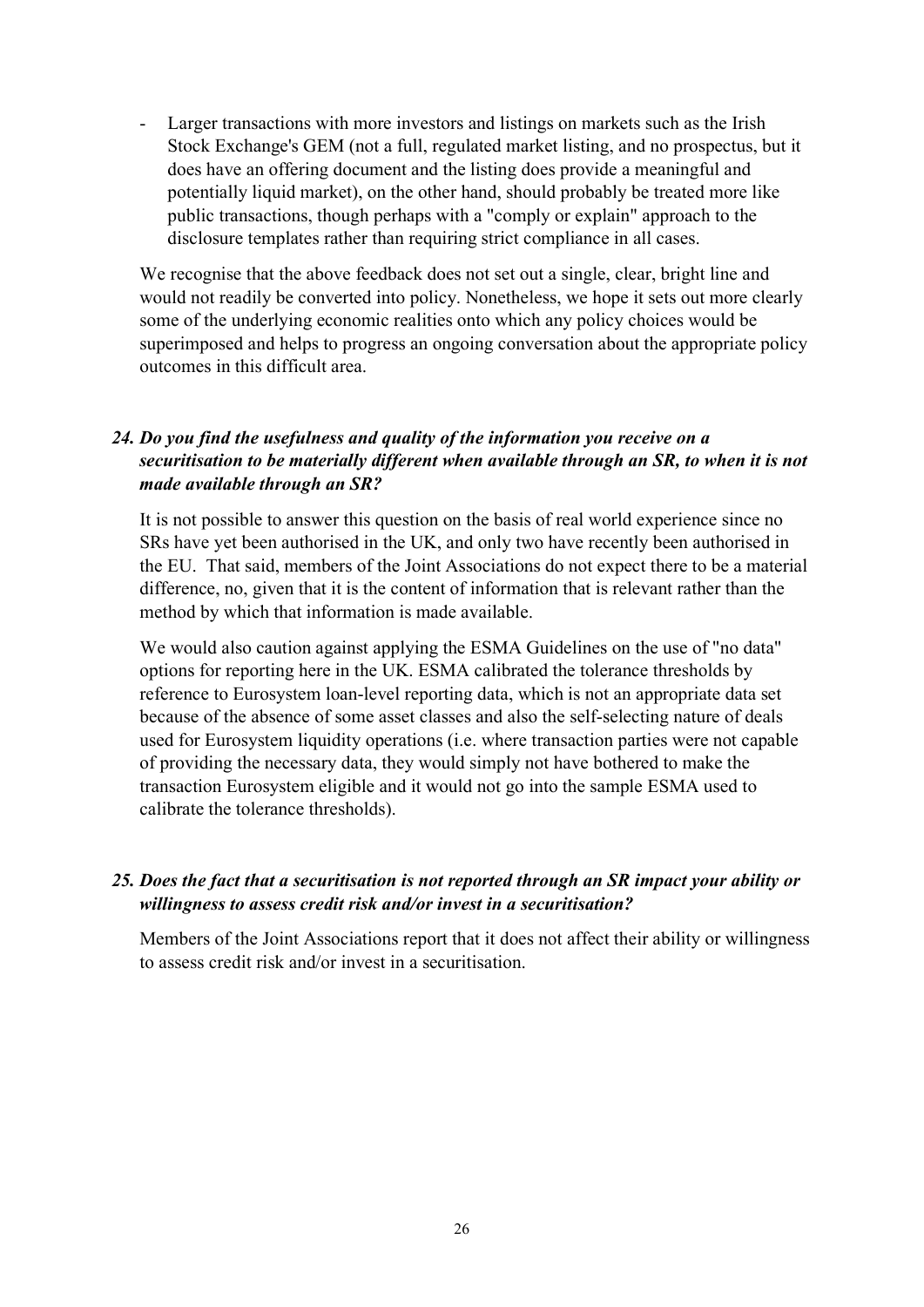Larger transactions with more investors and listings on markets such as the Irish Stock Exchange's GEM (not a full, regulated market listing, and no prospectus, but it does have an offering document and the listing does provide a meaningful and potentially liquid market), on the other hand, should probably be treated more like public transactions, though perhaps with a "comply or explain" approach to the disclosure templates rather than requiring strict compliance in all cases.

We recognise that the above feedback does not set out a single, clear, bright line and would not readily be converted into policy. Nonetheless, we hope it sets out more clearly some of the underlying economic realities onto which any policy choices would be superimposed and helps to progress an ongoing conversation about the appropriate policy outcomes in this difficult area.

### *24. Do you find the usefulness and quality of the information you receive on a securitisation to be materially different when available through an SR, to when it is not made available through an SR?*

It is not possible to answer this question on the basis of real world experience since no SRs have yet been authorised in the UK, and only two have recently been authorised in the EU. That said, members of the Joint Associations do not expect there to be a material difference, no, given that it is the content of information that is relevant rather than the method by which that information is made available.

We would also caution against applying the ESMA Guidelines on the use of "no data" options for reporting here in the UK. ESMA calibrated the tolerance thresholds by reference to Eurosystem loan-level reporting data, which is not an appropriate data set because of the absence of some asset classes and also the self-selecting nature of deals used for Eurosystem liquidity operations (i.e. where transaction parties were not capable of providing the necessary data, they would simply not have bothered to make the transaction Eurosystem eligible and it would not go into the sample ESMA used to calibrate the tolerance thresholds).

#### *25. Does the fact that a securitisation is not reported through an SR impact your ability or willingness to assess credit risk and/or invest in a securitisation?*

Members of the Joint Associations report that it does not affect their ability or willingness to assess credit risk and/or invest in a securitisation.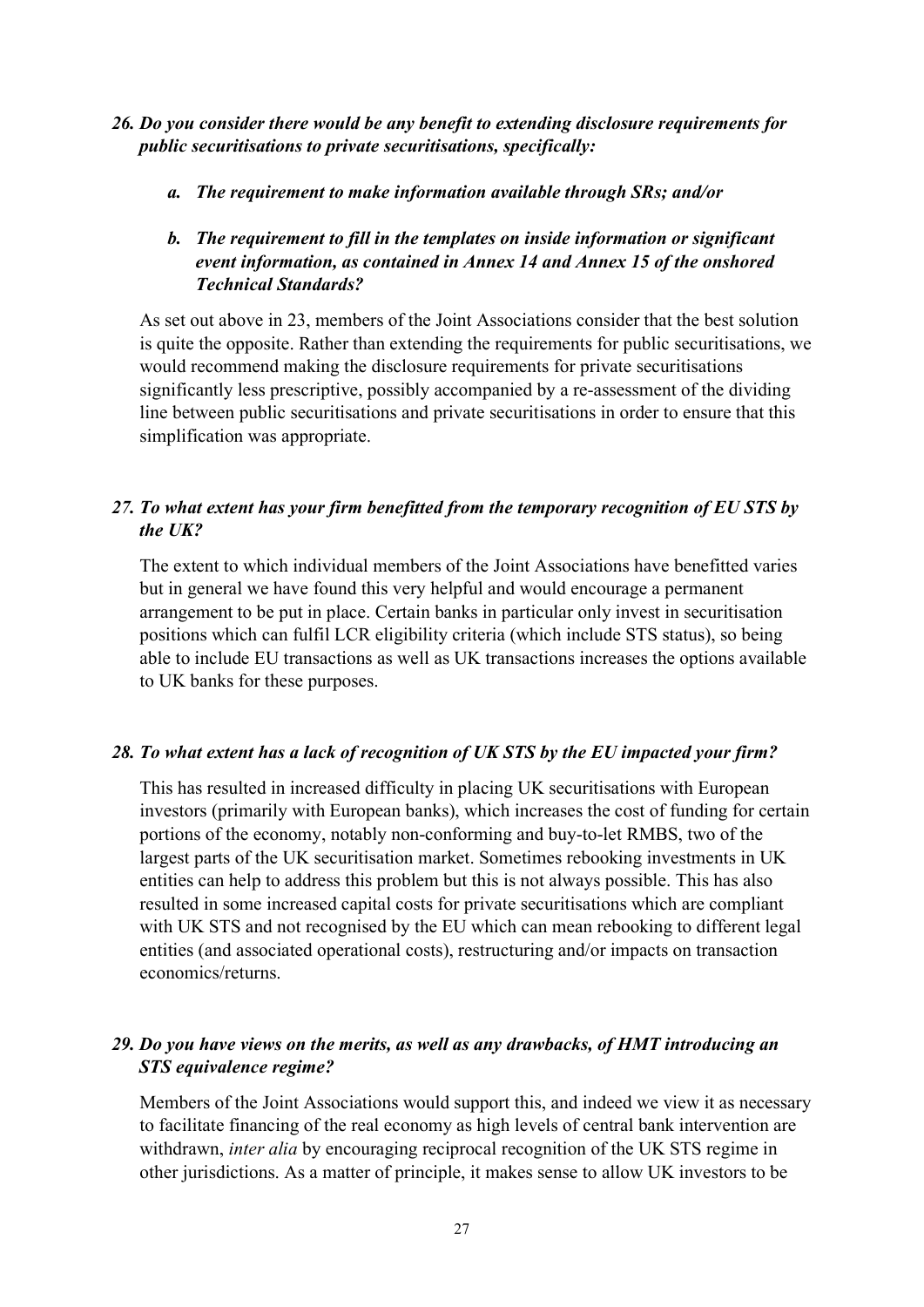- *26. Do you consider there would be any benefit to extending disclosure requirements for public securitisations to private securitisations, specifically:* 
	- *a. The requirement to make information available through SRs; and/or*

### *b. The requirement to fill in the templates on inside information or significant event information, as contained in Annex 14 and Annex 15 of the onshored Technical Standards?*

As set out above in 23, members of the Joint Associations consider that the best solution is quite the opposite. Rather than extending the requirements for public securitisations, we would recommend making the disclosure requirements for private securitisations significantly less prescriptive, possibly accompanied by a re-assessment of the dividing line between public securitisations and private securitisations in order to ensure that this simplification was appropriate.

# *27. To what extent has your firm benefitted from the temporary recognition of EU STS by the UK?*

The extent to which individual members of the Joint Associations have benefitted varies but in general we have found this very helpful and would encourage a permanent arrangement to be put in place. Certain banks in particular only invest in securitisation positions which can fulfil LCR eligibility criteria (which include STS status), so being able to include EU transactions as well as UK transactions increases the options available to UK banks for these purposes.

#### *28. To what extent has a lack of recognition of UK STS by the EU impacted your firm?*

This has resulted in increased difficulty in placing UK securitisations with European investors (primarily with European banks), which increases the cost of funding for certain portions of the economy, notably non-conforming and buy-to-let RMBS, two of the largest parts of the UK securitisation market. Sometimes rebooking investments in UK entities can help to address this problem but this is not always possible. This has also resulted in some increased capital costs for private securitisations which are compliant with UK STS and not recognised by the EU which can mean rebooking to different legal entities (and associated operational costs), restructuring and/or impacts on transaction economics/returns.

# *29. Do you have views on the merits, as well as any drawbacks, of HMT introducing an STS equivalence regime?*

Members of the Joint Associations would support this, and indeed we view it as necessary to facilitate financing of the real economy as high levels of central bank intervention are withdrawn, *inter alia* by encouraging reciprocal recognition of the UK STS regime in other jurisdictions. As a matter of principle, it makes sense to allow UK investors to be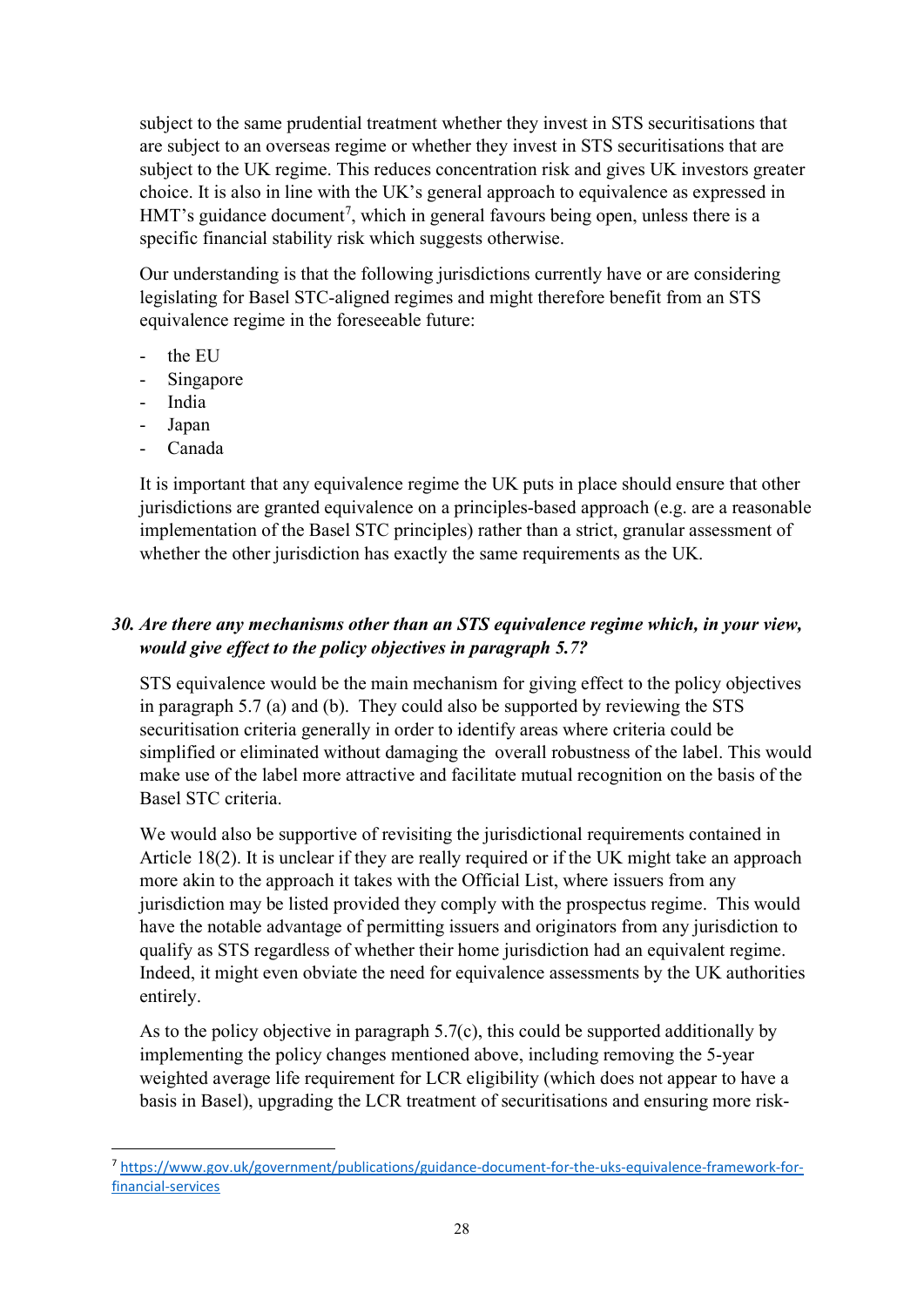subject to the same prudential treatment whether they invest in STS securitisations that are subject to an overseas regime or whether they invest in STS securitisations that are subject to the UK regime. This reduces concentration risk and gives UK investors greater choice. It is also in line with the UK's general approach to equivalence as expressed in HMT's guidance document<sup>[7](#page-27-0)</sup>, which in general favours being open, unless there is a specific financial stability risk which suggests otherwise.

Our understanding is that the following jurisdictions currently have or are considering legislating for Basel STC-aligned regimes and might therefore benefit from an STS equivalence regime in the foreseeable future:

- the EU
- Singapore
- India
- Japan
- Canada

It is important that any equivalence regime the UK puts in place should ensure that other jurisdictions are granted equivalence on a principles-based approach (e.g. are a reasonable implementation of the Basel STC principles) rather than a strict, granular assessment of whether the other jurisdiction has exactly the same requirements as the UK.

# *30. Are there any mechanisms other than an STS equivalence regime which, in your view, would give effect to the policy objectives in paragraph 5.7?*

STS equivalence would be the main mechanism for giving effect to the policy objectives in paragraph 5.7 (a) and (b). They could also be supported by reviewing the STS securitisation criteria generally in order to identify areas where criteria could be simplified or eliminated without damaging the overall robustness of the label. This would make use of the label more attractive and facilitate mutual recognition on the basis of the Basel STC criteria.

We would also be supportive of revisiting the jurisdictional requirements contained in Article 18(2). It is unclear if they are really required or if the UK might take an approach more akin to the approach it takes with the Official List, where issuers from any jurisdiction may be listed provided they comply with the prospectus regime. This would have the notable advantage of permitting issuers and originators from any jurisdiction to qualify as STS regardless of whether their home jurisdiction had an equivalent regime. Indeed, it might even obviate the need for equivalence assessments by the UK authorities entirely.

As to the policy objective in paragraph 5.7(c), this could be supported additionally by implementing the policy changes mentioned above, including removing the 5-year weighted average life requirement for LCR eligibility (which does not appear to have a basis in Basel), upgrading the LCR treatment of securitisations and ensuring more risk-

<span id="page-27-0"></span><sup>7</sup> [https://www.gov.uk/government/publications/guidance-document-for-the-uks-equivalence-framework-for](https://www.gov.uk/government/publications/guidance-document-for-the-uks-equivalence-framework-for-financial-services)[financial-services](https://www.gov.uk/government/publications/guidance-document-for-the-uks-equivalence-framework-for-financial-services)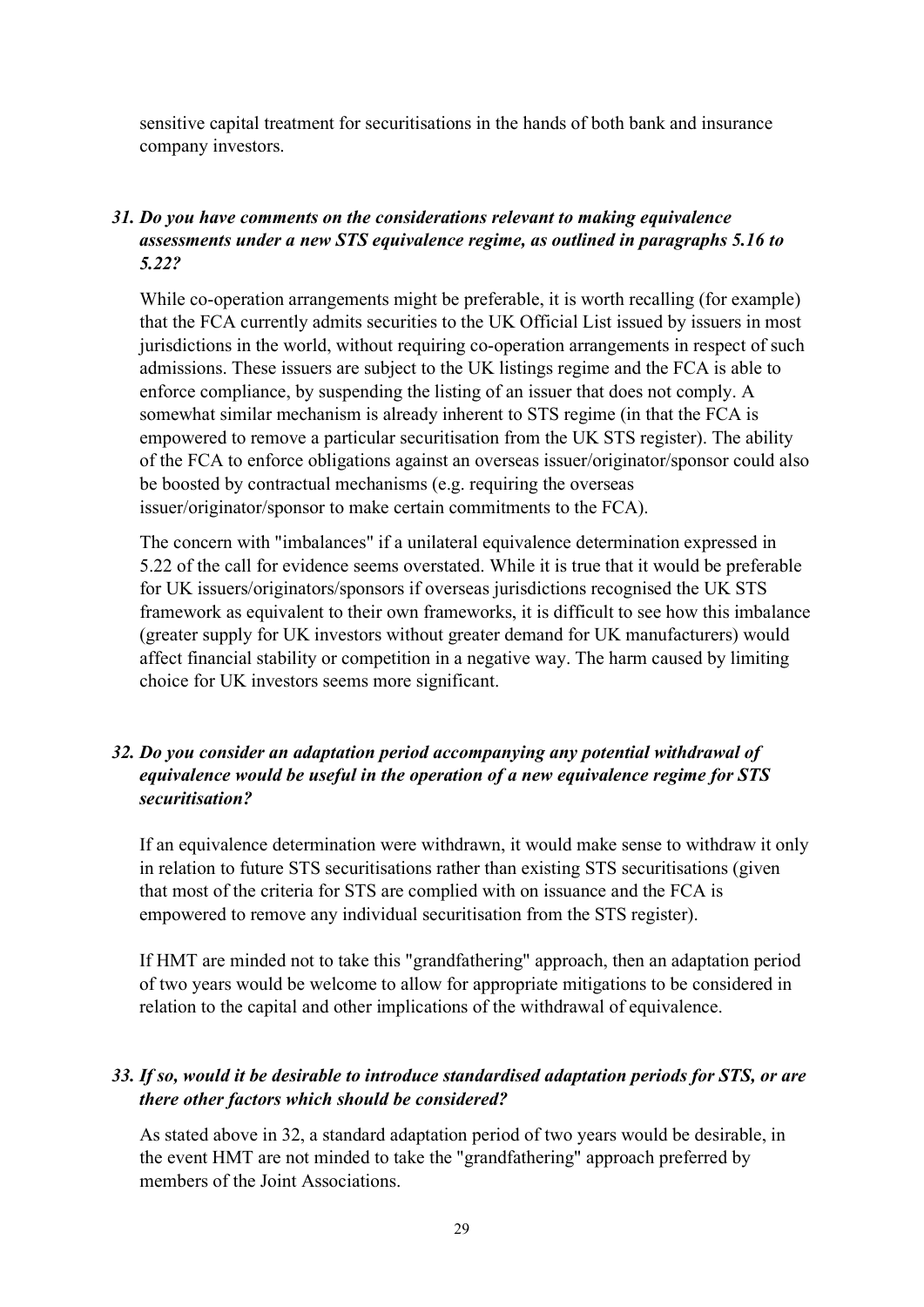sensitive capital treatment for securitisations in the hands of both bank and insurance company investors.

### *31. Do you have comments on the considerations relevant to making equivalence assessments under a new STS equivalence regime, as outlined in paragraphs 5.16 to 5.22?*

While co-operation arrangements might be preferable, it is worth recalling (for example) that the FCA currently admits securities to the UK Official List issued by issuers in most jurisdictions in the world, without requiring co-operation arrangements in respect of such admissions. These issuers are subject to the UK listings regime and the FCA is able to enforce compliance, by suspending the listing of an issuer that does not comply. A somewhat similar mechanism is already inherent to STS regime (in that the FCA is empowered to remove a particular securitisation from the UK STS register). The ability of the FCA to enforce obligations against an overseas issuer/originator/sponsor could also be boosted by contractual mechanisms (e.g. requiring the overseas issuer/originator/sponsor to make certain commitments to the FCA).

The concern with "imbalances" if a unilateral equivalence determination expressed in 5.22 of the call for evidence seems overstated. While it is true that it would be preferable for UK issuers/originators/sponsors if overseas jurisdictions recognised the UK STS framework as equivalent to their own frameworks, it is difficult to see how this imbalance (greater supply for UK investors without greater demand for UK manufacturers) would affect financial stability or competition in a negative way. The harm caused by limiting choice for UK investors seems more significant.

### *32. Do you consider an adaptation period accompanying any potential withdrawal of equivalence would be useful in the operation of a new equivalence regime for STS securitisation?*

If an equivalence determination were withdrawn, it would make sense to withdraw it only in relation to future STS securitisations rather than existing STS securitisations (given that most of the criteria for STS are complied with on issuance and the FCA is empowered to remove any individual securitisation from the STS register).

If HMT are minded not to take this "grandfathering" approach, then an adaptation period of two years would be welcome to allow for appropriate mitigations to be considered in relation to the capital and other implications of the withdrawal of equivalence.

### *33. If so, would it be desirable to introduce standardised adaptation periods for STS, or are there other factors which should be considered?*

As stated above in 32, a standard adaptation period of two years would be desirable, in the event HMT are not minded to take the "grandfathering" approach preferred by members of the Joint Associations.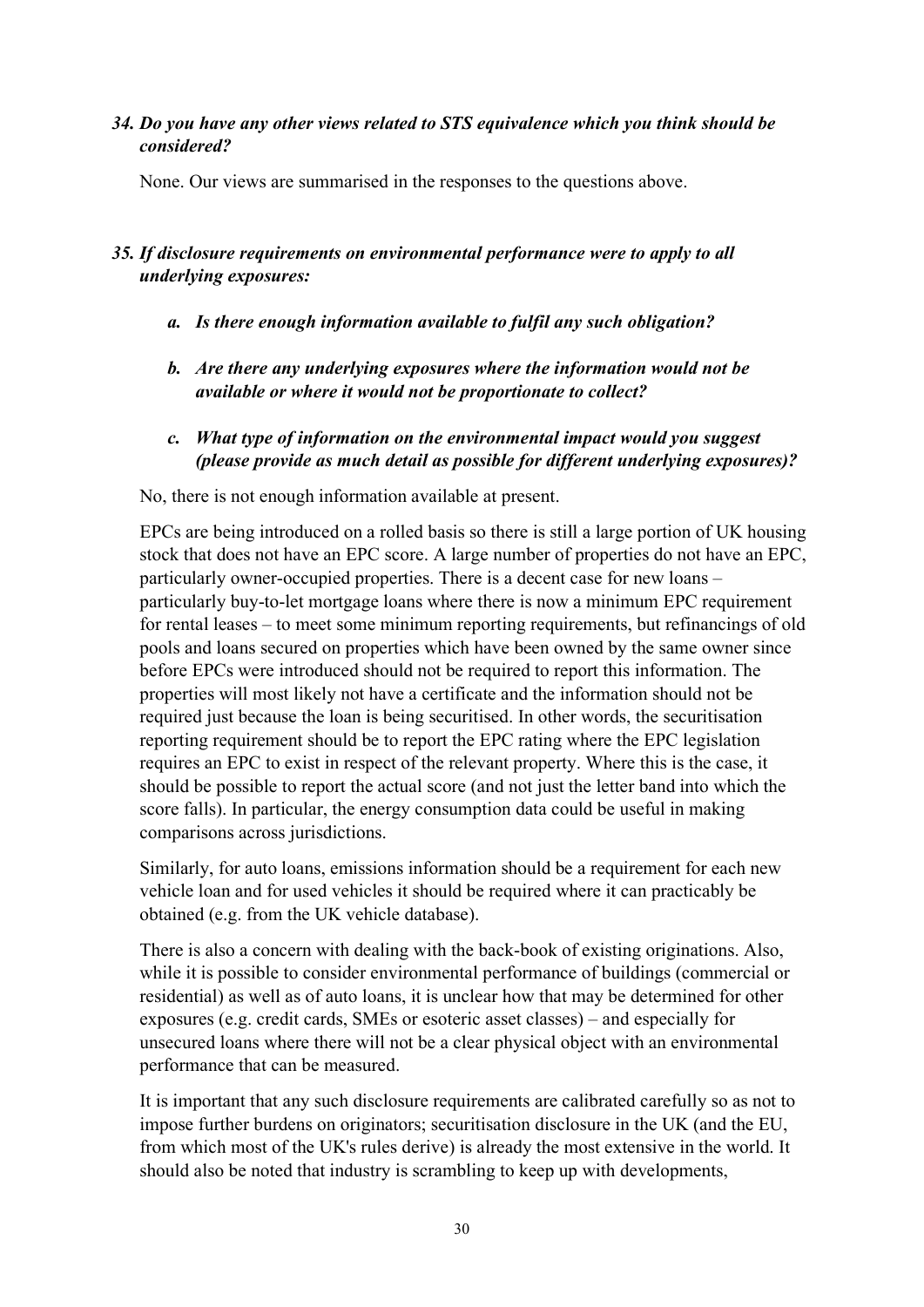#### *34. Do you have any other views related to STS equivalence which you think should be considered?*

None. Our views are summarised in the responses to the questions above.

### *35. If disclosure requirements on environmental performance were to apply to all underlying exposures:*

- *a. Is there enough information available to fulfil any such obligation?*
- *b. Are there any underlying exposures where the information would not be available or where it would not be proportionate to collect?*
- *c. What type of information on the environmental impact would you suggest (please provide as much detail as possible for different underlying exposures)?*

No, there is not enough information available at present.

EPCs are being introduced on a rolled basis so there is still a large portion of UK housing stock that does not have an EPC score. A large number of properties do not have an EPC, particularly owner-occupied properties. There is a decent case for new loans – particularly buy-to-let mortgage loans where there is now a minimum EPC requirement for rental leases – to meet some minimum reporting requirements, but refinancings of old pools and loans secured on properties which have been owned by the same owner since before EPCs were introduced should not be required to report this information. The properties will most likely not have a certificate and the information should not be required just because the loan is being securitised. In other words, the securitisation reporting requirement should be to report the EPC rating where the EPC legislation requires an EPC to exist in respect of the relevant property. Where this is the case, it should be possible to report the actual score (and not just the letter band into which the score falls). In particular, the energy consumption data could be useful in making comparisons across jurisdictions.

Similarly, for auto loans, emissions information should be a requirement for each new vehicle loan and for used vehicles it should be required where it can practicably be obtained (e.g. from the UK vehicle database).

There is also a concern with dealing with the back-book of existing originations. Also, while it is possible to consider environmental performance of buildings (commercial or residential) as well as of auto loans, it is unclear how that may be determined for other exposures (e.g. credit cards, SMEs or esoteric asset classes) – and especially for unsecured loans where there will not be a clear physical object with an environmental performance that can be measured.

It is important that any such disclosure requirements are calibrated carefully so as not to impose further burdens on originators; securitisation disclosure in the UK (and the EU, from which most of the UK's rules derive) is already the most extensive in the world. It should also be noted that industry is scrambling to keep up with developments,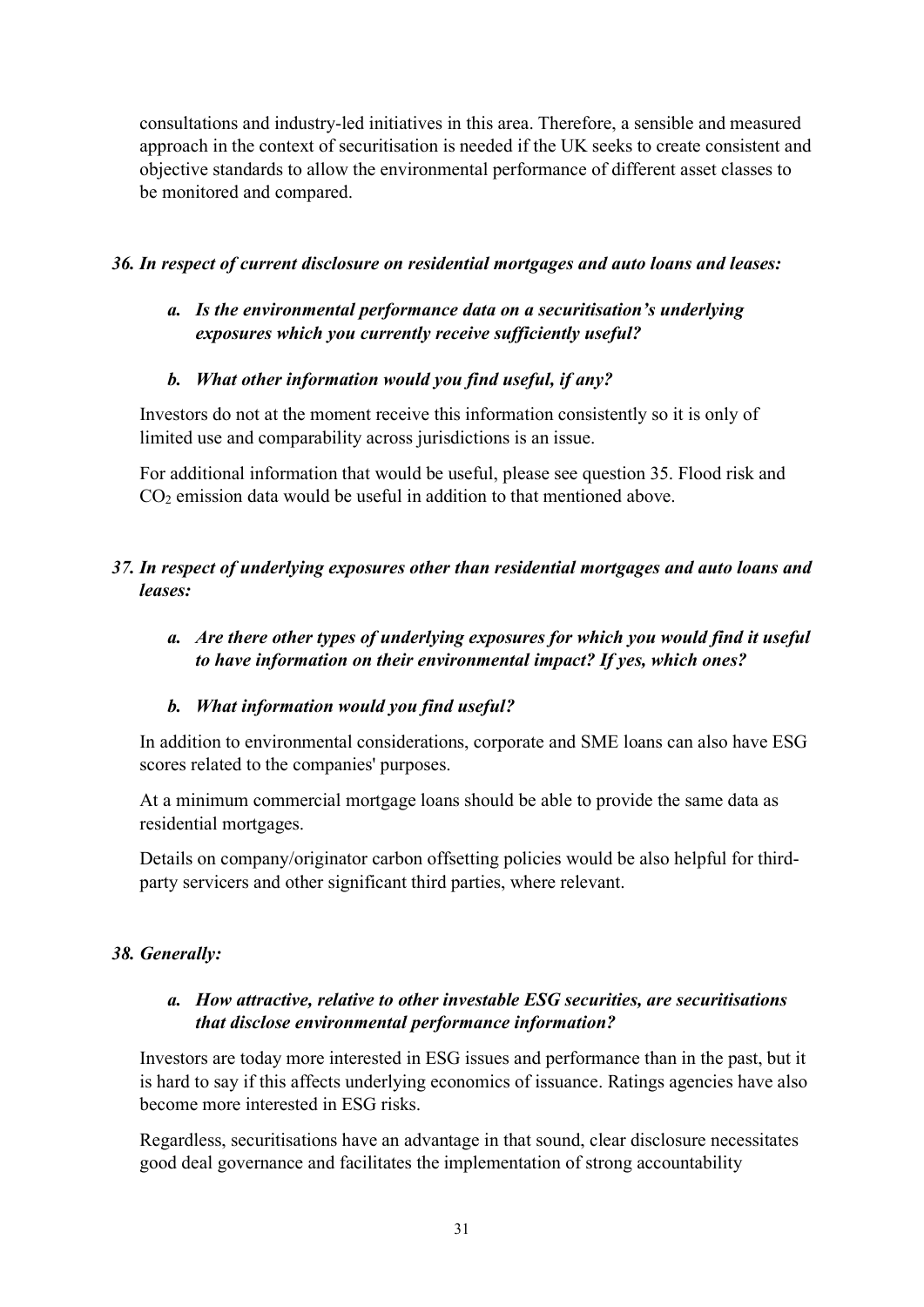consultations and industry-led initiatives in this area. Therefore, a sensible and measured approach in the context of securitisation is needed if the UK seeks to create consistent and objective standards to allow the environmental performance of different asset classes to be monitored and compared.

### *36. In respect of current disclosure on residential mortgages and auto loans and leases:*

# *a. Is the environmental performance data on a securitisation's underlying exposures which you currently receive sufficiently useful?*

### *b. What other information would you find useful, if any?*

Investors do not at the moment receive this information consistently so it is only of limited use and comparability across jurisdictions is an issue.

For additional information that would be useful, please see question 35. Flood risk and  $CO<sub>2</sub>$  emission data would be useful in addition to that mentioned above.

# *37. In respect of underlying exposures other than residential mortgages and auto loans and leases:*

### *a. Are there other types of underlying exposures for which you would find it useful to have information on their environmental impact? If yes, which ones?*

# *b. What information would you find useful?*

In addition to environmental considerations, corporate and SME loans can also have ESG scores related to the companies' purposes.

At a minimum commercial mortgage loans should be able to provide the same data as residential mortgages.

Details on company/originator carbon offsetting policies would be also helpful for thirdparty servicers and other significant third parties, where relevant.

# *38. Generally:*

# *a. How attractive, relative to other investable ESG securities, are securitisations that disclose environmental performance information?*

Investors are today more interested in ESG issues and performance than in the past, but it is hard to say if this affects underlying economics of issuance. Ratings agencies have also become more interested in ESG risks.

Regardless, securitisations have an advantage in that sound, clear disclosure necessitates good deal governance and facilitates the implementation of strong accountability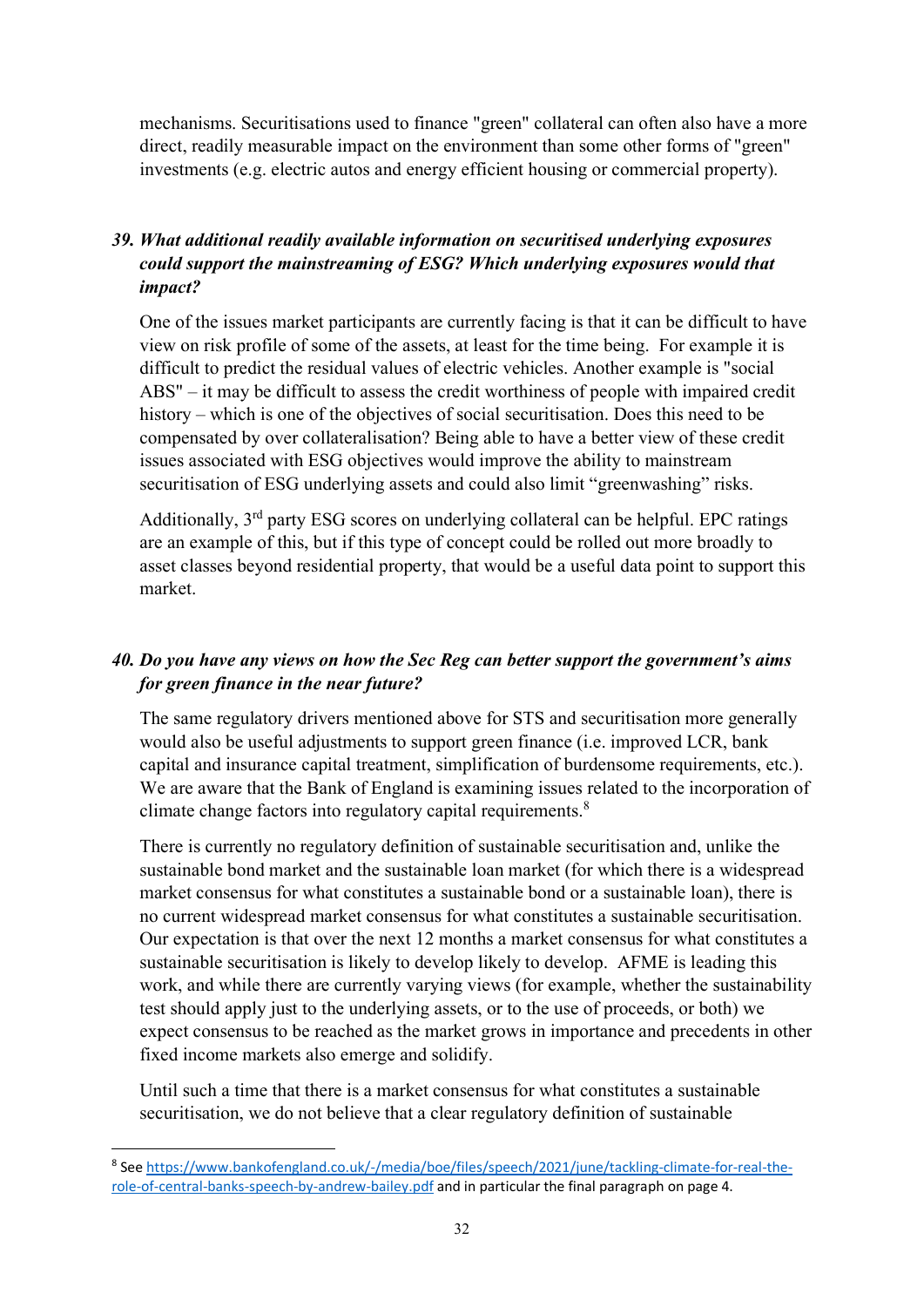mechanisms. Securitisations used to finance "green" collateral can often also have a more direct, readily measurable impact on the environment than some other forms of "green" investments (e.g. electric autos and energy efficient housing or commercial property).

# *39. What additional readily available information on securitised underlying exposures could support the mainstreaming of ESG? Which underlying exposures would that impact?*

One of the issues market participants are currently facing is that it can be difficult to have view on risk profile of some of the assets, at least for the time being. For example it is difficult to predict the residual values of electric vehicles. Another example is "social ABS" – it may be difficult to assess the credit worthiness of people with impaired credit history – which is one of the objectives of social securitisation. Does this need to be compensated by over collateralisation? Being able to have a better view of these credit issues associated with ESG objectives would improve the ability to mainstream securitisation of ESG underlying assets and could also limit "greenwashing" risks.

Additionally, 3rd party ESG scores on underlying collateral can be helpful. EPC ratings are an example of this, but if this type of concept could be rolled out more broadly to asset classes beyond residential property, that would be a useful data point to support this market.

# *40. Do you have any views on how the Sec Reg can better support the government's aims for green finance in the near future?*

The same regulatory drivers mentioned above for STS and securitisation more generally would also be useful adjustments to support green finance (i.e. improved LCR, bank capital and insurance capital treatment, simplification of burdensome requirements, etc.). We are aware that the Bank of England is examining issues related to the incorporation of climate change factors into regulatory capital requirements.<sup>[8](#page-31-0)</sup>

There is currently no regulatory definition of sustainable securitisation and, unlike the sustainable bond market and the sustainable loan market (for which there is a widespread market consensus for what constitutes a sustainable bond or a sustainable loan), there is no current widespread market consensus for what constitutes a sustainable securitisation. Our expectation is that over the next 12 months a market consensus for what constitutes a sustainable securitisation is likely to develop likely to develop. AFME is leading this work, and while there are currently varying views (for example, whether the sustainability test should apply just to the underlying assets, or to the use of proceeds, or both) we expect consensus to be reached as the market grows in importance and precedents in other fixed income markets also emerge and solidify.

Until such a time that there is a market consensus for what constitutes a sustainable securitisation, we do not believe that a clear regulatory definition of sustainable

<span id="page-31-0"></span><sup>8</sup> Se[e https://www.bankofengland.co.uk/-/media/boe/files/speech/2021/june/tackling-climate-for-real-the](https://www.bankofengland.co.uk/-/media/boe/files/speech/2021/june/tackling-climate-for-real-the-role-of-central-banks-speech-by-andrew-bailey.pdf)[role-of-central-banks-speech-by-andrew-bailey.pdf](https://www.bankofengland.co.uk/-/media/boe/files/speech/2021/june/tackling-climate-for-real-the-role-of-central-banks-speech-by-andrew-bailey.pdf) and in particular the final paragraph on page 4.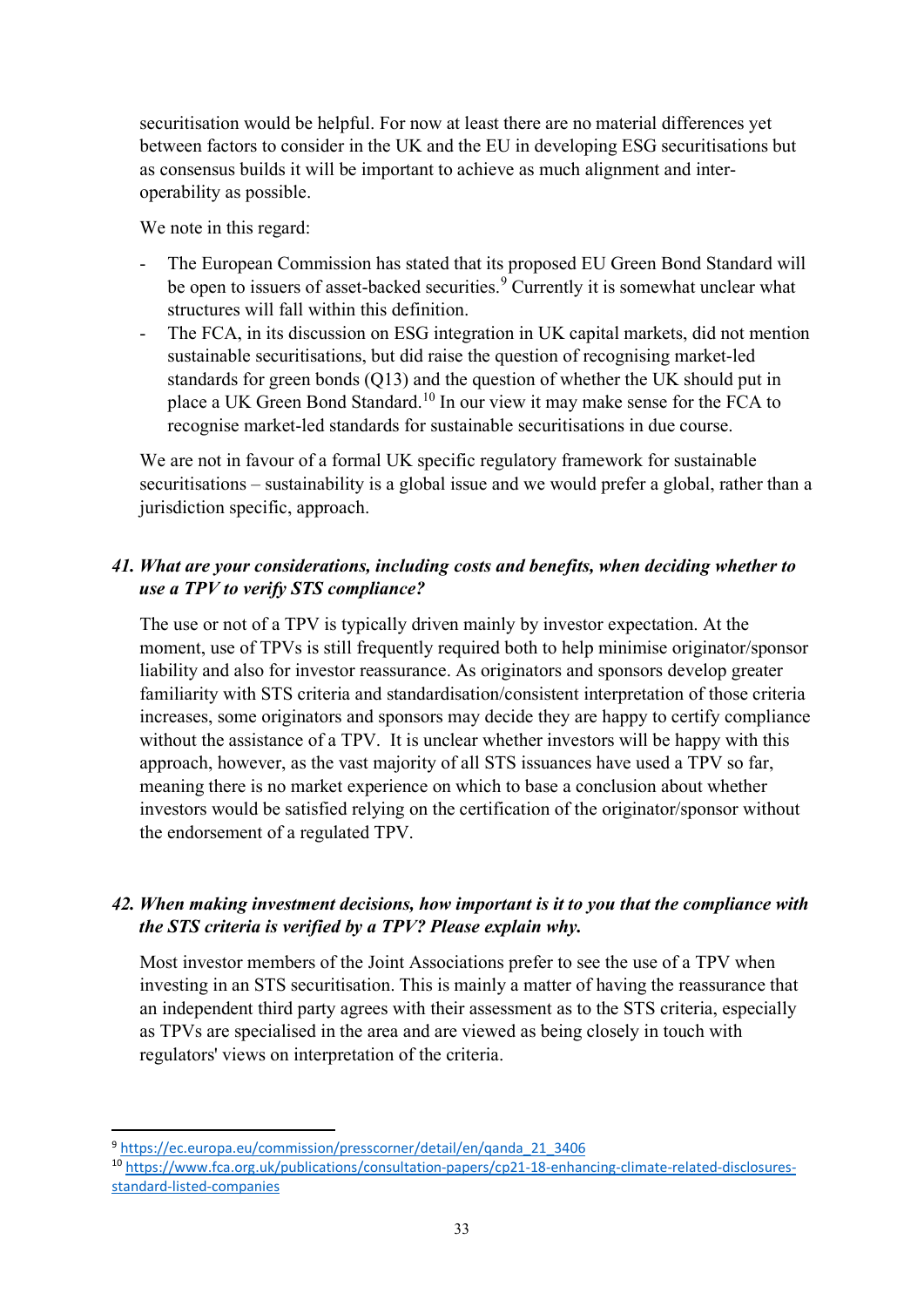securitisation would be helpful. For now at least there are no material differences yet between factors to consider in the UK and the EU in developing ESG securitisations but as consensus builds it will be important to achieve as much alignment and interoperability as possible.

We note in this regard:

- The European Commission has stated that its proposed EU Green Bond Standard will be open to issuers of asset-backed securities.<sup>[9](#page-32-0)</sup> Currently it is somewhat unclear what structures will fall within this definition.
- The FCA, in its discussion on ESG integration in UK capital markets, did not mention sustainable securitisations, but did raise the question of recognising market-led standards for green bonds (Q13) and the question of whether the UK should put in place a UK Green Bond Standard.<sup>[10](#page-32-1)</sup> In our view it may make sense for the FCA to recognise market-led standards for sustainable securitisations in due course.

We are not in favour of a formal UK specific regulatory framework for sustainable securitisations – sustainability is a global issue and we would prefer a global, rather than a jurisdiction specific, approach.

# *41. What are your considerations, including costs and benefits, when deciding whether to use a TPV to verify STS compliance?*

The use or not of a TPV is typically driven mainly by investor expectation. At the moment, use of TPVs is still frequently required both to help minimise originator/sponsor liability and also for investor reassurance. As originators and sponsors develop greater familiarity with STS criteria and standardisation/consistent interpretation of those criteria increases, some originators and sponsors may decide they are happy to certify compliance without the assistance of a TPV. It is unclear whether investors will be happy with this approach, however, as the vast majority of all STS issuances have used a TPV so far, meaning there is no market experience on which to base a conclusion about whether investors would be satisfied relying on the certification of the originator/sponsor without the endorsement of a regulated TPV.

#### *42. When making investment decisions, how important is it to you that the compliance with the STS criteria is verified by a TPV? Please explain why.*

Most investor members of the Joint Associations prefer to see the use of a TPV when investing in an STS securitisation. This is mainly a matter of having the reassurance that an independent third party agrees with their assessment as to the STS criteria, especially as TPVs are specialised in the area and are viewed as being closely in touch with regulators' views on interpretation of the criteria.

<span id="page-32-0"></span><sup>9</sup> [https://ec.europa.eu/commission/presscorner/detail/en/qanda\\_21\\_3406](https://ec.europa.eu/commission/presscorner/detail/en/qanda_21_3406)

<span id="page-32-1"></span><sup>10</sup> [https://www.fca.org.uk/publications/consultation-papers/cp21-18-enhancing-climate-related-disclosures](https://www.fca.org.uk/publications/consultation-papers/cp21-18-enhancing-climate-related-disclosures-standard-listed-companies)[standard-listed-companies](https://www.fca.org.uk/publications/consultation-papers/cp21-18-enhancing-climate-related-disclosures-standard-listed-companies)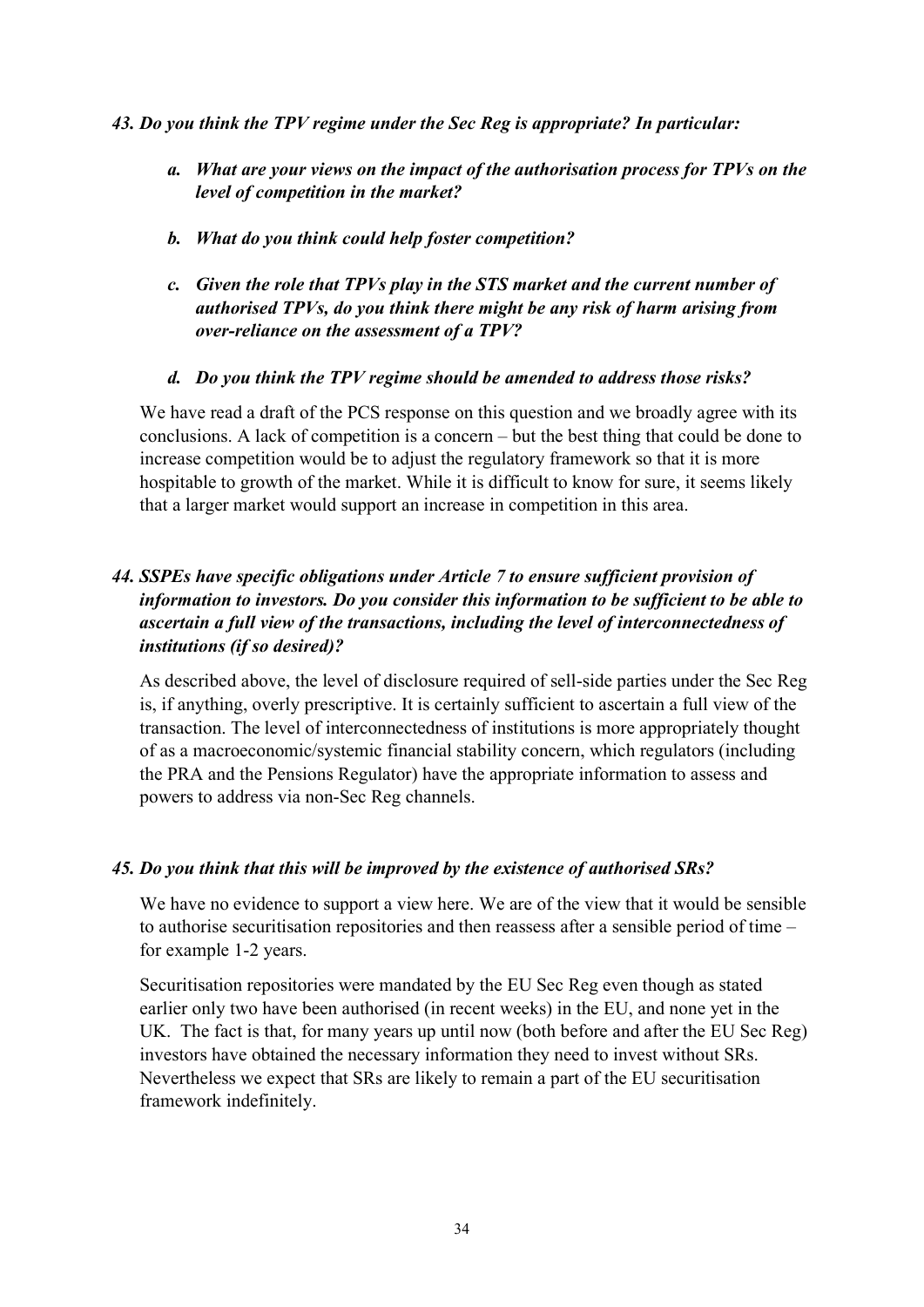#### *43. Do you think the TPV regime under the Sec Reg is appropriate? In particular:*

- *a. What are your views on the impact of the authorisation process for TPVs on the level of competition in the market?*
- *b. What do you think could help foster competition?*
- *c. Given the role that TPVs play in the STS market and the current number of authorised TPVs, do you think there might be any risk of harm arising from over-reliance on the assessment of a TPV?*
- *d. Do you think the TPV regime should be amended to address those risks?*

We have read a draft of the PCS response on this question and we broadly agree with its conclusions. A lack of competition is a concern – but the best thing that could be done to increase competition would be to adjust the regulatory framework so that it is more hospitable to growth of the market. While it is difficult to know for sure, it seems likely that a larger market would support an increase in competition in this area.

# *44. SSPEs have specific obligations under Article 7 to ensure sufficient provision of information to investors. Do you consider this information to be sufficient to be able to ascertain a full view of the transactions, including the level of interconnectedness of institutions (if so desired)?*

As described above, the level of disclosure required of sell-side parties under the Sec Reg is, if anything, overly prescriptive. It is certainly sufficient to ascertain a full view of the transaction. The level of interconnectedness of institutions is more appropriately thought of as a macroeconomic/systemic financial stability concern, which regulators (including the PRA and the Pensions Regulator) have the appropriate information to assess and powers to address via non-Sec Reg channels.

#### *45. Do you think that this will be improved by the existence of authorised SRs?*

We have no evidence to support a view here. We are of the view that it would be sensible to authorise securitisation repositories and then reassess after a sensible period of time – for example 1-2 years.

Securitisation repositories were mandated by the EU Sec Reg even though as stated earlier only two have been authorised (in recent weeks) in the EU, and none yet in the UK. The fact is that, for many years up until now (both before and after the EU Sec Reg) investors have obtained the necessary information they need to invest without SRs. Nevertheless we expect that SRs are likely to remain a part of the EU securitisation framework indefinitely.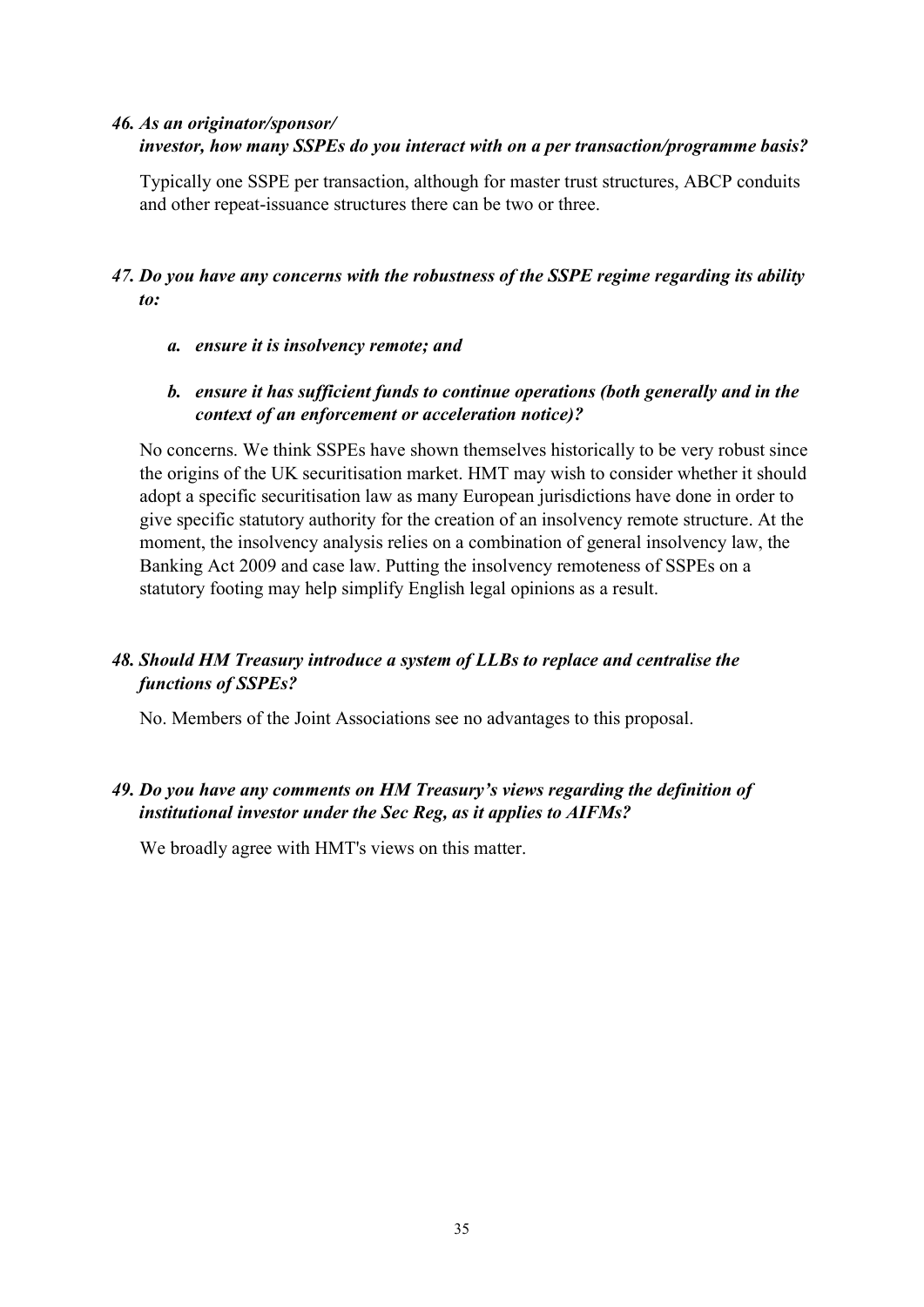### *46. As an originator/sponsor/ investor, how many SSPEs do you interact with on a per transaction/programme basis?*

Typically one SSPE per transaction, although for master trust structures, ABCP conduits and other repeat-issuance structures there can be two or three.

# *47. Do you have any concerns with the robustness of the SSPE regime regarding its ability to:*

*a. ensure it is insolvency remote; and* 

# *b. ensure it has sufficient funds to continue operations (both generally and in the context of an enforcement or acceleration notice)?*

No concerns. We think SSPEs have shown themselves historically to be very robust since the origins of the UK securitisation market. HMT may wish to consider whether it should adopt a specific securitisation law as many European jurisdictions have done in order to give specific statutory authority for the creation of an insolvency remote structure. At the moment, the insolvency analysis relies on a combination of general insolvency law, the Banking Act 2009 and case law. Putting the insolvency remoteness of SSPEs on a statutory footing may help simplify English legal opinions as a result.

# *48. Should HM Treasury introduce a system of LLBs to replace and centralise the functions of SSPEs?*

No. Members of the Joint Associations see no advantages to this proposal.

# *49. Do you have any comments on HM Treasury's views regarding the definition of institutional investor under the Sec Reg, as it applies to AIFMs?*

We broadly agree with HMT's views on this matter.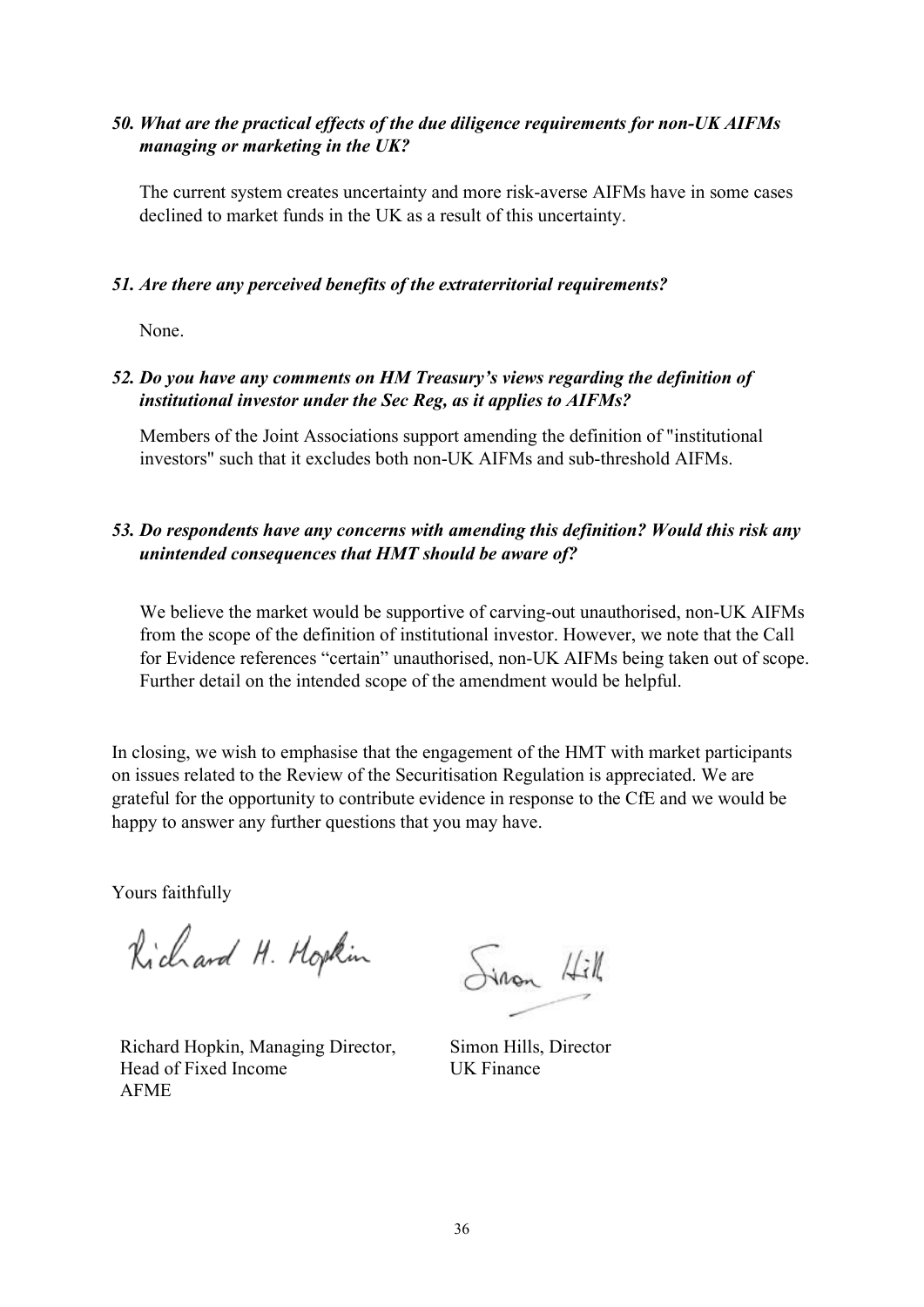# *50. What are the practical effects of the due diligence requirements for non-UK AIFMs managing or marketing in the UK?*

The current system creates uncertainty and more risk-averse AIFMs have in some cases declined to market funds in the UK as a result of this uncertainty.

#### *51. Are there any perceived benefits of the extraterritorial requirements?*

None.

### *52. Do you have any comments on HM Treasury's views regarding the definition of institutional investor under the Sec Reg, as it applies to AIFMs?*

Members of the Joint Associations support amending the definition of "institutional investors" such that it excludes both non-UK AIFMs and sub-threshold AIFMs.

# *53. Do respondents have any concerns with amending this definition? Would this risk any unintended consequences that HMT should be aware of?*

We believe the market would be supportive of carving-out unauthorised, non-UK AIFMs from the scope of the definition of institutional investor. However, we note that the Call for Evidence references "certain" unauthorised, non-UK AIFMs being taken out of scope. Further detail on the intended scope of the amendment would be helpful.

In closing, we wish to emphasise that the engagement of the HMT with market participants on issues related to the Review of the Securitisation Regulation is appreciated. We are grateful for the opportunity to contribute evidence in response to the CfE and we would be happy to answer any further questions that you may have.

Yours faithfully

Richard H. Hopkin

Richard Hopkin, Managing Director, Head of Fixed Income AFME

Sinon Hill

Simon Hills, Director UK Finance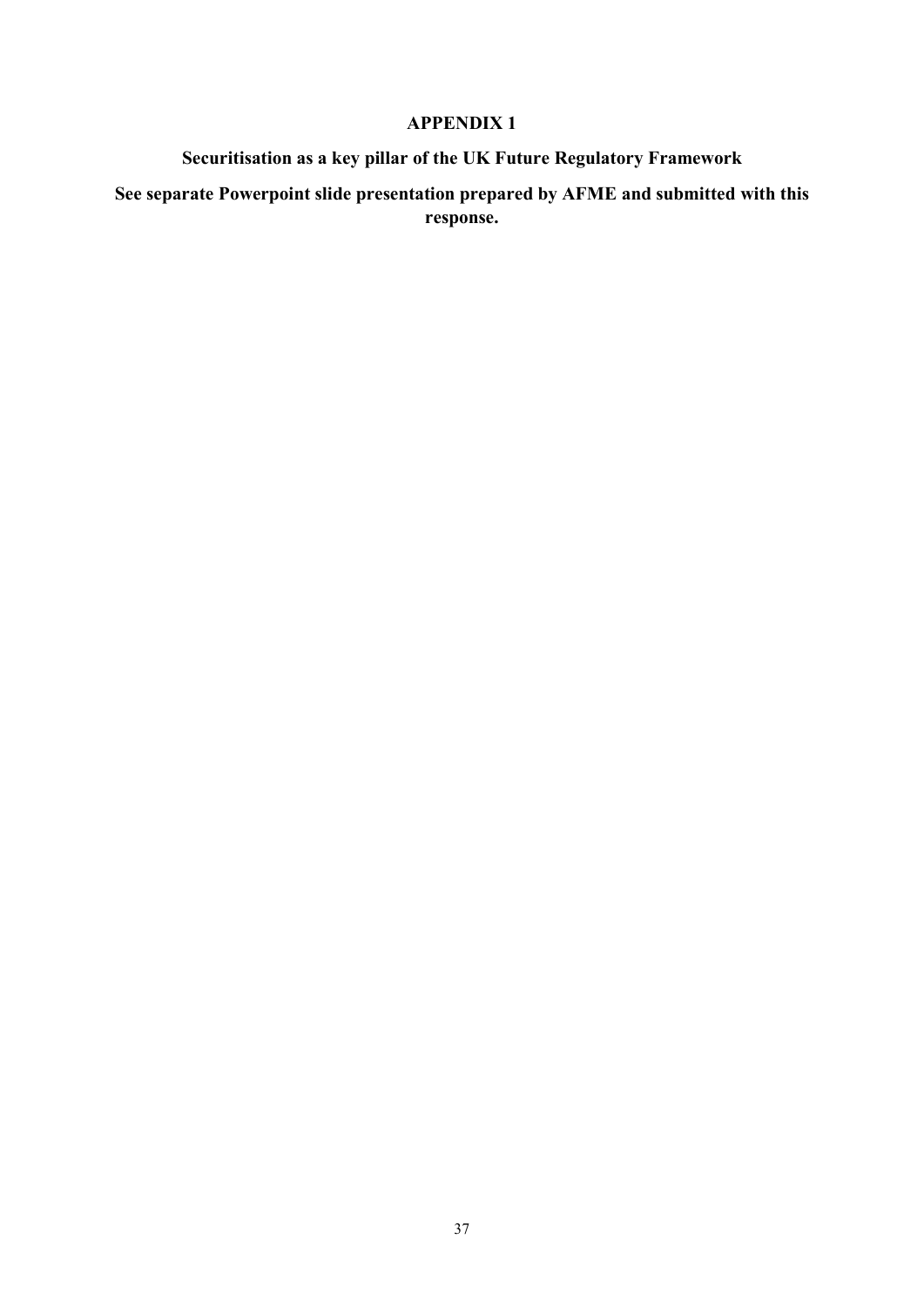#### **APPENDIX 1**

# **Securitisation as a key pillar of the UK Future Regulatory Framework**

# **See separate Powerpoint slide presentation prepared by AFME and submitted with this response.**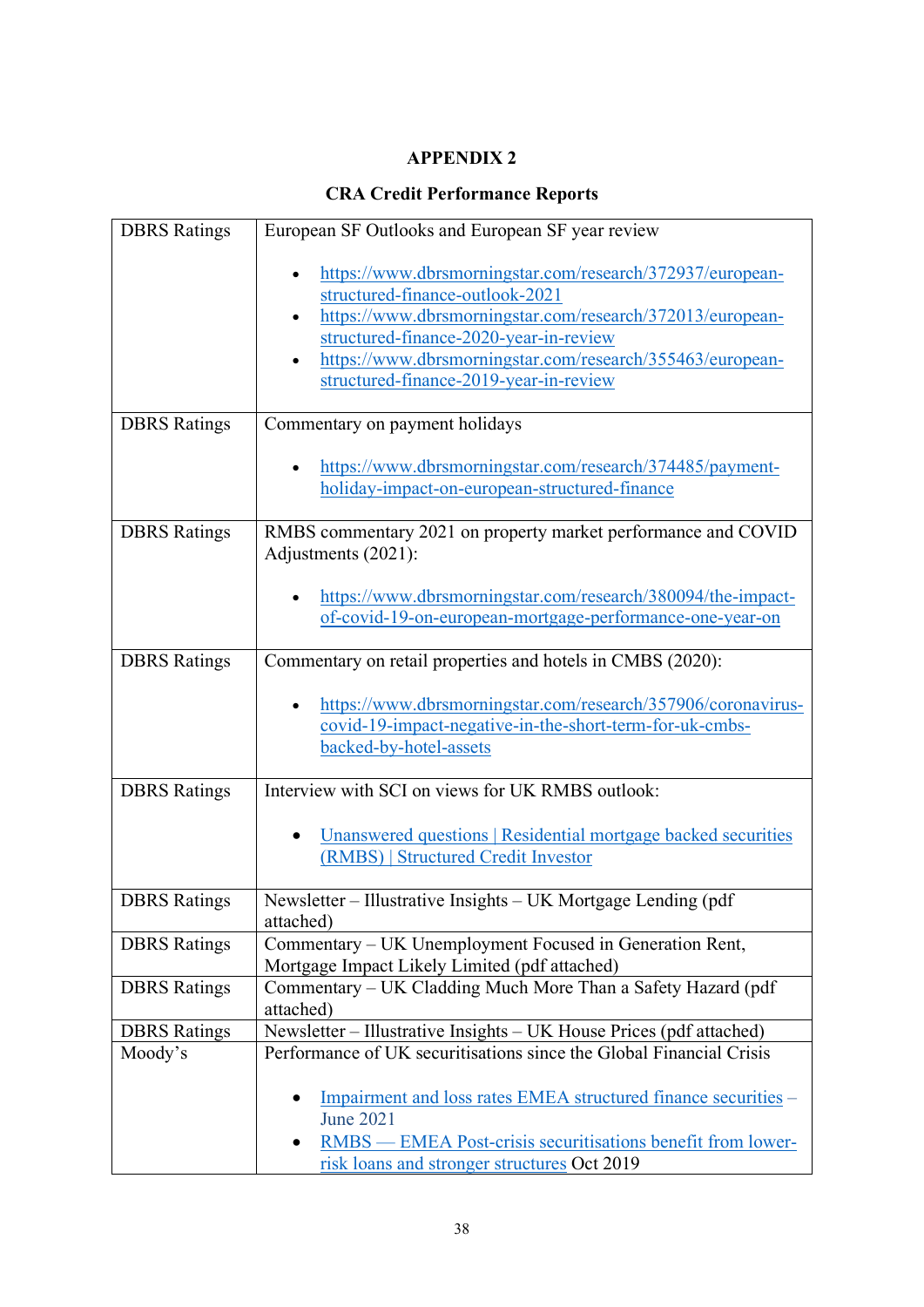# **APPENDIX 2**

# **CRA Credit Performance Reports**

| <b>DBRS</b> Ratings | European SF Outlooks and European SF year review                                                                                                                                                                                                                                                           |
|---------------------|------------------------------------------------------------------------------------------------------------------------------------------------------------------------------------------------------------------------------------------------------------------------------------------------------------|
|                     | https://www.dbrsmorningstar.com/research/372937/european-<br>structured-finance-outlook-2021<br>https://www.dbrsmorningstar.com/research/372013/european-<br>structured-finance-2020-year-in-review<br>https://www.dbrsmorningstar.com/research/355463/european-<br>structured-finance-2019-year-in-review |
| <b>DBRS</b> Ratings | Commentary on payment holidays                                                                                                                                                                                                                                                                             |
|                     | https://www.dbrsmorningstar.com/research/374485/payment-<br>holiday-impact-on-european-structured-finance                                                                                                                                                                                                  |
| <b>DBRS</b> Ratings | RMBS commentary 2021 on property market performance and COVID<br>Adjustments (2021):                                                                                                                                                                                                                       |
|                     | https://www.dbrsmorningstar.com/research/380094/the-impact-<br>of-covid-19-on-european-mortgage-performance-one-year-on                                                                                                                                                                                    |
| <b>DBRS</b> Ratings | Commentary on retail properties and hotels in CMBS (2020):                                                                                                                                                                                                                                                 |
|                     | https://www.dbrsmorningstar.com/research/357906/coronavirus-<br>covid-19-impact-negative-in-the-short-term-for-uk-cmbs-<br>backed-by-hotel-assets                                                                                                                                                          |
| <b>DBRS</b> Ratings | Interview with SCI on views for UK RMBS outlook:                                                                                                                                                                                                                                                           |
|                     | Unanswered questions   Residential mortgage backed securities<br>(RMBS)   Structured Credit Investor                                                                                                                                                                                                       |
| <b>DBRS</b> Ratings | Newsletter - Illustrative Insights - UK Mortgage Lending (pdf<br>attached)                                                                                                                                                                                                                                 |
| <b>DBRS</b> Ratings | Commentary – UK Unemployment Focused in Generation Rent,<br>Mortgage Impact Likely Limited (pdf attached)                                                                                                                                                                                                  |
| <b>DBRS</b> Ratings | Commentary – UK Cladding Much More Than a Safety Hazard (pdf<br>attached)                                                                                                                                                                                                                                  |
| <b>DBRS</b> Ratings | Newsletter - Illustrative Insights - UK House Prices (pdf attached)                                                                                                                                                                                                                                        |
| Moody's             | Performance of UK securitisations since the Global Financial Crisis                                                                                                                                                                                                                                        |
|                     | Impairment and loss rates EMEA structured finance securities –<br><b>June 2021</b><br>RMBS — EMEA Post-crisis securitisations benefit from lower-<br>risk loans and stronger structures Oct 2019                                                                                                           |